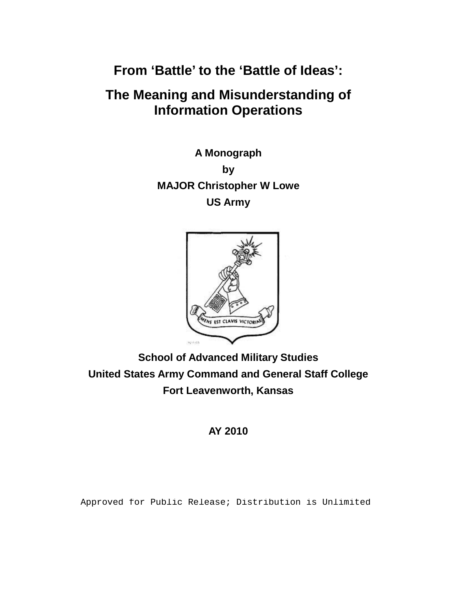**From 'Battle' to the 'Battle of Ideas':** 

# **The Meaning and Misunderstanding of Information Operations**

**A Monograph by MAJOR Christopher W Lowe US Army**



**School of Advanced Military Studies United States Army Command and General Staff College Fort Leavenworth, Kansas**

# **AY 2010**

Approved for Public Release; Distribution is Unlimited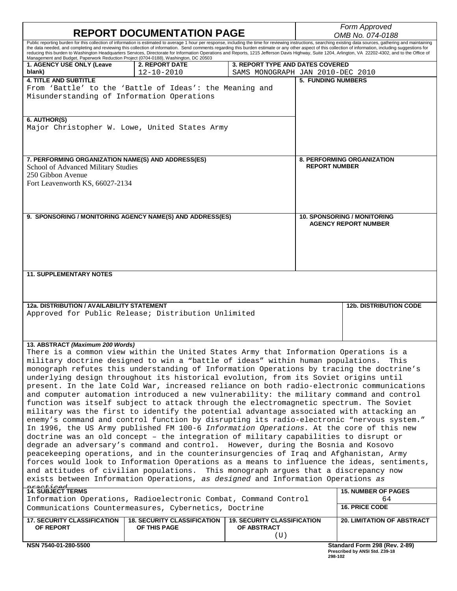| <b>REPORT DOCUMENTATION PAGE</b>                                                                                                                                                                                                                                                                                                                                                                                                                                                                                                                                                                                                                                                                                                   |                                                         |                                                                      | Form Approved<br>OMB No. 074-0188  |                                   |  |
|------------------------------------------------------------------------------------------------------------------------------------------------------------------------------------------------------------------------------------------------------------------------------------------------------------------------------------------------------------------------------------------------------------------------------------------------------------------------------------------------------------------------------------------------------------------------------------------------------------------------------------------------------------------------------------------------------------------------------------|---------------------------------------------------------|----------------------------------------------------------------------|------------------------------------|-----------------------------------|--|
| Public reporting burden for this collection of information is estimated to average 1 hour per response, including the time for reviewing instructions, searching existing data sources, gathering and maintaining<br>the data needed, and completing and reviewing this collection of information. Send comments regarding this burden estimate or any other aspect of this collection of information, including suggestions for<br>reducing this burden to Washington Headquarters Services, Directorate for Information Operations and Reports, 1215 Jefferson Davis Highway, Suite 1204, Arlington, VA 22202-4302, and to the Office of<br>Management and Budget, Paperwork Reduction Project (0704-0188), Washington, DC 20503 |                                                         |                                                                      |                                    |                                   |  |
| 1. AGENCY USE ONLY (Leave<br>blank)                                                                                                                                                                                                                                                                                                                                                                                                                                                                                                                                                                                                                                                                                                | <b>2. REPORT DATE</b><br>$12 - 10 - 2010$               | 3. REPORT TYPE AND DATES COVERED<br>SAMS MONOGRAPH JAN 2010-DEC 2010 |                                    |                                   |  |
| <b>4. TITLE AND SUBTITLE</b>                                                                                                                                                                                                                                                                                                                                                                                                                                                                                                                                                                                                                                                                                                       |                                                         |                                                                      | <b>5. FUNDING NUMBERS</b>          |                                   |  |
|                                                                                                                                                                                                                                                                                                                                                                                                                                                                                                                                                                                                                                                                                                                                    | From 'Battle' to the 'Battle of Ideas': the Meaning and |                                                                      |                                    |                                   |  |
| Misunderstanding of Information Operations                                                                                                                                                                                                                                                                                                                                                                                                                                                                                                                                                                                                                                                                                         |                                                         |                                                                      |                                    |                                   |  |
| 6. AUTHOR(S)<br>Major Christopher W. Lowe, United States Army                                                                                                                                                                                                                                                                                                                                                                                                                                                                                                                                                                                                                                                                      |                                                         |                                                                      |                                    |                                   |  |
| 7. PERFORMING ORGANIZATION NAME(S) AND ADDRESS(ES)                                                                                                                                                                                                                                                                                                                                                                                                                                                                                                                                                                                                                                                                                 |                                                         |                                                                      | <b>8. PERFORMING ORGANIZATION</b>  |                                   |  |
| School of Advanced Military Studies                                                                                                                                                                                                                                                                                                                                                                                                                                                                                                                                                                                                                                                                                                |                                                         |                                                                      | <b>REPORT NUMBER</b>               |                                   |  |
| 250 Gibbon Avenue                                                                                                                                                                                                                                                                                                                                                                                                                                                                                                                                                                                                                                                                                                                  |                                                         |                                                                      |                                    |                                   |  |
| Fort Leavenworth KS, 66027-2134                                                                                                                                                                                                                                                                                                                                                                                                                                                                                                                                                                                                                                                                                                    |                                                         |                                                                      |                                    |                                   |  |
|                                                                                                                                                                                                                                                                                                                                                                                                                                                                                                                                                                                                                                                                                                                                    |                                                         |                                                                      |                                    |                                   |  |
|                                                                                                                                                                                                                                                                                                                                                                                                                                                                                                                                                                                                                                                                                                                                    |                                                         |                                                                      |                                    |                                   |  |
| 9. SPONSORING / MONITORING AGENCY NAME(S) AND ADDRESS(ES)                                                                                                                                                                                                                                                                                                                                                                                                                                                                                                                                                                                                                                                                          |                                                         |                                                                      | <b>10. SPONSORING / MONITORING</b> |                                   |  |
|                                                                                                                                                                                                                                                                                                                                                                                                                                                                                                                                                                                                                                                                                                                                    |                                                         |                                                                      | <b>AGENCY REPORT NUMBER</b>        |                                   |  |
|                                                                                                                                                                                                                                                                                                                                                                                                                                                                                                                                                                                                                                                                                                                                    |                                                         |                                                                      |                                    |                                   |  |
|                                                                                                                                                                                                                                                                                                                                                                                                                                                                                                                                                                                                                                                                                                                                    |                                                         |                                                                      |                                    |                                   |  |
|                                                                                                                                                                                                                                                                                                                                                                                                                                                                                                                                                                                                                                                                                                                                    |                                                         |                                                                      |                                    |                                   |  |
|                                                                                                                                                                                                                                                                                                                                                                                                                                                                                                                                                                                                                                                                                                                                    |                                                         |                                                                      |                                    |                                   |  |
| <b>11. SUPPLEMENTARY NOTES</b>                                                                                                                                                                                                                                                                                                                                                                                                                                                                                                                                                                                                                                                                                                     |                                                         |                                                                      |                                    |                                   |  |
|                                                                                                                                                                                                                                                                                                                                                                                                                                                                                                                                                                                                                                                                                                                                    |                                                         |                                                                      |                                    |                                   |  |
|                                                                                                                                                                                                                                                                                                                                                                                                                                                                                                                                                                                                                                                                                                                                    |                                                         |                                                                      |                                    |                                   |  |
| 12a. DISTRIBUTION / AVAILABILITY STATEMENT                                                                                                                                                                                                                                                                                                                                                                                                                                                                                                                                                                                                                                                                                         |                                                         |                                                                      |                                    | <b>12b. DISTRIBUTION CODE</b>     |  |
| Approved for Public Release; Distribution Unlimited                                                                                                                                                                                                                                                                                                                                                                                                                                                                                                                                                                                                                                                                                |                                                         |                                                                      |                                    |                                   |  |
|                                                                                                                                                                                                                                                                                                                                                                                                                                                                                                                                                                                                                                                                                                                                    |                                                         |                                                                      |                                    |                                   |  |
|                                                                                                                                                                                                                                                                                                                                                                                                                                                                                                                                                                                                                                                                                                                                    |                                                         |                                                                      |                                    |                                   |  |
| 13. ABSTRACT (Maximum 200 Words)                                                                                                                                                                                                                                                                                                                                                                                                                                                                                                                                                                                                                                                                                                   |                                                         |                                                                      |                                    |                                   |  |
| There is a common view within the United States Army that Information Operations is a                                                                                                                                                                                                                                                                                                                                                                                                                                                                                                                                                                                                                                              |                                                         |                                                                      |                                    |                                   |  |
| military doctrine designed to win a "battle of ideas" within human populations. This                                                                                                                                                                                                                                                                                                                                                                                                                                                                                                                                                                                                                                               |                                                         |                                                                      |                                    |                                   |  |
| monograph refutes this understanding of Information Operations by tracing the doctrine's<br>underlying design throughout its historical evolution, from its Soviet origins until                                                                                                                                                                                                                                                                                                                                                                                                                                                                                                                                                   |                                                         |                                                                      |                                    |                                   |  |
| present. In the late Cold War, increased reliance on both radio-electronic communications                                                                                                                                                                                                                                                                                                                                                                                                                                                                                                                                                                                                                                          |                                                         |                                                                      |                                    |                                   |  |
| and computer automation introduced a new vulnerability: the military command and control                                                                                                                                                                                                                                                                                                                                                                                                                                                                                                                                                                                                                                           |                                                         |                                                                      |                                    |                                   |  |
| function was itself subject to attack through the electromagnetic spectrum. The Soviet                                                                                                                                                                                                                                                                                                                                                                                                                                                                                                                                                                                                                                             |                                                         |                                                                      |                                    |                                   |  |
| military was the first to identify the potential advantage associated with attacking an                                                                                                                                                                                                                                                                                                                                                                                                                                                                                                                                                                                                                                            |                                                         |                                                                      |                                    |                                   |  |
| enemy's command and control function by disrupting its radio-electronic "nervous system."                                                                                                                                                                                                                                                                                                                                                                                                                                                                                                                                                                                                                                          |                                                         |                                                                      |                                    |                                   |  |
| In 1996, the US Army published FM 100-6 Information Operations. At the core of this new                                                                                                                                                                                                                                                                                                                                                                                                                                                                                                                                                                                                                                            |                                                         |                                                                      |                                    |                                   |  |
| doctrine was an old concept - the integration of military capabilities to disrupt or                                                                                                                                                                                                                                                                                                                                                                                                                                                                                                                                                                                                                                               |                                                         |                                                                      |                                    |                                   |  |
| degrade an adversary's command and control. However, during the Bosnia and Kosovo<br>peacekeeping operations, and in the counterinsurgencies of Iraq and Afghanistan, Army                                                                                                                                                                                                                                                                                                                                                                                                                                                                                                                                                         |                                                         |                                                                      |                                    |                                   |  |
| forces would look to Information Operations as a means to influence the ideas, sentiments,                                                                                                                                                                                                                                                                                                                                                                                                                                                                                                                                                                                                                                         |                                                         |                                                                      |                                    |                                   |  |
| and attitudes of civilian populations. This monograph argues that a discrepancy now                                                                                                                                                                                                                                                                                                                                                                                                                                                                                                                                                                                                                                                |                                                         |                                                                      |                                    |                                   |  |
| exists between Information Operations, as designed and Information Operations as                                                                                                                                                                                                                                                                                                                                                                                                                                                                                                                                                                                                                                                   |                                                         |                                                                      |                                    |                                   |  |
| <b>AT SUBJECT TERMS</b><br><b>15. NUMBER OF PAGES</b>                                                                                                                                                                                                                                                                                                                                                                                                                                                                                                                                                                                                                                                                              |                                                         |                                                                      |                                    |                                   |  |
| Information Operations, Radioelectronic Combat, Command Control                                                                                                                                                                                                                                                                                                                                                                                                                                                                                                                                                                                                                                                                    |                                                         |                                                                      |                                    | 64                                |  |
| Communications Countermeasures, Cybernetics, Doctrine                                                                                                                                                                                                                                                                                                                                                                                                                                                                                                                                                                                                                                                                              |                                                         |                                                                      |                                    | <b>16. PRICE CODE</b>             |  |
| <b>17. SECURITY CLASSIFICATION</b>                                                                                                                                                                                                                                                                                                                                                                                                                                                                                                                                                                                                                                                                                                 | <b>18. SECURITY CLASSIFICATION</b>                      | <b>19. SECURITY CLASSIFICATION</b>                                   |                                    | <b>20. LIMITATION OF ABSTRACT</b> |  |
| OF REPORT                                                                                                                                                                                                                                                                                                                                                                                                                                                                                                                                                                                                                                                                                                                          | OF THIS PAGE                                            | OF ABSTRACT                                                          |                                    |                                   |  |
|                                                                                                                                                                                                                                                                                                                                                                                                                                                                                                                                                                                                                                                                                                                                    |                                                         | (U)                                                                  |                                    |                                   |  |
| NSN 7540-01-280-5500                                                                                                                                                                                                                                                                                                                                                                                                                                                                                                                                                                                                                                                                                                               |                                                         |                                                                      |                                    | Standard Form 298 (Rev. 2-89)     |  |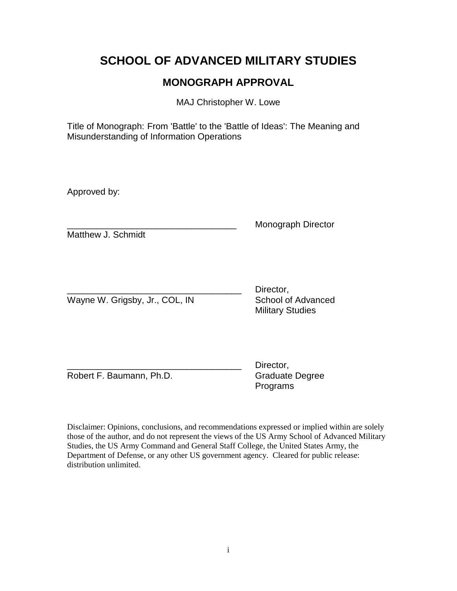# **SCHOOL OF ADVANCED MILITARY STUDIES**

# **MONOGRAPH APPROVAL**

MAJ Christopher W. Lowe

Title of Monograph: From 'Battle' to the 'Battle of Ideas': The Meaning and Misunderstanding of Information Operations

Approved by:

\_\_\_\_\_\_\_\_\_\_\_\_\_\_\_\_\_\_\_\_\_\_\_\_\_\_\_\_\_\_\_\_\_\_ Monograph Director

Matthew J. Schmidt

Wayne W. Grigsby, Jr., COL, IN School of Advanced

Director. Military Studies

Robert F. Baumann, Ph.D. Graduate Degree

Director, Programs

Disclaimer: Opinions, conclusions, and recommendations expressed or implied within are solely those of the author, and do not represent the views of the US Army School of Advanced Military Studies, the US Army Command and General Staff College, the United States Army, the Department of Defense, or any other US government agency. Cleared for public release: distribution unlimited.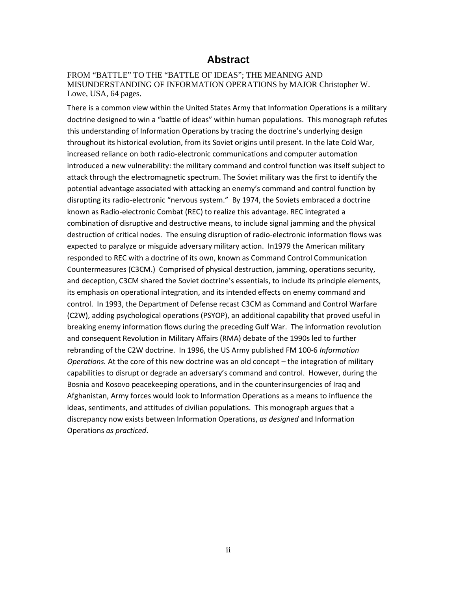## **Abstract**

FROM "BATTLE" TO THE "BATTLE OF IDEAS"; THE MEANING AND MISUNDERSTANDING OF INFORMATION OPERATIONS by MAJOR Christopher W. Lowe, USA, 64 pages.

There is a common view within the United States Army that Information Operations is a military doctrine designed to win a "battle of ideas" within human populations. This monograph refutes this understanding of Information Operations by tracing the doctrine's underlying design throughout its historical evolution, from its Soviet origins until present. In the late Cold War, increased reliance on both radio-electronic communications and computer automation introduced a new vulnerability: the military command and control function was itself subject to attack through the electromagnetic spectrum. The Soviet military was the first to identify the potential advantage associated with attacking an enemy's command and control function by disrupting its radio-electronic "nervous system." By 1974, the Soviets embraced a doctrine known as Radio-electronic Combat (REC) to realize this advantage. REC integrated a combination of disruptive and destructive means, to include signal jamming and the physical destruction of critical nodes. The ensuing disruption of radio-electronic information flows was expected to paralyze or misguide adversary military action. In1979 the American military responded to REC with a doctrine of its own, known as Command Control Communication Countermeasures (C3CM.) Comprised of physical destruction, jamming, operations security, and deception, C3CM shared the Soviet doctrine's essentials, to include its principle elements, its emphasis on operational integration, and its intended effects on enemy command and control. In 1993, the Department of Defense recast C3CM as Command and Control Warfare (C2W), adding psychological operations (PSYOP), an additional capability that proved useful in breaking enemy information flows during the preceding Gulf War. The information revolution and consequent Revolution in Military Affairs (RMA) debate of the 1990s led to further rebranding of the C2W doctrine. In 1996, the US Army published FM 100-6 *Information Operations.* At the core of this new doctrine was an old concept – the integration of military capabilities to disrupt or degrade an adversary's command and control. However, during the Bosnia and Kosovo peacekeeping operations, and in the counterinsurgencies of Iraq and Afghanistan, Army forces would look to Information Operations as a means to influence the ideas, sentiments, and attitudes of civilian populations. This monograph argues that a discrepancy now exists between Information Operations, *as designed* and Information Operations *as practiced*.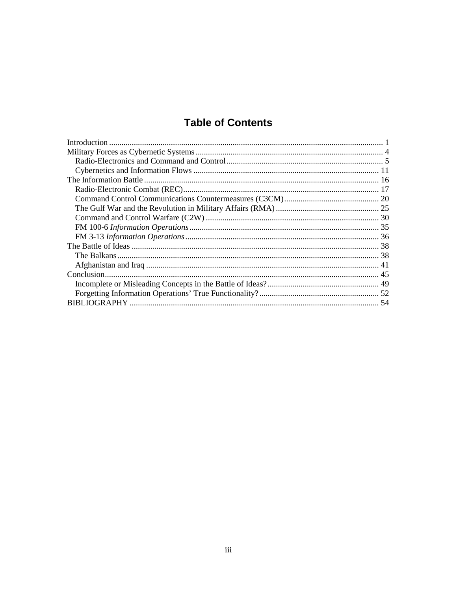# **Table of Contents**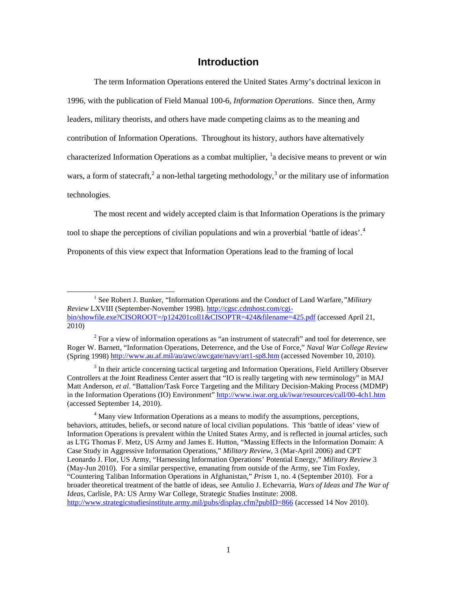## **Introduction**

<span id="page-5-0"></span> The term Information Operations entered the United States Army's doctrinal lexicon in 1996, with the publication of Field Manual 100-6, *Information Operations*. Since then, Army leaders, military theorists, and others have made competing claims as to the meaning and contribution of Information Operations. Throughout its history, authors have alternatively characterized Information Operations as a combat multiplier, <sup>[1](#page-5-1)</sup>a decisive means to prevent or win wars, a form of statecraft,<sup>[2](#page-5-2)</sup> a non-lethal targeting methodology,<sup>[3](#page-5-3)</sup> or the military use of information technologies.

The most recent and widely accepted claim is that Information Operations is the primary

tool to shape the perceptions of civilian populations and win a proverbial 'battle of ideas'. [4](#page-5-4)

Proponents of this view expect that Information Operations lead to the framing of local

l

<span id="page-5-1"></span><sup>&</sup>lt;sup>1</sup> See Robert J. Bunker, "Information Operations and the Conduct of Land Warfare," Military *Review* LXVIII (September-November 1998). [http://cgsc.cdmhost.com/cgi](http://cgsc.cdmhost.com/cgi-bin/showfile.exe?CISOROOT=/p124201coll1&CISOPTR=424&filename=425.pdf)[bin/showfile.exe?CISOROOT=/p124201coll1&CISOPTR=424&filename=425.pdf](http://cgsc.cdmhost.com/cgi-bin/showfile.exe?CISOROOT=/p124201coll1&CISOPTR=424&filename=425.pdf) (accessed April 21, 2010)

<span id="page-5-2"></span> $2$  For a view of information operations as "an instrument of statecraft" and tool for deterrence, see Roger W. Barnett, "Information Operations, Deterrence, and the Use of Force," *Naval War College Review* (Spring 1998) <http://www.au.af.mil/au/awc/awcgate/navy/art1-sp8.htm> (accessed November 10, 2010).

<span id="page-5-3"></span><sup>&</sup>lt;sup>3</sup> In their article concerning tactical targeting and Information Operations, Field Artillery Observer Controllers at the Joint Readiness Center assert that "IO is really targeting with new terminology" in MAJ Matt Anderson, *et al*. "Battalion/Task Force Targeting and the Military Decision-Making Process (MDMP) in the Information Operations (IO) Environment"<http://www.iwar.org.uk/iwar/resources/call/00-4ch1.htm> (accessed September 14, 2010).

<span id="page-5-4"></span><sup>4</sup> Many view Information Operations as a means to modify the assumptions, perceptions, behaviors, attitudes, beliefs, or second nature of local civilian populations. This 'battle of ideas' view of Information Operations is prevalent within the United States Army, and is reflected in journal articles, such as LTG Thomas F. Metz, US Army and James E. Hutton, "Massing Effects in the Information Domain: A Case Study in Aggressive Information Operations," *Military Review,* 3 (Mar-April 2006) and CPT Leonardo J. Flor, US Army, "Harnessing Information Operations' Potential Energy," *Military Review* 3 (May-Jun 2010). For a similar perspective, emanating from outside of the Army, see Tim Foxley, "Countering Taliban Information Operations in Afghanistan," *Prism* 1, no. 4 (September 2010). For a broader theoretical treatment of the battle of ideas, see Antulio J. Echevarria, *Wars of Ideas and The War of Ideas*, Carlisle, PA: US Army War College, Strategic Studies Institute: 2008. <http://www.strategicstudiesinstitute.army.mil/pubs/display.cfm?pubID=866> (accessed 14 Nov 2010).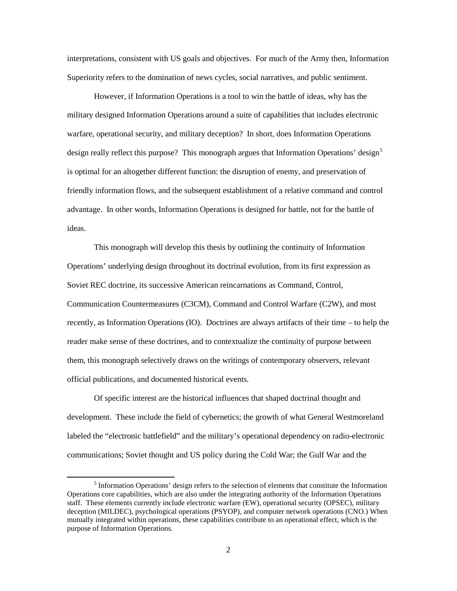interpretations, consistent with US goals and objectives. For much of the Army then, Information Superiority refers to the domination of news cycles, social narratives, and public sentiment.

However, if Information Operations is a tool to win the battle of ideas, why has the military designed Information Operations around a suite of capabilities that includes electronic warfare, operational security, and military deception? In short, does Information Operations design really reflect this purpose? This monograph argues that Information Operations' design<sup>[5](#page-6-0)</sup> is optimal for an altogether different function: the disruption of enemy, and preservation of friendly information flows, and the subsequent establishment of a relative command and control advantage. In other words, Information Operations is designed for battle, not for the battle of ideas.

 This monograph will develop this thesis by outlining the continuity of Information Operations' underlying design throughout its doctrinal evolution, from its first expression as Soviet REC doctrine, its successive American reincarnations as Command, Control, Communication Countermeasures (C3CM), Command and Control Warfare (C2W), and most recently, as Information Operations (IO). Doctrines are always artifacts of their time – to help the reader make sense of these doctrines, and to contextualize the continuity of purpose between them, this monograph selectively draws on the writings of contemporary observers, relevant official publications, and documented historical events.

Of specific interest are the historical influences that shaped doctrinal thought and development. These include the field of cybernetics; the growth of what General Westmoreland labeled the "electronic battlefield" and the military's operational dependency on radio-electronic communications; Soviet thought and US policy during the Cold War; the Gulf War and the

<span id="page-6-0"></span><sup>&</sup>lt;sup>5</sup> Information Operations' design refers to the selection of elements that constitute the Information Operations core capabilities, which are also under the integrating authority of the Information Operations staff. These elements currently include electronic warfare (EW), operational security (OPSEC), military deception (MILDEC), psychological operations (PSYOP), and computer network operations (CNO.) When mutually integrated within operations, these capabilities contribute to an operational effect, which is the purpose of Information Operations.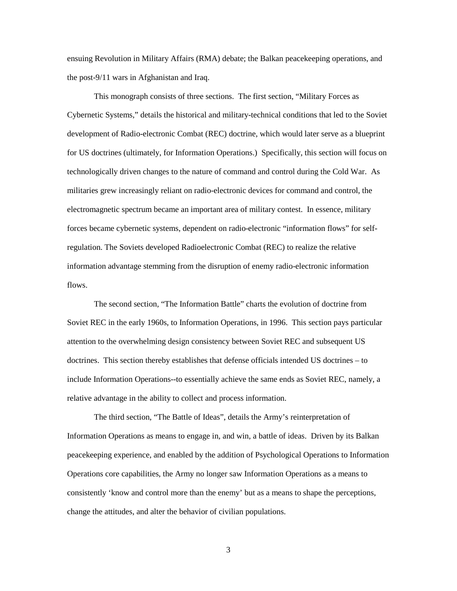ensuing Revolution in Military Affairs (RMA) debate; the Balkan peacekeeping operations, and the post-9/11 wars in Afghanistan and Iraq.

 This monograph consists of three sections. The first section, "Military Forces as Cybernetic Systems," details the historical and military-technical conditions that led to the Soviet development of Radio-electronic Combat (REC) doctrine, which would later serve as a blueprint for US doctrines (ultimately, for Information Operations.) Specifically, this section will focus on technologically driven changes to the nature of command and control during the Cold War. As militaries grew increasingly reliant on radio-electronic devices for command and control, the electromagnetic spectrum became an important area of military contest. In essence, military forces became cybernetic systems, dependent on radio-electronic "information flows" for selfregulation. The Soviets developed Radioelectronic Combat (REC) to realize the relative information advantage stemming from the disruption of enemy radio-electronic information flows.

 The second section, "The Information Battle" charts the evolution of doctrine from Soviet REC in the early 1960s, to Information Operations, in 1996. This section pays particular attention to the overwhelming design consistency between Soviet REC and subsequent US doctrines. This section thereby establishes that defense officials intended US doctrines – to include Information Operations--to essentially achieve the same ends as Soviet REC, namely, a relative advantage in the ability to collect and process information.

 The third section, "The Battle of Ideas", details the Army's reinterpretation of Information Operations as means to engage in, and win, a battle of ideas. Driven by its Balkan peacekeeping experience, and enabled by the addition of Psychological Operations to Information Operations core capabilities, the Army no longer saw Information Operations as a means to consistently 'know and control more than the enemy' but as a means to shape the perceptions, change the attitudes, and alter the behavior of civilian populations.

3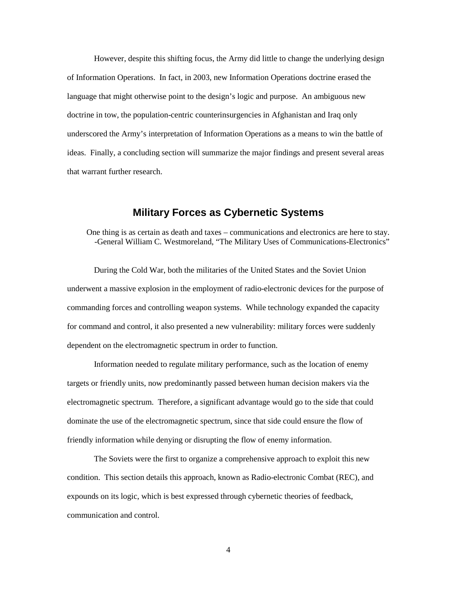However, despite this shifting focus, the Army did little to change the underlying design of Information Operations. In fact, in 2003, new Information Operations doctrine erased the language that might otherwise point to the design's logic and purpose. An ambiguous new doctrine in tow, the population-centric counterinsurgencies in Afghanistan and Iraq only underscored the Army's interpretation of Information Operations as a means to win the battle of ideas. Finally, a concluding section will summarize the major findings and present several areas that warrant further research.

## **Military Forces as Cybernetic Systems**

<span id="page-8-0"></span>One thing is as certain as death and taxes – communications and electronics are here to stay. -General William C. Westmoreland, "The Military Uses of Communications-Electronics"

 During the Cold War, both the militaries of the United States and the Soviet Union underwent a massive explosion in the employment of radio-electronic devices for the purpose of commanding forces and controlling weapon systems. While technology expanded the capacity for command and control, it also presented a new vulnerability: military forces were suddenly dependent on the electromagnetic spectrum in order to function.

 Information needed to regulate military performance, such as the location of enemy targets or friendly units, now predominantly passed between human decision makers via the electromagnetic spectrum. Therefore, a significant advantage would go to the side that could dominate the use of the electromagnetic spectrum, since that side could ensure the flow of friendly information while denying or disrupting the flow of enemy information.

The Soviets were the first to organize a comprehensive approach to exploit this new condition. This section details this approach, known as Radio-electronic Combat (REC), and expounds on its logic, which is best expressed through cybernetic theories of feedback, communication and control.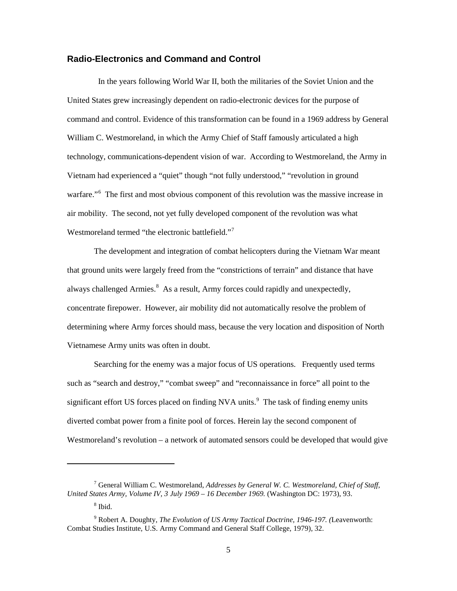#### <span id="page-9-0"></span>**Radio-Electronics and Command and Control**

 In the years following World War II, both the militaries of the Soviet Union and the United States grew increasingly dependent on radio-electronic devices for the purpose of command and control. Evidence of this transformation can be found in a 1969 address by General William C. Westmoreland, in which the Army Chief of Staff famously articulated a high technology, communications-dependent vision of war. According to Westmoreland, the Army in Vietnam had experienced a "quiet" though "not fully understood," "revolution in ground warfare."<sup>[6](#page-9-1)</sup> The first and most obvious component of this revolution was the massive increase in air mobility. The second, not yet fully developed component of the revolution was what Westmoreland termed "the electronic battlefield."[7](#page-9-2)

 The development and integration of combat helicopters during the Vietnam War meant that ground units were largely freed from the "constrictions of terrain" and distance that have always challenged Armies.<sup>[8](#page-9-3)</sup> As a result, Army forces could rapidly and unexpectedly, concentrate firepower. However, air mobility did not automatically resolve the problem of determining where Army forces should mass, because the very location and disposition of North Vietnamese Army units was often in doubt.

Searching for the enemy was a major focus of US operations. Frequently used terms such as "search and destroy," "combat sweep" and "reconnaissance in force" all point to the significant effort US forces placed on finding NVA units.<sup>[9](#page-9-4)</sup> The task of finding enemy units diverted combat power from a finite pool of forces. Herein lay the second component of Westmoreland's revolution – a network of automated sensors could be developed that would give

<span id="page-9-2"></span><span id="page-9-1"></span><sup>7</sup> General William C. Westmoreland, *Addresses by General W. C. Westmoreland, Chief of Staff, United States Army, Volume IV, 3 July 1969 – 16 December 1969.* (Washington DC: 1973), 93.

<sup>8</sup> Ibid.

<span id="page-9-4"></span><span id="page-9-3"></span><sup>9</sup> Robert A. Doughty, *The Evolution of US Army Tactical Doctrine, 1946-197. (*Leavenworth: Combat Studies Institute, U.S. Army Command and General Staff College, 1979), 32.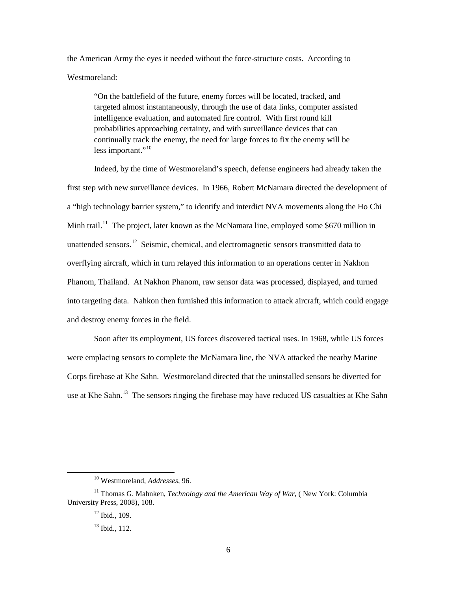the American Army the eyes it needed without the force-structure costs. According to Westmoreland:

"On the battlefield of the future, enemy forces will be located, tracked, and targeted almost instantaneously, through the use of data links, computer assisted intelligence evaluation, and automated fire control. With first round kill probabilities approaching certainty, and with surveillance devices that can continually track the enemy, the need for large forces to fix the enemy will be less important."<sup>[10](#page-10-0)</sup>

Indeed, by the time of Westmoreland's speech, defense engineers had already taken the first step with new surveillance devices. In 1966, Robert McNamara directed the development of a "high technology barrier system," to identify and interdict NVA movements along the Ho Chi Minh trail.<sup>[11](#page-10-1)</sup> The project, later known as the McNamara line, employed some \$670 million in unattended sensors.<sup>[12](#page-10-2)</sup> Seismic, chemical, and electromagnetic sensors transmitted data to overflying aircraft, which in turn relayed this information to an operations center in Nakhon Phanom, Thailand. At Nakhon Phanom, raw sensor data was processed, displayed, and turned into targeting data. Nahkon then furnished this information to attack aircraft, which could engage and destroy enemy forces in the field.

 Soon after its employment, US forces discovered tactical uses. In 1968, while US forces were emplacing sensors to complete the McNamara line, the NVA attacked the nearby Marine Corps firebase at Khe Sahn. Westmoreland directed that the uninstalled sensors be diverted for use at Khe Sahn.<sup>[13](#page-10-3)</sup> The sensors ringing the firebase may have reduced US casualties at Khe Sahn

<sup>10</sup> Westmoreland, *Addresses*, 96.

<span id="page-10-3"></span><span id="page-10-2"></span><span id="page-10-1"></span><span id="page-10-0"></span><sup>&</sup>lt;sup>11</sup> Thomas G. Mahnken, *Technology and the American Way of War*, ( New York: Columbia University Press, 2008), 108.

 $12$  Ibid., 109.

 $13$  Ibid., 112.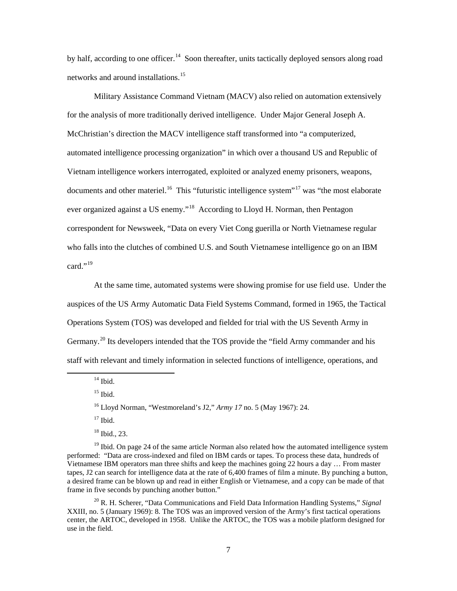by half, according to one officer.<sup>14</sup> Soon thereafter, units tactically deployed sensors along road networks and around installations.<sup>[15](#page-11-1)</sup>

Military Assistance Command Vietnam (MACV) also relied on automation extensively for the analysis of more traditionally derived intelligence. Under Major General Joseph A. McChristian's direction the MACV intelligence staff transformed into "a computerized, automated intelligence processing organization" in which over a thousand US and Republic of Vietnam intelligence workers interrogated, exploited or analyzed enemy prisoners, weapons, documents and other materiel.<sup>16</sup> This "futuristic intelligence system"<sup>[17](#page-11-3)</sup> was "the most elaborate ever organized against a US enemy."<sup>18</sup> According to Lloyd H. Norman, then Pentagon correspondent for Newsweek, "Data on every Viet Cong guerilla or North Vietnamese regular who falls into the clutches of combined U.S. and South Vietnamese intelligence go on an IBM card." $19$ 

At the same time, automated systems were showing promise for use field use. Under the auspices of the US Army Automatic Data Field Systems Command, formed in 1965, the Tactical Operations System (TOS) was developed and fielded for trial with the US Seventh Army in Germany.<sup>[20](#page-11-6)</sup> Its developers intended that the TOS provide the "field Army commander and his staff with relevant and timely information in selected functions of intelligence, operations, and

 $14$  Ibid.

<span id="page-11-2"></span><span id="page-11-1"></span><span id="page-11-0"></span> $\overline{\phantom{0}}$ 

 $15$  Ibid.

 $17$  Ibid.

<span id="page-11-6"></span><sup>20</sup> R. H. Scherer, "Data Communications and Field Data Information Handling Systems," *Signal*  XXIII, no. 5 (January 1969): 8. The TOS was an improved version of the Army's first tactical operations center, the ARTOC, developed in 1958. Unlike the ARTOC, the TOS was a mobile platform designed for use in the field.

<sup>16</sup> Lloyd Norman, "Westmoreland's J2," *Army 17* no. 5 (May 1967): 24.

<sup>18</sup> Ibid., 23.

<span id="page-11-5"></span><span id="page-11-4"></span><span id="page-11-3"></span> $19$  Ibid. On page 24 of the same article Norman also related how the automated intelligence system performed: "Data are cross-indexed and filed on IBM cards or tapes. To process these data, hundreds of Vietnamese IBM operators man three shifts and keep the machines going 22 hours a day … From master tapes, J2 can search for intelligence data at the rate of 6,400 frames of film a minute. By punching a button, a desired frame can be blown up and read in either English or Vietnamese, and a copy can be made of that frame in five seconds by punching another button."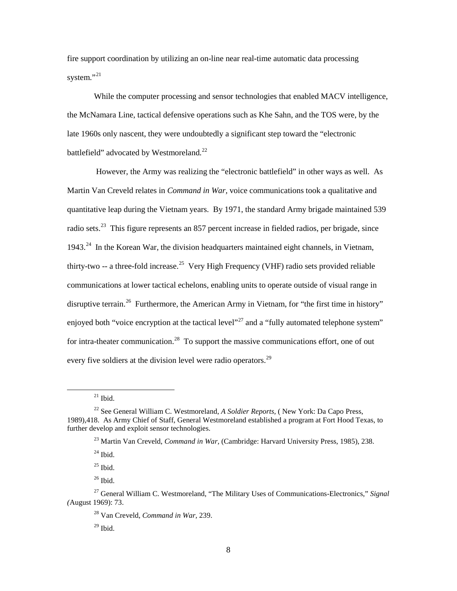fire support coordination by utilizing an on-line near real-time automatic data processing system." $^{21}$  $^{21}$  $^{21}$ 

While the computer processing and sensor technologies that enabled MACV intelligence, the McNamara Line, tactical defensive operations such as Khe Sahn, and the TOS were, by the late 1960s only nascent, they were undoubtedly a significant step toward the "electronic battlefield" advocated by Westmoreland.<sup>[22](#page-12-1)</sup>

 However, the Army was realizing the "electronic battlefield" in other ways as well. As Martin Van Creveld relates in *Command in War,* voice communications took a qualitative and quantitative leap during the Vietnam years. By 1971, the standard Army brigade maintained 539 radio sets.<sup>[23](#page-12-2)</sup> This figure represents an 857 percent increase in fielded radios, per brigade, since  $1943<sup>24</sup>$  $1943<sup>24</sup>$  $1943<sup>24</sup>$  In the Korean War, the division headquarters maintained eight channels, in Vietnam, thirty-two -- a three-fold increase.<sup>25</sup> Very High Frequency (VHF) radio sets provided reliable communications at lower tactical echelons, enabling units to operate outside of visual range in disruptive terrain.<sup>26</sup> Furthermore, the American Army in Vietnam, for "the first time in history" enjoyed both "voice encryption at the tactical level"<sup>[27](#page-12-6)</sup> and a "fully automated telephone system" for intra-theater communication.<sup>28</sup> To support the massive communications effort, one of out every five soldiers at the division level were radio operators.<sup>[29](#page-12-8)</sup>

 $\overline{\phantom{0}}$ 

<sup>26</sup> Ibid.

 $^{21}$  Ibid.

<span id="page-12-2"></span><span id="page-12-1"></span><span id="page-12-0"></span><sup>22</sup> See General William C. Westmoreland, *A Soldier Reports,* ( New York: Da Capo Press, 1989),418. As Army Chief of Staff, General Westmoreland established a program at Fort Hood Texas, to further develop and exploit sensor technologies.

<sup>23</sup> Martin Van Creveld, *Command in War,* (Cambridge: Harvard University Press, 1985), 238.

 $^{24}$  Ibid.

 $^{25}$  Ibid.

<span id="page-12-8"></span><span id="page-12-7"></span><span id="page-12-6"></span><span id="page-12-5"></span><span id="page-12-4"></span><span id="page-12-3"></span><sup>27</sup> General William C. Westmoreland, "The Military Uses of Communications-Electronics," *Signal (*August 1969): 73.

<sup>28</sup> Van Creveld, *Command in War,* 239.

 $29$  Ibid.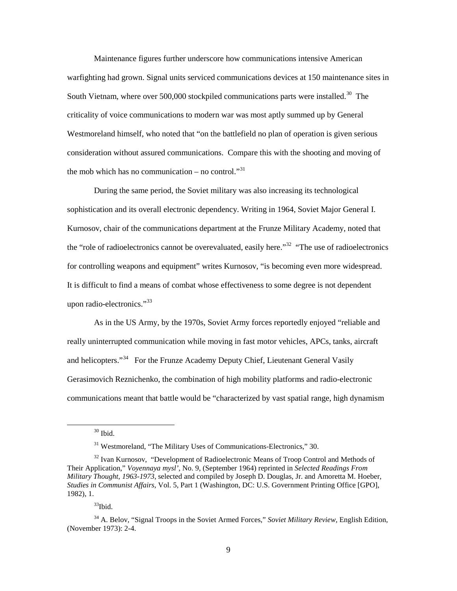Maintenance figures further underscore how communications intensive American warfighting had grown. Signal units serviced communications devices at 150 maintenance sites in South Vietnam, where over 500,000 stockpiled communications parts were installed.<sup>[30](#page-13-0)</sup> The criticality of voice communications to modern war was most aptly summed up by General Westmoreland himself, who noted that "on the battlefield no plan of operation is given serious consideration without assured communications. Compare this with the shooting and moving of the mob which has no communication – no control."<sup>[31](#page-13-1)</sup>

During the same period, the Soviet military was also increasing its technological sophistication and its overall electronic dependency. Writing in 1964, Soviet Major General I. Kurnosov, chair of the communications department at the Frunze Military Academy, noted that the "role of radioelectronics cannot be overevaluated, easily here."<sup>32</sup> "The use of radioelectronics for controlling weapons and equipment" writes Kurnosov, "is becoming even more widespread. It is difficult to find a means of combat whose effectiveness to some degree is not dependent upon radio-electronics."<sup>[33](#page-13-3)</sup>

As in the US Army, by the 1970s, Soviet Army forces reportedly enjoyed "reliable and really uninterrupted communication while moving in fast motor vehicles, APCs, tanks, aircraft and helicopters."<sup>[34](#page-13-4)</sup> For the Frunze Academy Deputy Chief, Lieutenant General Vasily Gerasimovich Reznichenko, the combination of high mobility platforms and radio-electronic communications meant that battle would be "characterized by vast spatial range, high dynamism

 $30$  Ibid.

<sup>&</sup>lt;sup>31</sup> Westmoreland, "The Military Uses of Communications-Electronics," 30.

<span id="page-13-2"></span><span id="page-13-1"></span><span id="page-13-0"></span><sup>&</sup>lt;sup>32</sup> Ivan Kurnosov, "Development of Radioelectronic Means of Troop Control and Methods of Their Application," *Voyennaya mysl'*, No. 9, (September 1964) reprinted in *Selected Readings From Military Thought*, *1963-1973*, selected and compiled by Joseph D. Douglas, Jr. and Amoretta M. Hoeber, *Studies in Communist Affairs*, Vol. 5, Part 1 (Washington, DC: U.S. Government Printing Office [GPO], 1982), 1.

<sup>33</sup>Ibid.

<span id="page-13-4"></span><span id="page-13-3"></span><sup>34</sup> A. Belov, "Signal Troops in the Soviet Armed Forces," *Soviet Military Review,* English Edition, (November 1973): 2-4.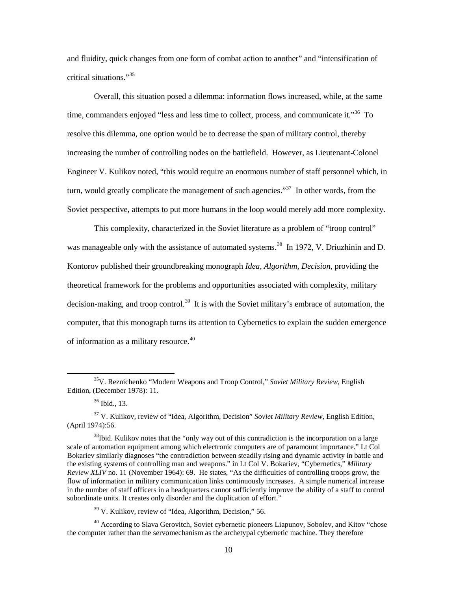and fluidity, quick changes from one form of combat action to another" and "intensification of critical situations."[35](#page-14-0)

Overall, this situation posed a dilemma: information flows increased, while, at the same time, commanders enjoyed "less and less time to collect, process, and communicate it."<sup>[36](#page-14-1)</sup> To resolve this dilemma, one option would be to decrease the span of military control, thereby increasing the number of controlling nodes on the battlefield. However, as Lieutenant-Colonel Engineer V. Kulikov noted, "this would require an enormous number of staff personnel which, in turn, would greatly complicate the management of such agencies."<sup>[37](#page-14-2)</sup> In other words, from the Soviet perspective, attempts to put more humans in the loop would merely add more complexity.

This complexity, characterized in the Soviet literature as a problem of "troop control" was manageable only with the assistance of automated systems.<sup>[38](#page-14-3)</sup> In 1972, V. Driuzhinin and D. Kontorov published their groundbreaking monograph *Idea, Algorithm, Decision,* providing the theoretical framework for the problems and opportunities associated with complexity, military decision-making, and troop control.<sup>39</sup> It is with the Soviet military's embrace of automation, the computer, that this monograph turns its attention to Cybernetics to explain the sudden emergence of information as a military resource.<sup>[40](#page-14-5)</sup>

<span id="page-14-0"></span><sup>35</sup>V. Reznichenko "Modern Weapons and Troop Control," *Soviet Military Review*, English Edition, (December 1978): 11.

<sup>36</sup> Ibid., 13.

<span id="page-14-2"></span><span id="page-14-1"></span><sup>37</sup> V. Kulikov, review of "Idea, Algorithm, Decision" *Soviet Military Review,* English Edition, (April 1974):56.

<span id="page-14-3"></span> $38$ Ibid. Kulikov notes that the "only way out of this contradiction is the incorporation on a large scale of automation equipment among which electronic computers are of paramount importance." Lt Col Bokariev similarly diagnoses "the contradiction between steadily rising and dynamic activity in battle and the existing systems of controlling man and weapons." in Lt Col V. Bokariev, "Cybernetics," *Military Review XLIV* no. 11 (November 1964): 69. He states, "As the difficulties of controlling troops grow, the flow of information in military communication links continuously increases. A simple numerical increase in the number of staff officers in a headquarters cannot sufficiently improve the ability of a staff to control subordinate units. It creates only disorder and the duplication of effort."

<sup>&</sup>lt;sup>39</sup> V. Kulikov, review of "Idea, Algorithm, Decision," 56.

<span id="page-14-5"></span><span id="page-14-4"></span> $40$  According to Slava Gerovitch, Soviet cybernetic pioneers Liapunov, Sobolev, and Kitov "chose" the computer rather than the servomechanism as the archetypal cybernetic machine. They therefore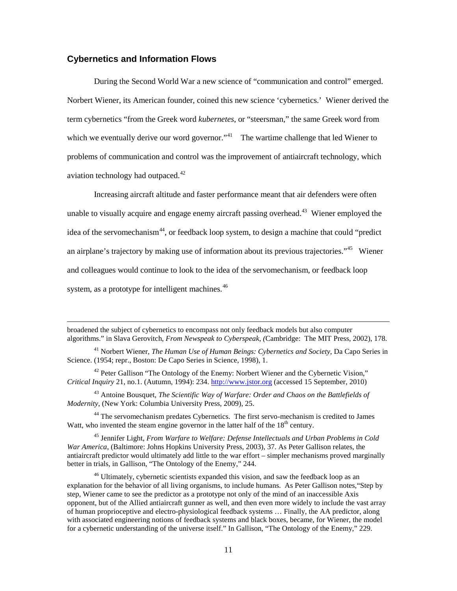#### <span id="page-15-0"></span>**Cybernetics and Information Flows**

 $\overline{\phantom{0}}$ 

 During the Second World War a new science of "communication and control" emerged. Norbert Wiener, its American founder, coined this new science 'cybernetics.' Wiener derived the term cybernetics "from the Greek word *kubernetes*, or "steersman," the same Greek word from which we eventually derive our word governor."<sup>41</sup> The wartime challenge that led Wiener to problems of communication and control was the improvement of antiaircraft technology, which aviation technology had outpaced.<sup>[42](#page-15-2)</sup>

Increasing aircraft altitude and faster performance meant that air defenders were often unable to visually acquire and engage enemy aircraft passing overhead.<sup>[43](#page-15-3)</sup> Wiener employed the idea of the servomechanism<sup>44</sup>, or feedback loop system, to design a machine that could "predict an airplane's trajectory by making use of information about its previous trajectories."[45](#page-15-5) Wiener and colleagues would continue to look to the idea of the servomechanism, or feedback loop system, as a prototype for intelligent machines.<sup>[46](#page-15-6)</sup>

<span id="page-15-3"></span><sup>43</sup> Antoine Bousquet, *The Scientific Way of Warfare: Order and Chaos on the Battlefields of Modernity*, (New York: Columbia University Press, 2009), 25.

<span id="page-15-4"></span><sup>44</sup> The servomechanism predates Cybernetics. The first servo-mechanism is credited to James Watt, who invented the steam engine governor in the latter half of the  $18<sup>th</sup>$  century.

<span id="page-15-5"></span><sup>45</sup> Jennifer Light, *From Warfare to Welfare: Defense Intellectuals and Urban Problems in Cold War America*, (Baltimore: Johns Hopkins University Press, 2003), 37. As Peter Gallison relates, the antiaircraft predictor would ultimately add little to the war effort – simpler mechanisms proved marginally better in trials, in Gallison, "The Ontology of the Enemy," 244.

broadened the subject of cybernetics to encompass not only feedback models but also computer algorithms." in Slava Gerovitch, *From Newspeak to Cyberspeak, (*Cambridge: The MIT Press, 2002), 178.

<span id="page-15-1"></span><sup>41</sup> Norbert Wiener, *The Human Use of Human Beings: Cybernetics and Society*, Da Capo Series in Science. (1954; repr., Boston: De Capo Series in Science, 1998), 1.

<span id="page-15-2"></span> $42$  Peter Gallison "The Ontology of the Enemy: Norbert Wiener and the Cybernetic Vision," *Critical Inquiry* 21, no.1. (Autumn, 1994): 234. [http://www.jstor.org](http://www.jstor.org/) (accessed 15 September, 2010)

<span id="page-15-6"></span><sup>&</sup>lt;sup>46</sup> Ultimately, cybernetic scientists expanded this vision, and saw the feedback loop as an explanation for the behavior of all living organisms, to include humans. As Peter Gallison notes,"Step by step, Wiener came to see the predictor as a prototype not only of the mind of an inaccessible Axis opponent, but of the Allied antiaircraft gunner as well, and then even more widely to include the vast array of human proprioceptive and electro-physiological feedback systems … Finally, the AA predictor, along with associated engineering notions of feedback systems and black boxes, became, for Wiener, the model for a cybernetic understanding of the universe itself." In Gallison, "The Ontology of the Enemy," 229.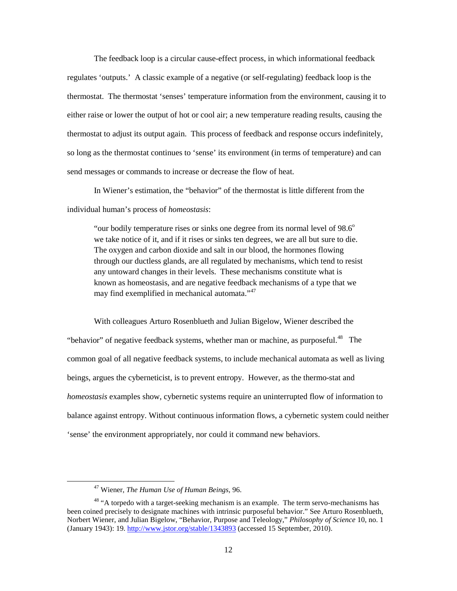The feedback loop is a circular cause-effect process, in which informational feedback regulates 'outputs.' A classic example of a negative (or self-regulating) feedback loop is the thermostat. The thermostat 'senses' temperature information from the environment, causing it to either raise or lower the output of hot or cool air; a new temperature reading results, causing the thermostat to adjust its output again. This process of feedback and response occurs indefinitely, so long as the thermostat continues to 'sense' its environment (in terms of temperature) and can send messages or commands to increase or decrease the flow of heat.

In Wiener's estimation, the "behavior" of the thermostat is little different from the individual human's process of *homeostasis*:

"our bodily temperature rises or sinks one degree from its normal level of  $98.6^\circ$ we take notice of it, and if it rises or sinks ten degrees, we are all but sure to die. The oxygen and carbon dioxide and salt in our blood, the hormones flowing through our ductless glands, are all regulated by mechanisms, which tend to resist any untoward changes in their levels. These mechanisms constitute what is known as homeostasis, and are negative feedback mechanisms of a type that we may find exemplified in mechanical automata."<sup>47</sup>

 With colleagues Arturo Rosenblueth and Julian Bigelow, Wiener described the "behavior" of negative feedback systems, whether man or machine, as purposeful.<sup>[48](#page-16-1)</sup> The common goal of all negative feedback systems, to include mechanical automata as well as living beings, argues the cyberneticist, is to prevent entropy. However, as the thermo-stat and *homeostasis* examples show, cybernetic systems require an uninterrupted flow of information to balance against entropy. Without continuous information flows, a cybernetic system could neither 'sense' the environment appropriately, nor could it command new behaviors.

<sup>47</sup> Wiener, *The Human Use of Human Beings*, 96.

<span id="page-16-1"></span><span id="page-16-0"></span><sup>&</sup>lt;sup>48</sup> "A torpedo with a target-seeking mechanism is an example. The term servo-mechanisms has been coined precisely to designate machines with intrinsic purposeful behavior." See Arturo Rosenblueth, Norbert Wiener, and Julian Bigelow, "Behavior, Purpose and Teleology," *Philosophy of Science* 10, no. 1 (January 1943): 19[. http://www.jstor.org/stable/1343893](http://www.jstor.org/stable/1343893) (accessed 15 September, 2010).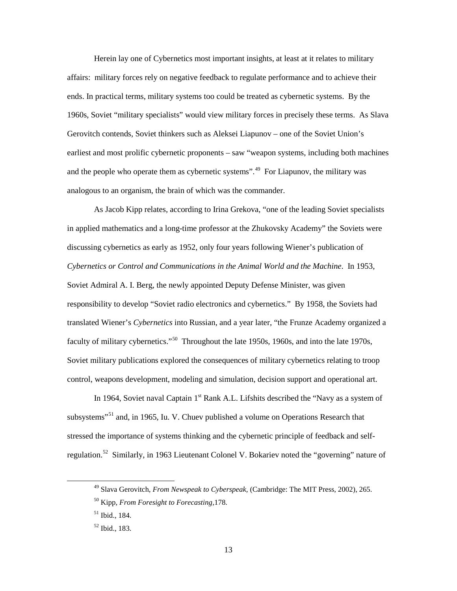Herein lay one of Cybernetics most important insights, at least at it relates to military affairs: military forces rely on negative feedback to regulate performance and to achieve their ends. In practical terms, military systems too could be treated as cybernetic systems. By the 1960s, Soviet "military specialists" would view military forces in precisely these terms. As Slava Gerovitch contends, Soviet thinkers such as Aleksei Liapunov – one of the Soviet Union's earliest and most prolific cybernetic proponents – saw "weapon systems, including both machines and the people who operate them as cybernetic systems".<sup>[49](#page-17-0)</sup> For Liapunov, the military was analogous to an organism, the brain of which was the commander.

As Jacob Kipp relates, according to Irina Grekova, "one of the leading Soviet specialists in applied mathematics and a long-time professor at the Zhukovsky Academy" the Soviets were discussing cybernetics as early as 1952, only four years following Wiener's publication of *Cybernetics or Control and Communications in the Animal World and the Machine*. In 1953, Soviet Admiral A. I. Berg, the newly appointed Deputy Defense Minister, was given responsibility to develop "Soviet radio electronics and cybernetics." By 1958, the Soviets had translated Wiener's *Cybernetics* into Russian, and a year later, "the Frunze Academy organized a faculty of military cybernetics."<sup>[50](#page-17-1)</sup> Throughout the late 1950s, 1960s, and into the late 1970s, Soviet military publications explored the consequences of military cybernetics relating to troop control, weapons development, modeling and simulation, decision support and operational art.

In 1964, Soviet naval Captain  $1<sup>st</sup>$  Rank A.L. Lifshits described the "Navy as a system of subsystems"<sup>51</sup> and, in 1965, Iu. V. Chuev published a volume on Operations Research that stressed the importance of systems thinking and the cybernetic principle of feedback and self-regulation.<sup>[52](#page-17-3)</sup> Similarly, in 1963 Lieutenant Colonel V. Bokariev noted the "governing" nature of

<span id="page-17-0"></span><sup>49</sup> Slava Gerovitch, *From Newspeak to Cyberspeak,* (Cambridge: The MIT Press, 2002), 265.

<span id="page-17-1"></span><sup>50</sup> Kipp, *From Foresight to Forecasting,*178.

<span id="page-17-2"></span> $51$  Ibid., 184.

<span id="page-17-3"></span><sup>52</sup> Ibid., 183.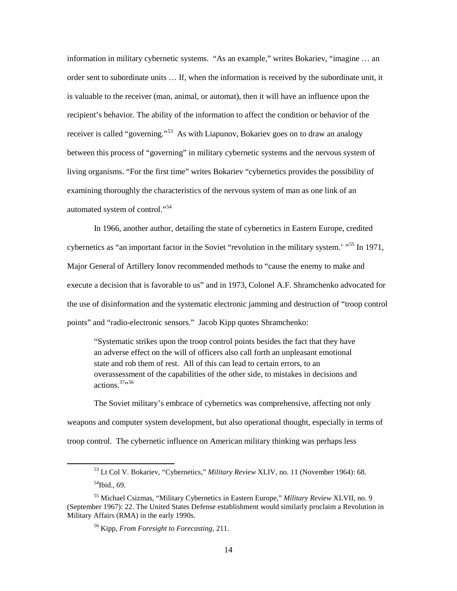information in military cybernetic systems. "As an example," writes Bokariev, "imagine … an order sent to subordinate units … If, when the information is received by the subordinate unit, it is valuable to the receiver (man, animal, or automat), then it will have an influence upon the recipient's behavior. The ability of the information to affect the condition or behavior of the receiver is called "governing."<sup>53</sup> As with Liapunov, Bokariev goes on to draw an analogy between this process of "governing" in military cybernetic systems and the nervous system of living organisms. "For the first time" writes Bokariev "cybernetics provides the possibility of examining thoroughly the characteristics of the nervous system of man as one link of an automated system of control."<sup>[54](#page-18-1)</sup>

 In 1966, another author, detailing the state of cybernetics in Eastern Europe, credited cybernetics as "an important factor in the Soviet "revolution in the military system.' "<sup>[55](#page-18-2)</sup> In 1971, Major General of Artillery Ionov recommended methods to "cause the enemy to make and execute a decision that is favorable to us" and in 1973, Colonel A.F. Shramchenko advocated for the use of disinformation and the systematic electronic jamming and destruction of "troop control points" and "radio-electronic sensors." Jacob Kipp quotes Shramchenko:

"Systematic strikes upon the troop control points besides the fact that they have an adverse effect on the will of officers also call forth an unpleasant emotional state and rob them of rest. All of this can lead to certain errors, to an overassessment of the capabilities of the other side, to mistakes in decisions and actions.<sup>37</sup>"

The Soviet military's embrace of cybernetics was comprehensive, affecting not only weapons and computer system development, but also operational thought, especially in terms of troop control. The cybernetic influence on American military thinking was perhaps less

<sup>53</sup> Lt Col V. Bokariev, "Cybernetics," *Military Review* XLIV, no. 11 (November 1964): 68.  $54$ Ibid., 69.

<span id="page-18-3"></span><span id="page-18-2"></span><span id="page-18-1"></span><span id="page-18-0"></span><sup>55</sup> Michael Csizmas, "Military Cybernetics in Eastern Europe," *Military Review* XLVII, no. 9 (September 1967): 22. The United States Defense establishment would similarly proclaim a Revolution in Military Affairs (RMA) in the early 1990s.

<sup>56</sup> Kipp, *From Foresight to Forecasting*, 211.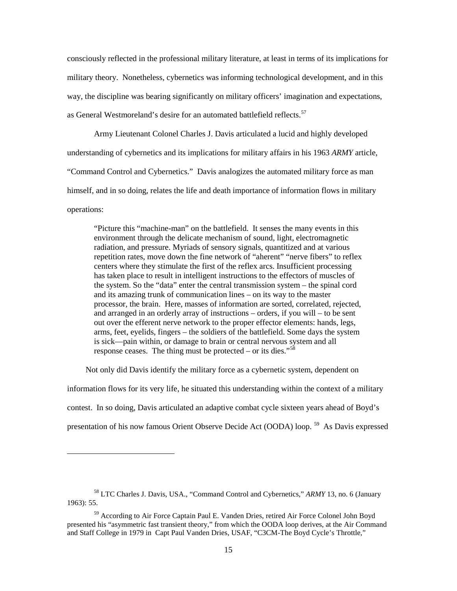consciously reflected in the professional military literature, at least in terms of its implications for military theory. Nonetheless, cybernetics was informing technological development, and in this way, the discipline was bearing significantly on military officers' imagination and expectations, as General Westmoreland's desire for an automated battlefield reflects.<sup>[57](#page-19-0)</sup>

Army Lieutenant Colonel Charles J. Davis articulated a lucid and highly developed understanding of cybernetics and its implications for military affairs in his 1963 *ARMY* article, "Command Control and Cybernetics." Davis analogizes the automated military force as man himself, and in so doing, relates the life and death importance of information flows in military operations:

"Picture this "machine-man" on the battlefield. It senses the many events in this environment through the delicate mechanism of sound, light, electromagnetic radiation, and pressure. Myriads of sensory signals, quantitized and at various repetition rates, move down the fine network of "aherent" "nerve fibers" to reflex centers where they stimulate the first of the reflex arcs. Insufficient processing has taken place to result in intelligent instructions to the effectors of muscles of the system. So the "data" enter the central transmission system – the spinal cord and its amazing trunk of communication lines – on its way to the master processor, the brain. Here, masses of information are sorted, correlated, rejected, and arranged in an orderly array of instructions – orders, if you will – to be sent out over the efferent nerve network to the proper effector elements: hands, legs, arms, feet, eyelids, fingers – the soldiers of the battlefield. Some days the system is sick—pain within, or damage to brain or central nervous system and all response ceases. The thing must be protected – or its dies."<sup>[58](#page-19-1)</sup>

Not only did Davis identify the military force as a cybernetic system, dependent on

information flows for its very life, he situated this understanding within the context of a military contest. In so doing, Davis articulated an adaptive combat cycle sixteen years ahead of Boyd's presentation of his now famous Orient Observe Decide Act (OODA) loop.<sup>[59](#page-19-2)</sup> As Davis expressed

<span id="page-19-1"></span><span id="page-19-0"></span><sup>58</sup> LTC Charles J. Davis, USA., "Command Control and Cybernetics," *ARMY* 13, no. 6 (January 1963): 55.

<span id="page-19-2"></span><sup>59</sup> According to Air Force Captain Paul E. Vanden Dries, retired Air Force Colonel John Boyd presented his "asymmetric fast transient theory," from which the OODA loop derives, at the Air Command and Staff College in 1979 in Capt Paul Vanden Dries, USAF, "C3CM-The Boyd Cycle's Throttle,"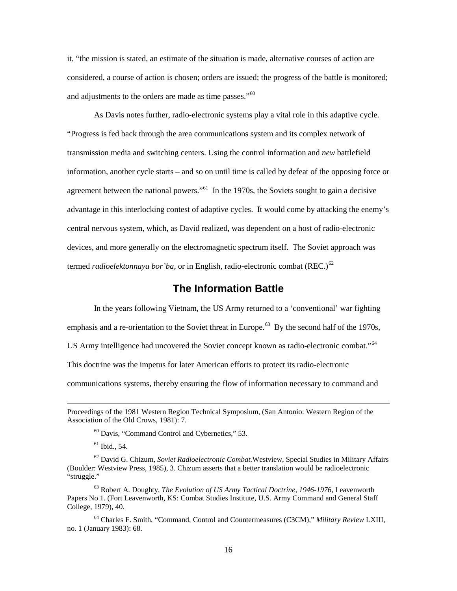it, "the mission is stated, an estimate of the situation is made, alternative courses of action are considered, a course of action is chosen; orders are issued; the progress of the battle is monitored; and adjustments to the orders are made as time passes."<sup>[60](#page-20-1)</sup>

As Davis notes further, radio-electronic systems play a vital role in this adaptive cycle. "Progress is fed back through the area communications system and its complex network of transmission media and switching centers. Using the control information and *new* battlefield information, another cycle starts – and so on until time is called by defeat of the opposing force or agreement between the national powers."<sup> $61$ </sup> In the 1970s, the Soviets sought to gain a decisive advantage in this interlocking contest of adaptive cycles. It would come by attacking the enemy's central nervous system, which, as David realized, was dependent on a host of radio-electronic devices, and more generally on the electromagnetic spectrum itself. The Soviet approach was termed *radioelektonnaya bor'ba*, or in English, radio-electronic combat (REC.)<sup>[62](#page-20-3)</sup>

# **The Information Battle**

<span id="page-20-0"></span> In the years following Vietnam, the US Army returned to a 'conventional' war fighting emphasis and a re-orientation to the Soviet threat in Europe.<sup>[63](#page-20-4)</sup> By the second half of the 1970s, US Army intelligence had uncovered the Soviet concept known as radio-electronic combat."<sup>[64](#page-20-5)</sup> This doctrine was the impetus for later American efforts to protect its radio-electronic communications systems, thereby ensuring the flow of information necessary to command and

 $\overline{\phantom{0}}$ 

<span id="page-20-5"></span><sup>64</sup> Charles F. Smith, "Command, Control and Countermeasures (C3CM)," *Military Review* LXIII, no. 1 (January 1983): 68.

<span id="page-20-1"></span>Proceedings of the 1981 Western Region Technical Symposium, (San Antonio: Western Region of the Association of the Old Crows, 1981): 7.

<sup>60</sup> Davis, "Command Control and Cybernetics," 53.

 $61$  Ibid., 54.

<span id="page-20-3"></span><span id="page-20-2"></span><sup>62</sup> David G. Chizum, *Soviet Radioelectronic Combat.*Westview, Special Studies in Military Affairs (Boulder: Westview Press, 1985), 3. Chizum asserts that a better translation would be radioelectronic "struggle."

<span id="page-20-4"></span><sup>63</sup> Robert A. Doughty, *The Evolution of US Army Tactical Doctrine, 1946-1976,* Leavenworth Papers No 1. (Fort Leavenworth, KS: Combat Studies Institute, U.S. Army Command and General Staff College, 1979), 40.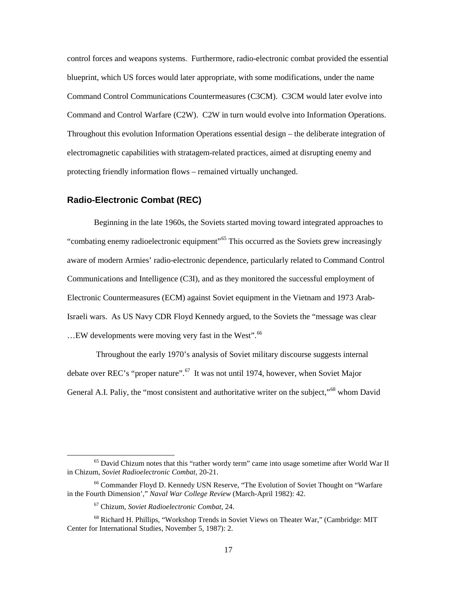control forces and weapons systems. Furthermore, radio-electronic combat provided the essential blueprint, which US forces would later appropriate, with some modifications, under the name Command Control Communications Countermeasures (C3CM). C3CM would later evolve into Command and Control Warfare (C2W). C2W in turn would evolve into Information Operations. Throughout this evolution Information Operations essential design – the deliberate integration of electromagnetic capabilities with stratagem-related practices, aimed at disrupting enemy and protecting friendly information flows – remained virtually unchanged.

#### <span id="page-21-0"></span>**Radio-Electronic Combat (REC)**

 Beginning in the late 1960s, the Soviets started moving toward integrated approaches to "combating enemy radioelectronic equipment"<sup>[65](#page-21-1)</sup> This occurred as the Soviets grew increasingly aware of modern Armies' radio-electronic dependence, particularly related to Command Control Communications and Intelligence (C3I), and as they monitored the successful employment of Electronic Countermeasures (ECM) against Soviet equipment in the Vietnam and 1973 Arab-Israeli wars. As US Navy CDR Floyd Kennedy argued, to the Soviets the "message was clear ...EW developments were moving very fast in the West".<sup>[66](#page-21-2)</sup>

 Throughout the early 1970's analysis of Soviet military discourse suggests internal debate over REC's "proper nature".<sup>67</sup> It was not until 1974, however, when Soviet Major General A.I. Paliy, the "most consistent and authoritative writer on the subject,"<sup>[68](#page-21-4)</sup> whom David

l

<span id="page-21-1"></span><sup>&</sup>lt;sup>65</sup> David Chizum notes that this "rather wordy term" came into usage sometime after World War II in Chizum, *Soviet Radioelectronic Combat,* 20-21.

<span id="page-21-2"></span><sup>66</sup> Commander Floyd D. Kennedy USN Reserve, "The Evolution of Soviet Thought on "Warfare in the Fourth Dimension'," *Naval War College Review* (March-April 1982): 42.

<sup>67</sup> Chizum, *Soviet Radioelectronic Combat,* 24.

<span id="page-21-4"></span><span id="page-21-3"></span><sup>68</sup> Richard H. Phillips, "Workshop Trends in Soviet Views on Theater War," (Cambridge: MIT Center for International Studies, November 5, 1987): 2.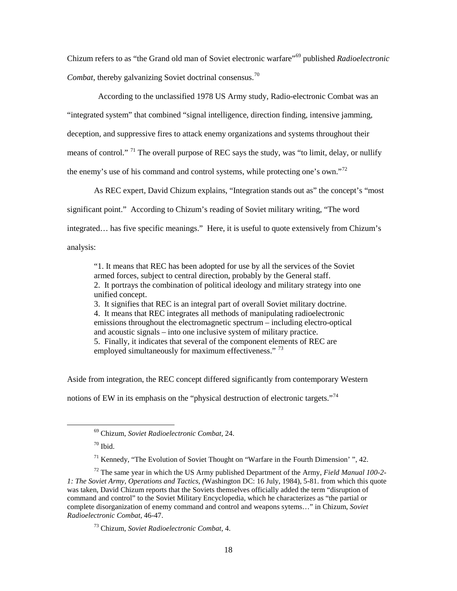Chizum refers to as "the Grand old man of Soviet electronic warfare"[69](#page-22-0) published *Radioelectronic Combat*, thereby galvanizing Soviet doctrinal consensus.[70](#page-22-1)

 According to the unclassified 1978 US Army study, Radio-electronic Combat was an "integrated system" that combined "signal intelligence, direction finding, intensive jamming, deception, and suppressive fires to attack enemy organizations and systems throughout their means of control."<sup>[71](#page-22-2)</sup> The overall purpose of REC says the study, was "to limit, delay, or nullify the enemy's use of his command and control systems, while protecting one's own."<sup>[72](#page-22-3)</sup>

As REC expert, David Chizum explains, "Integration stands out as" the concept's "most significant point." According to Chizum's reading of Soviet military writing, "The word integrated… has five specific meanings." Here, it is useful to quote extensively from Chizum's analysis:

<span id="page-22-5"></span>

"1. It means that REC has been adopted for use by all the services of the Soviet armed forces, subject to central direction, probably by the General staff. 2. It portrays the combination of political ideology and military strategy into one unified concept.

3. It signifies that REC is an integral part of overall Soviet military doctrine. 4. It means that REC integrates all methods of manipulating radioelectronic emissions throughout the electromagnetic spectrum – including electro-optical and acoustic signals – into one inclusive system of military practice. 5. Finally, it indicates that several of the component elements of REC are employed simultaneously for maximum effectiveness."<sup>[73](#page-22-4)</sup>

Aside from integration, the REC concept differed significantly from contemporary Western notions of EW in its emphasis on the "physical destruction of electronic targets."<sup>[74](#page-22-5)</sup>

<span id="page-22-1"></span><span id="page-22-0"></span>ı

 $171$  Kennedy, "The Evolution of Soviet Thought on "Warfare in the Fourth Dimension'", 42.

<sup>69</sup> Chizum, *Soviet Radioelectronic Combat,* 24.

 $70$  Ibid.

<span id="page-22-4"></span><span id="page-22-3"></span><span id="page-22-2"></span><sup>72</sup> The same year in which the US Army published Department of the Army, *Field Manual 100-2- 1: The Soviet Army, Operations and Tactics, (*Washington DC: 16 July, 1984), 5-81. from which this quote was taken, David Chizum reports that the Soviets themselves officially added the term "disruption of command and control" to the Soviet Military Encyclopedia, which he characterizes as "the partial or complete disorganization of enemy command and control and weapons sytems…" in Chizum, *Soviet Radioelectronic Combat,* 46-47.

<sup>73</sup> Chizum, *Soviet Radioelectronic Combat,* 4.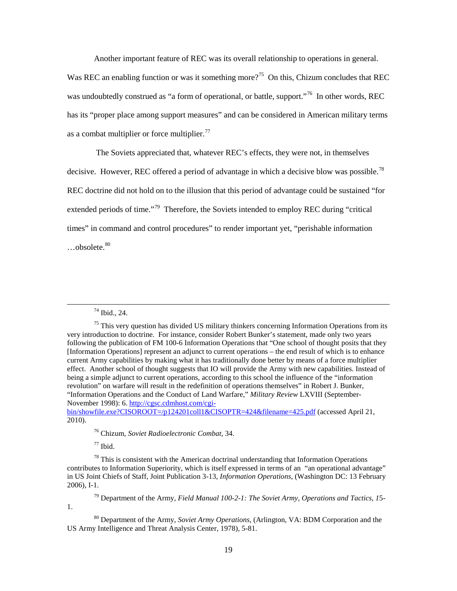Another important feature of REC was its overall relationship to operations in general.

Was REC an enabling function or was it something more?<sup>75</sup> On this, Chizum concludes that REC was undoubtedly construed as "a form of operational, or battle, support."<sup>76</sup> In other words, REC has its "proper place among support measures" and can be considered in American military terms as a combat multiplier or force multiplier. $^{77}$  $^{77}$  $^{77}$ 

 The Soviets appreciated that, whatever REC's effects, they were not, in themselves decisive. However, REC offered a period of advantage in which a decisive blow was possible.<sup>78</sup> REC doctrine did not hold on to the illusion that this period of advantage could be sustained "for extended periods of time."<sup>[79](#page-23-4)</sup> Therefore, the Soviets intended to employ REC during "critical" times" in command and control procedures" to render important yet, "perishable information  $...$ obsolete. $80$ 

ı

<span id="page-23-1"></span>[bin/showfile.exe?CISOROOT=/p124201coll1&CISOPTR=424&filename=425.pdf](http://cgsc.cdmhost.com/cgi-bin/showfile.exe?CISOROOT=/p124201coll1&CISOPTR=424&filename=425.pdf) (accessed April 21, 2010).

<sup>76</sup> Chizum, *Soviet Radioelectronic Combat,* 34.

 $77$  Ibid.

<span id="page-23-3"></span><span id="page-23-2"></span> $78$  This is consistent with the American doctrinal understanding that Information Operations contributes to Information Superiority, which is itself expressed in terms of an "an operational advantage" in US Joint Chiefs of Staff, Joint Publication 3-13, *Information Operations*, (Washington DC: 13 February 2006), I-1.

<span id="page-23-4"></span><sup>79</sup> Department of the Army, *Field Manual 100-2-1: The Soviet Army, Operations and Tactics, 1*5- 1.

<span id="page-23-5"></span><sup>80</sup> Department of the Army, *Soviet Army Operations,* (Arlington, VA: BDM Corporation and the US Army Intelligence and Threat Analysis Center, 1978), 5-81.

<sup>74</sup> Ibid., 24.

<span id="page-23-0"></span> $<sup>75</sup>$  This very question has divided US military thinkers concerning Information Operations from its</sup> very introduction to doctrine. For instance, consider Robert Bunker's statement, made only two years following the publication of FM 100-6 Information Operations that "One school of thought posits that they [Information Operations] represent an adjunct to current operations – the end result of which is to enhance current Army capabilities by making what it has traditionally done better by means of a force multiplier effect. Another school of thought suggests that IO will provide the Army with new capabilities. Instead of being a simple adjunct to current operations, according to this school the influence of the "information revolution" on warfare will result in the redefinition of operations themselves" in Robert J. Bunker, "Information Operations and the Conduct of Land Warfare," *Military Review* LXVIII (September-November 1998): 6. [http://cgsc.cdmhost.com/cgi-](http://cgsc.cdmhost.com/cgi-bin/showfile.exe?CISOROOT=/p124201coll1&CISOPTR=424&filename=425.pdf)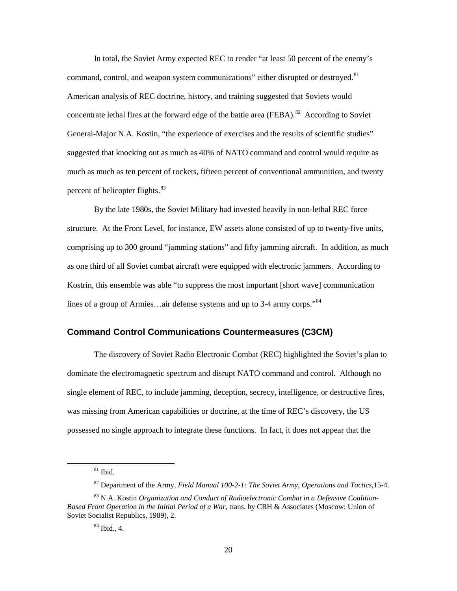In total, the Soviet Army expected REC to render "at least 50 percent of the enemy's command, control, and weapon system communications" either disrupted or destroyed.<sup>[81](#page-24-1)</sup> American analysis of REC doctrine, history, and training suggested that Soviets would concentrate lethal fires at the forward edge of the battle area (FEBA).<sup>82</sup> According to Soviet General-Major N.A. Kostin, "the experience of exercises and the results of scientific studies" suggested that knocking out as much as 40% of NATO command and control would require as much as much as ten percent of rockets, fifteen percent of conventional ammunition, and twenty percent of helicopter flights.<sup>[83](#page-24-3)</sup>

 By the late 1980s, the Soviet Military had invested heavily in non-lethal REC force structure. At the Front Level, for instance, EW assets alone consisted of up to twenty-five units, comprising up to 300 ground "jamming stations" and fifty jamming aircraft. In addition, as much as one third of all Soviet combat aircraft were equipped with electronic jammers. According to Kostrin, this ensemble was able "to suppress the most important [short wave] communication lines of a group of Armies...air defense systems and up to 3-4 army corps."<sup>[84](#page-24-4)</sup>

#### <span id="page-24-0"></span>**Command Control Communications Countermeasures (C3CM)**

 The discovery of Soviet Radio Electronic Combat (REC) highlighted the Soviet's plan to dominate the electromagnetic spectrum and disrupt NATO command and control. Although no single element of REC, to include jamming, deception, secrecy, intelligence, or destructive fires, was missing from American capabilities or doctrine, at the time of REC's discovery, the US possessed no single approach to integrate these functions. In fact, it does not appear that the

 $81$  Ibid.

<sup>82</sup> Department of the Army, *Field Manual 100-2-1: The Soviet Army, Operations and Tactics,*15-4.

<span id="page-24-4"></span><span id="page-24-3"></span><span id="page-24-2"></span><span id="page-24-1"></span><sup>83</sup> N.A. Kostin *Organization and Conduct of Radioelectronic Combat in a Defensive Coalition-Based Front Operation in the Initial Period of a War*, trans. by CRH & Associates (Moscow: Union of Soviet Socialist Republics, 1989), 2.

<sup>84</sup> Ibid., 4.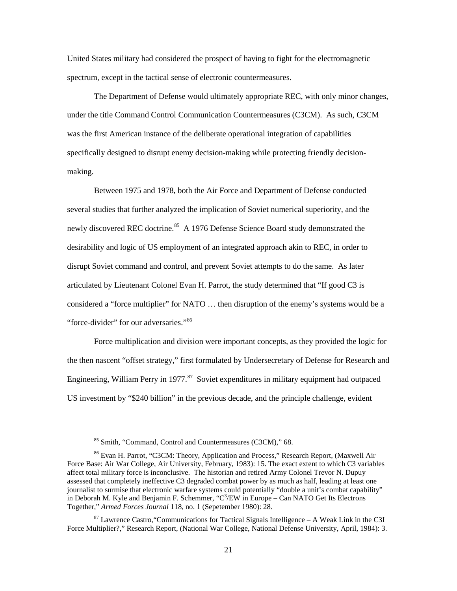United States military had considered the prospect of having to fight for the electromagnetic spectrum, except in the tactical sense of electronic countermeasures.

 The Department of Defense would ultimately appropriate REC, with only minor changes, under the title Command Control Communication Countermeasures (C3CM). As such, C3CM was the first American instance of the deliberate operational integration of capabilities specifically designed to disrupt enemy decision-making while protecting friendly decisionmaking.

 Between 1975 and 1978, both the Air Force and Department of Defense conducted several studies that further analyzed the implication of Soviet numerical superiority, and the newly discovered REC doctrine.<sup>[85](#page-25-0)</sup> A 1976 Defense Science Board study demonstrated the desirability and logic of US employment of an integrated approach akin to REC, in order to disrupt Soviet command and control, and prevent Soviet attempts to do the same. As later articulated by Lieutenant Colonel Evan H. Parrot, the study determined that "If good C3 is considered a "force multiplier" for NATO … then disruption of the enemy's systems would be a "force-divider" for our adversaries."<sup>[86](#page-25-1)</sup>

 Force multiplication and division were important concepts, as they provided the logic for the then nascent "offset strategy," first formulated by Undersecretary of Defense for Research and Engineering, William Perry in 1977.<sup>[87](#page-25-2)</sup> Soviet expenditures in military equipment had outpaced US investment by "\$240 billion" in the previous decade, and the principle challenge, evident

<sup>85</sup> Smith, "Command, Control and Countermeasures (C3CM)," 68.

<span id="page-25-1"></span><span id="page-25-0"></span><sup>86</sup> Evan H. Parrot, "C3CM: Theory, Application and Process," Research Report, (Maxwell Air Force Base: Air War College, Air University, February, 1983): 15. The exact extent to which C3 variables affect total military force is inconclusive. The historian and retired Army Colonel Trevor N. Dupuy assessed that completely ineffective C3 degraded combat power by as much as half, leading at least one journalist to surmise that electronic warfare systems could potentially "double a unit's combat capability" in Deborah M. Kyle and Benjamin F. Schemmer, " $C^3$ /EW in Europe – Can NATO Get Its Electrons Together," *Armed Forces Journal* 118, no. 1 (Sepetember 1980): 28.

<span id="page-25-2"></span> $87$  Lawrence Castro, "Communications for Tactical Signals Intelligence – A Weak Link in the C3I Force Multiplier?," Research Report, (National War College, National Defense University, April, 1984): 3.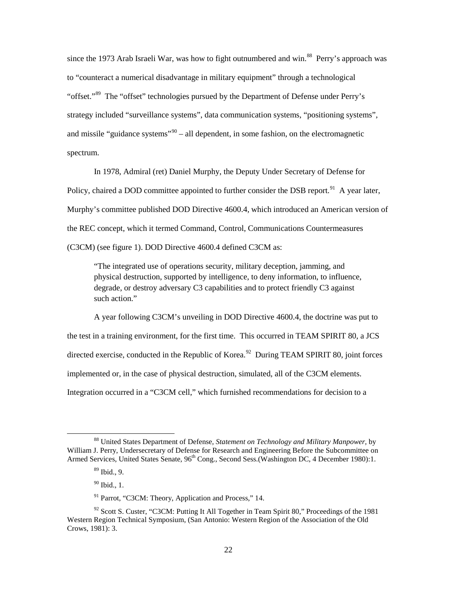since the 1973 Arab Israeli War, was how to fight outnumbered and win.<sup>[88](#page-26-0)</sup> Perry's approach was to "counteract a numerical disadvantage in military equipment" through a technological "offset."[89](#page-26-1) The "offset" technologies pursued by the Department of Defense under Perry's strategy included "surveillance systems", data communication systems, "positioning systems", and missile "guidance systems"<sup>[90](#page-26-2)</sup> – all dependent, in some fashion, on the electromagnetic spectrum.

 In 1978, Admiral (ret) Daniel Murphy, the Deputy Under Secretary of Defense for Policy, chaired a DOD committee appointed to further consider the DSB report.<sup>[91](#page-26-3)</sup> A year later, Murphy's committee published DOD Directive 4600.4, which introduced an American version of the REC concept, which it termed Command, Control, Communications Countermeasures (C3CM) (see figure 1). DOD Directive 4600.4 defined C3CM as:

"The integrated use of operations security, military deception, jamming, and physical destruction, supported by intelligence, to deny information, to influence, degrade, or destroy adversary C3 capabilities and to protect friendly C3 against such action."

 A year following C3CM's unveiling in DOD Directive 4600.4, the doctrine was put to the test in a training environment, for the first time. This occurred in TEAM SPIRIT 80, a JCS directed exercise, conducted in the Republic of Korea.<sup>[92](#page-26-4)</sup> During TEAM SPIRIT 80, joint forces implemented or, in the case of physical destruction, simulated, all of the C3CM elements. Integration occurred in a "C3CM cell," which furnished recommendations for decision to a

<span id="page-26-1"></span><span id="page-26-0"></span><sup>88</sup> United States Department of Defense, *Statement on Technology and Military Manpower,* by William J. Perry, Undersecretary of Defense for Research and Engineering Before the Subcommittee on Armed Services, United States Senate, 96<sup>th</sup> Cong., Second Sess.(Washington DC, 4 December 1980):1.

 $89$  Ibid., 9.

 $90$  Ibid., 1.

<sup>&</sup>lt;sup>91</sup> Parrot, "C3CM: Theory, Application and Process," 14.

<span id="page-26-4"></span><span id="page-26-3"></span><span id="page-26-2"></span> $92$  Scott S. Custer, "C3CM: Putting It All Together in Team Spirit 80," Proceedings of the 1981 Western Region Technical Symposium, (San Antonio: Western Region of the Association of the Old Crows, 1981): 3.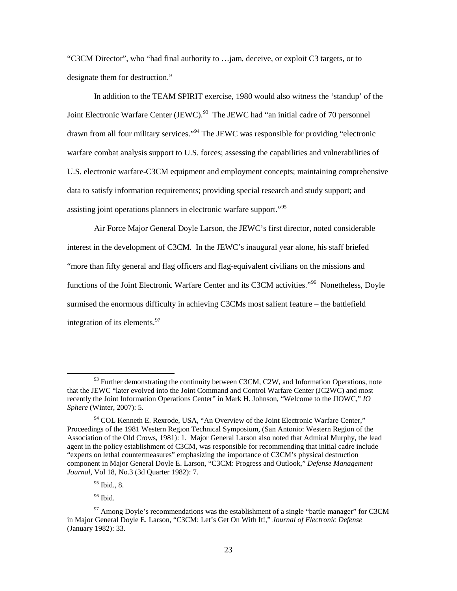"C3CM Director", who "had final authority to …jam, deceive, or exploit C3 targets, or to designate them for destruction."

 In addition to the TEAM SPIRIT exercise, 1980 would also witness the 'standup' of the Joint Electronic Warfare Center (JEWC).<sup>[93](#page-27-0)</sup> The JEWC had "an initial cadre of 70 personnel drawn from all four military services."[94](#page-27-1) The JEWC was responsible for providing "electronic warfare combat analysis support to U.S. forces; assessing the capabilities and vulnerabilities of U.S. electronic warfare-C3CM equipment and employment concepts; maintaining comprehensive data to satisfy information requirements; providing special research and study support; and assisting joint operations planners in electronic warfare support."<sup>[95](#page-27-2)</sup>

Air Force Major General Doyle Larson, the JEWC's first director, noted considerable interest in the development of C3CM. In the JEWC's inaugural year alone, his staff briefed "more than fifty general and flag officers and flag-equivalent civilians on the missions and functions of the Joint Electronic Warfare Center and its C3CM activities."<sup>96</sup> Nonetheless, Doyle surmised the enormous difficulty in achieving C3CMs most salient feature – the battlefield integration of its elements. $97$ 

 $^{96}$  Ibid.

<span id="page-27-0"></span> $93$  Further demonstrating the continuity between C3CM, C2W, and Information Operations, note that the JEWC "later evolved into the Joint Command and Control Warfare Center (JC2WC) and most recently the Joint Information Operations Center" in Mark H. Johnson, "Welcome to the JIOWC," *IO Sphere* (Winter, 2007): 5.

<span id="page-27-1"></span> $94$  COL Kenneth E. Rexrode, USA, "An Overview of the Joint Electronic Warfare Center," Proceedings of the 1981 Western Region Technical Symposium, (San Antonio: Western Region of the Association of the Old Crows, 1981): 1. Major General Larson also noted that Admiral Murphy, the lead agent in the policy establishment of C3CM, was responsible for recommending that initial cadre include "experts on lethal countermeasures" emphasizing the importance of C3CM's physical destruction component in Major General Doyle E. Larson, "C3CM: Progress and Outlook," *Defense Management Journal*, Vol 18, No.3 (3d Quarter 1982): 7.

<sup>&</sup>lt;sup>95</sup> Ibid., 8.

<span id="page-27-4"></span><span id="page-27-3"></span><span id="page-27-2"></span> $97$  Among Doyle's recommendations was the establishment of a single "battle manager" for C3CM in Major General Doyle E. Larson, "C3CM: Let's Get On With It!," *Journal of Electronic Defense* (January 1982): 33.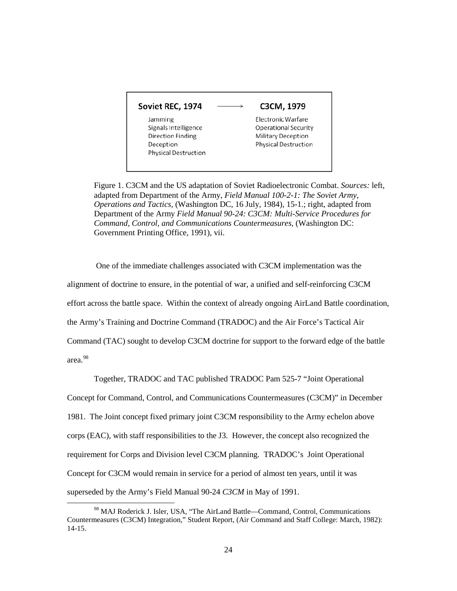#### Soviet REC, 1974

#### C3CM, 1979

Jamming Signals Intelligence Direction Finding Deception Physical Destruction Electronic Warfare Operational Security Military Deception Physical Destruction

Figure 1. C3CM and the US adaptation of Soviet Radioelectronic Combat. *Sources:* left, adapted from Department of the Army, *Field Manual 100-2-1: The Soviet Army, Operations and Tactics,* (Washington DC, 16 July, 1984), 15-1.; right, adapted from Department of the Army *Field Manual 90-24: C3CM: Multi-Service Procedures for Command, Control, and Communications Countermeasures,* (Washington DC: Government Printing Office, 1991), vii.

 $\rightarrow$ 

 One of the immediate challenges associated with C3CM implementation was the alignment of doctrine to ensure, in the potential of war, a unified and self-reinforcing C3CM effort across the battle space. Within the context of already ongoing AirLand Battle coordination, the Army's Training and Doctrine Command (TRADOC) and the Air Force's Tactical Air Command (TAC) sought to develop C3CM doctrine for support to the forward edge of the battle

area. [98](#page-28-0)

 $\overline{\phantom{0}}$ 

Together, TRADOC and TAC published TRADOC Pam 525-7 "Joint Operational

Concept for Command, Control, and Communications Countermeasures (C3CM)" in December 1981. The Joint concept fixed primary joint C3CM responsibility to the Army echelon above corps (EAC), with staff responsibilities to the J3. However, the concept also recognized the requirement for Corps and Division level C3CM planning. TRADOC's Joint Operational Concept for C3CM would remain in service for a period of almost ten years, until it was superseded by the Army's Field Manual 90-24 *C3CM* in May of 1991.

<span id="page-28-0"></span><sup>98</sup> MAJ Roderick J. Isler, USA, "The AirLand Battle—Command, Control, Communications Countermeasures (C3CM) Integration," Student Report, (Air Command and Staff College: March, 1982): 14-15.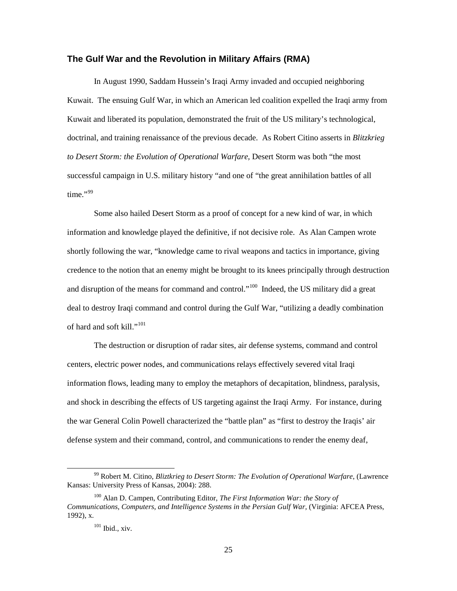#### <span id="page-29-0"></span>**The Gulf War and the Revolution in Military Affairs (RMA)**

In August 1990, Saddam Hussein's Iraqi Army invaded and occupied neighboring Kuwait. The ensuing Gulf War, in which an American led coalition expelled the Iraqi army from Kuwait and liberated its population, demonstrated the fruit of the US military's technological, doctrinal, and training renaissance of the previous decade. As Robert Citino asserts in *Blitzkrieg to Desert Storm: the Evolution of Operational Warfare,* Desert Storm was both "the most successful campaign in U.S. military history "and one of "the great annihilation battles of all time."<sup>[99](#page-29-1)</sup>

 Some also hailed Desert Storm as a proof of concept for a new kind of war, in which information and knowledge played the definitive, if not decisive role. As Alan Campen wrote shortly following the war, "knowledge came to rival weapons and tactics in importance, giving credence to the notion that an enemy might be brought to its knees principally through destruction and disruption of the means for command and control."<sup>[100](#page-29-2)</sup> Indeed, the US military did a great deal to destroy Iraqi command and control during the Gulf War, "utilizing a deadly combination of hard and soft kill."<sup>[101](#page-29-3)</sup>

 The destruction or disruption of radar sites, air defense systems, command and control centers, electric power nodes, and communications relays effectively severed vital Iraqi information flows, leading many to employ the metaphors of decapitation, blindness, paralysis, and shock in describing the effects of US targeting against the Iraqi Army. For instance, during the war General Colin Powell characterized the "battle plan" as "first to destroy the Iraqis' air defense system and their command, control, and communications to render the enemy deaf,

<span id="page-29-1"></span><sup>99</sup> Robert M. Citino, *Bliztkrieg to Desert Storm: The Evolution of Operational Warfare*, (Lawrence Kansas: University Press of Kansas, 2004): 288.

<span id="page-29-3"></span><span id="page-29-2"></span><sup>100</sup> Alan D. Campen, Contributing Editor, *The First Information War: the Story of Communications, Computers, and Intelligence Systems in the Persian Gulf War,* (Virginia: AFCEA Press, 1992), x.

<sup>101</sup> Ibid., xiv.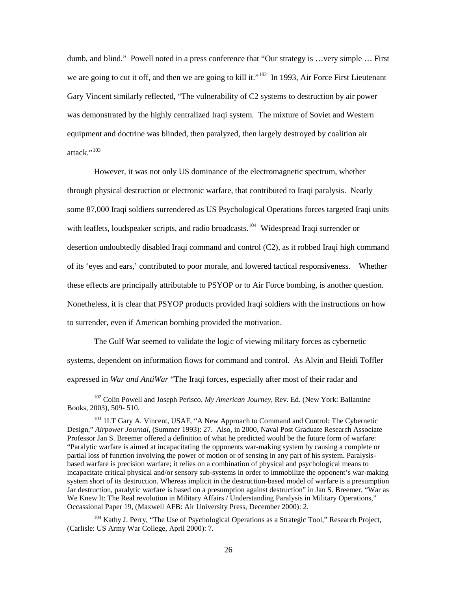dumb, and blind." Powell noted in a press conference that "Our strategy is …very simple … First we are going to cut it off, and then we are going to kill it."<sup>102</sup> In 1993, Air Force First Lieutenant Gary Vincent similarly reflected, "The vulnerability of C2 systems to destruction by air power was demonstrated by the highly centralized Iraqi system. The mixture of Soviet and Western equipment and doctrine was blinded, then paralyzed, then largely destroyed by coalition air attack."<sup>[103](#page-30-1)</sup>

 However, it was not only US dominance of the electromagnetic spectrum, whether through physical destruction or electronic warfare, that contributed to Iraqi paralysis. Nearly some 87,000 Iraqi soldiers surrendered as US Psychological Operations forces targeted Iraqi units with leaflets, loudspeaker scripts, and radio broadcasts.<sup>[104](#page-30-2)</sup> Widespread Iraqi surrender or desertion undoubtedly disabled Iraqi command and control (C2), as it robbed Iraqi high command of its 'eyes and ears,' contributed to poor morale, and lowered tactical responsiveness. Whether these effects are principally attributable to PSYOP or to Air Force bombing, is another question. Nonetheless, it is clear that PSYOP products provided Iraqi soldiers with the instructions on how to surrender, even if American bombing provided the motivation.

 The Gulf War seemed to validate the logic of viewing military forces as cybernetic systems, dependent on information flows for command and control. As Alvin and Heidi Toffler expressed in *War and AntiWar* "The Iraqi forces, especially after most of their radar and

<span id="page-30-0"></span><sup>102</sup> Colin Powell and Joseph Perisco, *My American Journey*, Rev. Ed. (New York: Ballantine Books, 2003), 509- 510.

<span id="page-30-1"></span><sup>&</sup>lt;sup>103</sup> 1LT Gary A. Vincent, USAF, "A New Approach to Command and Control: The Cybernetic Design," *Airpower Journal*, (Summer 1993): 27. Also, in 2000, Naval Post Graduate Research Associate Professor Jan S. Breemer offered a definition of what he predicted would be the future form of warfare: "Paralytic warfare is aimed at incapacitating the opponents war-making system by causing a complete or partial loss of function involving the power of motion or of sensing in any part of his system. Paralysisbased warfare is precision warfare; it relies on a combination of physical and psychological means to incapacitate critical physical and/or sensory sub-systems in order to immobilize the opponent's war-making system short of its destruction. Whereas implicit in the destruction-based model of warfare is a presumption Jar destruction, paralytic warfare is based on a presumption against destruction" in Jan S. Breemer, "War as We Knew It: The Real revolution in Military Affairs / Understanding Paralysis in Military Operations." Occassional Paper 19, (Maxwell AFB: Air University Press, December 2000): 2.

<span id="page-30-2"></span><sup>&</sup>lt;sup>104</sup> Kathy J. Perry, "The Use of Psychological Operations as a Strategic Tool," Research Project, (Carlisle: US Army War College, April 2000): 7.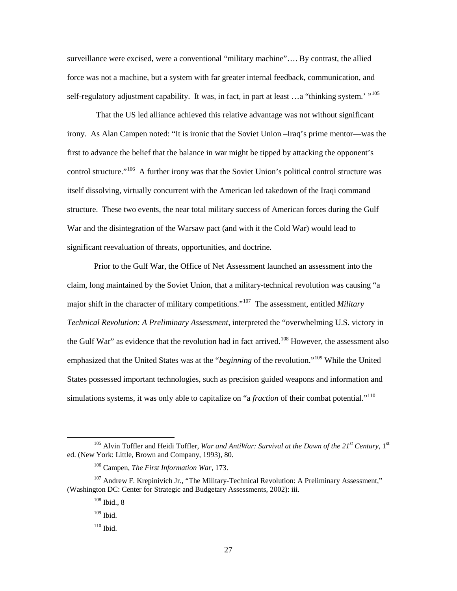surveillance were excised, were a conventional "military machine"…. By contrast, the allied force was not a machine, but a system with far greater internal feedback, communication, and self-regulatory adjustment capability. It was, in fact, in part at least ... a "thinking system.' "<sup>[105](#page-31-0)</sup>

That the US led alliance achieved this relative advantage was not without significant irony. As Alan Campen noted: "It is ironic that the Soviet Union –Iraq's prime mentor—was the first to advance the belief that the balance in war might be tipped by attacking the opponent's control structure."<sup>[106](#page-31-1)</sup> A further irony was that the Soviet Union's political control structure was itself dissolving, virtually concurrent with the American led takedown of the Iraqi command structure. These two events, the near total military success of American forces during the Gulf War and the disintegration of the Warsaw pact (and with it the Cold War) would lead to significant reevaluation of threats, opportunities, and doctrine.

 Prior to the Gulf War, the Office of Net Assessment launched an assessment into the claim, long maintained by the Soviet Union, that a military-technical revolution was causing "a major shift in the character of military competitions." [107](#page-31-2) The assessment, entitled *Military Technical Revolution: A Preliminary Assessment,* interpreted the "overwhelming U.S. victory in the Gulf War" as evidence that the revolution had in fact arrived.<sup>[108](#page-31-3)</sup> However, the assessment also emphasized that the United States was at the "*beginning* of the revolution."[109](#page-31-4) While the United States possessed important technologies, such as precision guided weapons and information and simulations systems, it was only able to capitalize on "a *fraction* of their combat potential."[110](#page-31-5)

<span id="page-31-0"></span><sup>105</sup> Alvin Toffler and Heidi Toffler, *War and AntiWar: Survival at the Dawn of the 21st Century*, 1st ed. (New York: Little, Brown and Company, 1993), 80.

<sup>106</sup> Campen, *The First Information War,* 173.

<span id="page-31-5"></span><span id="page-31-4"></span><span id="page-31-3"></span><span id="page-31-2"></span><span id="page-31-1"></span> $107$  Andrew F. Krepinivich Jr., "The Military-Technical Revolution: A Preliminary Assessment," (Washington DC: Center for Strategic and Budgetary Assessments, 2002): iii.

 $108$  Ibid., 8

 $109$  Ibid.

 $110$  Ibid.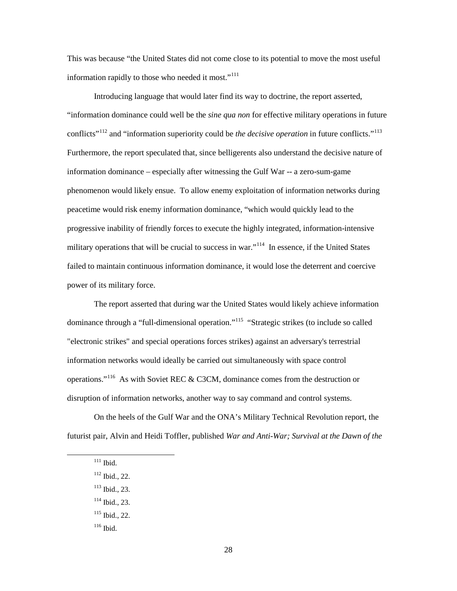This was because "the United States did not come close to its potential to move the most useful information rapidly to those who needed it most."<sup>[111](#page-32-0)</sup>

 Introducing language that would later find its way to doctrine, the report asserted, "information dominance could well be the *sine qua non* for effective military operations in future conflicts" [112](#page-32-1) and "information superiority could be *the decisive operation* in future conflicts."[113](#page-32-2) Furthermore, the report speculated that, since belligerents also understand the decisive nature of information dominance – especially after witnessing the Gulf War -- a zero-sum-game phenomenon would likely ensue. To allow enemy exploitation of information networks during peacetime would risk enemy information dominance, "which would quickly lead to the progressive inability of friendly forces to execute the highly integrated, information-intensive military operations that will be crucial to success in war."<sup>[114](#page-32-3)</sup> In essence, if the United States failed to maintain continuous information dominance, it would lose the deterrent and coercive power of its military force.

The report asserted that during war the United States would likely achieve information dominance through a "full-dimensional operation."<sup>[115](#page-32-4)</sup> "Strategic strikes (to include so called "electronic strikes" and special operations forces strikes) against an adversary's terrestrial information networks would ideally be carried out simultaneously with space control operations."<sup>[116](#page-32-5)</sup> As with Soviet REC & C3CM, dominance comes from the destruction or disruption of information networks, another way to say command and control systems.

<span id="page-32-1"></span><span id="page-32-0"></span>On the heels of the Gulf War and the ONA's Military Technical Revolution report, the futurist pair, Alvin and Heidi Toffler, published *War and Anti-War; Survival at the Dawn of the* 

- <span id="page-32-2"></span><sup>113</sup> Ibid., 23.
- <span id="page-32-3"></span> $114$  Ibid., 23.
- <span id="page-32-4"></span> $115$  Ibid., 22.
- <span id="page-32-5"></span> $116$  Ibid.

 $111$  Ibid.

 $112$  Ibid., 22.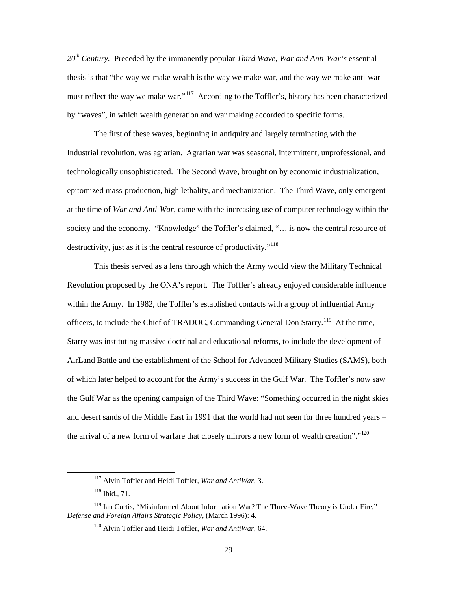*20th Century.* Preceded by the immanently popular *Third Wave, War and Anti-War's* essential thesis is that "the way we make wealth is the way we make war, and the way we make anti-war must reflect the way we make war."<sup>[117](#page-33-0)</sup> According to the Toffler's, history has been characterized by "waves", in which wealth generation and war making accorded to specific forms.

The first of these waves, beginning in antiquity and largely terminating with the Industrial revolution, was agrarian. Agrarian war was seasonal, intermittent, unprofessional, and technologically unsophisticated. The Second Wave, brought on by economic industrialization, epitomized mass-production, high lethality, and mechanization. The Third Wave, only emergent at the time of *War and Anti-War*, came with the increasing use of computer technology within the society and the economy. "Knowledge" the Toffler's claimed, "... is now the central resource of destructivity, just as it is the central resource of productivity."<sup>[118](#page-33-1)</sup>

This thesis served as a lens through which the Army would view the Military Technical Revolution proposed by the ONA's report. The Toffler's already enjoyed considerable influence within the Army. In 1982, the Toffler's established contacts with a group of influential Army officers, to include the Chief of TRADOC, Commanding General Don Starry.<sup>[119](#page-33-2)</sup> At the time, Starry was instituting massive doctrinal and educational reforms, to include the development of AirLand Battle and the establishment of the School for Advanced Military Studies (SAMS), both of which later helped to account for the Army's success in the Gulf War. The Toffler's now saw the Gulf War as the opening campaign of the Third Wave: "Something occurred in the night skies and desert sands of the Middle East in 1991 that the world had not seen for three hundred years – the arrival of a new form of warfare that closely mirrors a new form of wealth creation".<sup> $120$ </sup>

<sup>117</sup> Alvin Toffler and Heidi Toffler, *War and AntiWar*, 3.

<sup>118</sup> Ibid., 71.

<span id="page-33-3"></span><span id="page-33-2"></span><span id="page-33-1"></span><span id="page-33-0"></span><sup>&</sup>lt;sup>119</sup> Ian Curtis, "Misinformed About Information War? The Three-Wave Theory is Under Fire," *Defense and Foreign Affairs Strategic Policy*, (March 1996): 4.

<sup>120</sup> Alvin Toffler and Heidi Toffler, *War and AntiWar*, 64.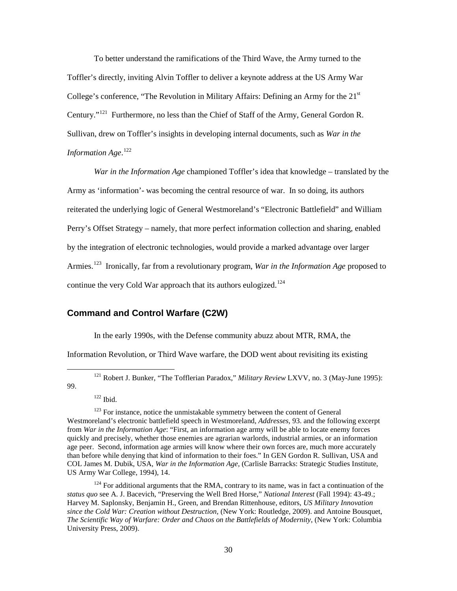To better understand the ramifications of the Third Wave, the Army turned to the Toffler's directly, inviting Alvin Toffler to deliver a keynote address at the US Army War College's conference, "The Revolution in Military Affairs: Defining an Army for the  $21<sup>st</sup>$ Century."<sup>[121](#page-34-1)</sup> Furthermore, no less than the Chief of Staff of the Army, General Gordon R. Sullivan, drew on Toffler's insights in developing internal documents, such as *War in the Information Age*. [122](#page-34-2)

*War in the Information Age* championed Toffler's idea that knowledge – translated by the Army as 'information'- was becoming the central resource of war. In so doing, its authors reiterated the underlying logic of General Westmoreland's "Electronic Battlefield" and William Perry's Offset Strategy – namely, that more perfect information collection and sharing, enabled by the integration of electronic technologies, would provide a marked advantage over larger Armies. [123](#page-34-3) Ironically, far from a revolutionary program, *War in the Information Age* proposed to continue the very Cold War approach that its authors eulogized.<sup>[124](#page-34-4)</sup>

### <span id="page-34-0"></span>**Command and Control Warfare (C2W)**

In the early 1990s, with the Defense community abuzz about MTR, RMA, the

Information Revolution, or Third Wave warfare, the DOD went about revisiting its existing

<span id="page-34-1"></span>99.

ı

 $122$  Ibid.

<sup>121</sup> Robert J. Bunker, "The Tofflerian Paradox," *Military Review* LXVV, no. 3 (May-June 1995):

<span id="page-34-3"></span><span id="page-34-2"></span> $123$  For instance, notice the unmistakable symmetry between the content of General Westmoreland's electronic battlefield speech in Westmoreland, *Addresses,* 93. and the following excerpt from *War in the Information Age*: "First, an information age army will be able to locate enemy forces quickly and precisely, whether those enemies are agrarian warlords, industrial armies, or an information age peer. Second, information age armies will know where their own forces are, much more accurately than before while denying that kind of information to their foes." In GEN Gordon R. Sullivan, USA and COL James M. Dubik, USA, *War in the Information Age,* (Carlisle Barracks: Strategic Studies Institute, US Army War College, 1994), 14.

<span id="page-34-4"></span><sup>&</sup>lt;sup>124</sup> For additional arguments that the RMA, contrary to its name, was in fact a continuation of the *status quo* see A. J. Bacevich, "Preserving the Well Bred Horse," *National Interest* (Fall 1994): 43-49.; Harvey M. Saplonsky, Benjamin H., Green*,* and Brendan Rittenhouse*,* editors, *US Military Innovation since the Cold War: Creation without Destruction,* (New York: Routledge, 2009). and Antoine Bousquet, *The Scientific Way of Warfare: Order and Chaos on the Battlefields of Modernity*, (New York: Columbia University Press, 2009).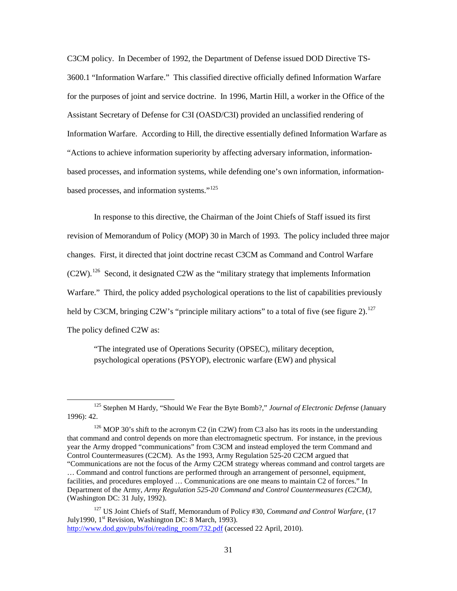C3CM policy. In December of 1992, the Department of Defense issued DOD Directive TS-3600.1 "Information Warfare." This classified directive officially defined Information Warfare for the purposes of joint and service doctrine. In 1996, Martin Hill, a worker in the Office of the Assistant Secretary of Defense for C3I (OASD/C3I) provided an unclassified rendering of Information Warfare. According to Hill, the directive essentially defined Information Warfare as "Actions to achieve information superiority by affecting adversary information, informationbased processes, and information systems, while defending one's own information, information-based processes, and information systems."<sup>[125](#page-35-0)</sup>

In response to this directive, the Chairman of the Joint Chiefs of Staff issued its first revision of Memorandum of Policy (MOP) 30 in March of 1993. The policy included three major changes. First, it directed that joint doctrine recast C3CM as Command and Control Warfare  $(C2W)$ .<sup>[126](#page-35-1)</sup> Second, it designated C2W as the "military strategy that implements Information Warfare." Third, the policy added psychological operations to the list of capabilities previously held by C3CM, bringing C2W's "principle military actions" to a total of five (see figure 2).<sup>[127](#page-35-2)</sup> The policy defined C2W as:

"The integrated use of Operations Security (OPSEC), military deception, psychological operations (PSYOP), electronic warfare (EW) and physical

<span id="page-35-0"></span><sup>125</sup> Stephen M Hardy, "Should We Fear the Byte Bomb?," *Journal of Electronic Defense* (January 1996): 42.

<span id="page-35-1"></span><sup>&</sup>lt;sup>126</sup> MOP 30's shift to the acronym C2 (in C2W) from C3 also has its roots in the understanding that command and control depends on more than electromagnetic spectrum. For instance, in the previous year the Army dropped "communications" from C3CM and instead employed the term Command and Control Countermeasures (C2CM). As the 1993, Army Regulation 525-20 C2CM argued that "Communications are not the focus of the Army C2CM strategy whereas command and control targets are

<sup>…</sup> Command and control functions are performed through an arrangement of personnel, equipment, facilities, and procedures employed … Communications are one means to maintain C2 of forces." In Department of the Army, *Army Regulation 525-20 Command and Control Countermeasures (C2CM)*, (Washington DC: 31 July, 1992).

<span id="page-35-2"></span><sup>127</sup> US Joint Chiefs of Staff, Memorandum of Policy #30*, Command and Control Warfare,* (17 July1990, 1st Revision*,* Washington DC: 8 March, 1993). [http://www.dod.gov/pubs/foi/reading\\_room/732.pdf](http://www.dod.gov/pubs/foi/reading_room/732.pdf) (accessed 22 April, 2010).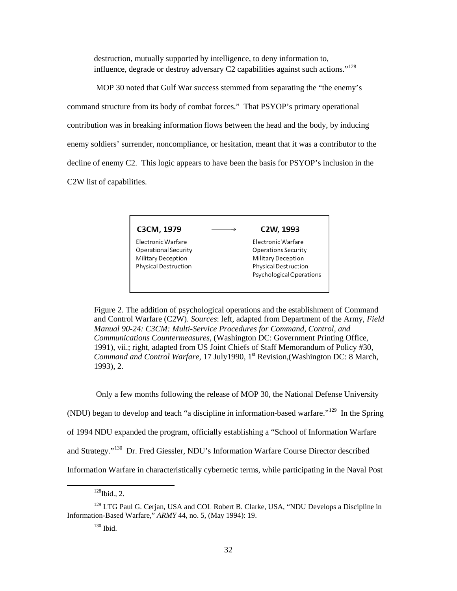destruction, mutually supported by intelligence, to deny information to, influence, degrade or destroy adversary C2 capabilities against such actions."<sup>[128](#page-36-0)</sup>

 MOP 30 noted that Gulf War success stemmed from separating the "the enemy's command structure from its body of combat forces." That PSYOP's primary operational contribution was in breaking information flows between the head and the body, by inducing enemy soldiers' surrender, noncompliance, or hesitation, meant that it was a contributor to the decline of enemy C2. This logic appears to have been the basis for PSYOP's inclusion in the C2W list of capabilities.

C3CM, 1979

Electronic Warfare Operational Security Military Deception **Physical Destruction** 

#### C2W, 1993

Electronic Warfare Operations Security Military Deception Physical Destruction Psychological Operations

Figure 2. The addition of psychological operations and the establishment of Command and Control Warfare (C2W). *Sources*: left, adapted from Department of the Army, *Field Manual 90-24: C3CM: Multi-Service Procedures for Command, Control, and Communications Countermeasures,* (Washington DC: Government Printing Office, 1991), vii.; right, adapted from US Joint Chiefs of Staff Memorandum of Policy #30*, Command and Control Warfare, 17 July1990, 1<sup>st</sup> Revision, (Washington DC: 8 March,* 1993), 2.

Only a few months following the release of MOP 30, the National Defense University

(NDU) began to develop and teach "a discipline in information-based warfare."[129](#page-36-1) In the Spring

of 1994 NDU expanded the program, officially establishing a "School of Information Warfare

and Strategy."<sup>[130](#page-36-2)</sup> Dr. Fred Giessler, NDU's Information Warfare Course Director described

Information Warfare in characteristically cybernetic terms, while participating in the Naval Post

 $128$ Ibid., 2.

<span id="page-36-2"></span><span id="page-36-1"></span><span id="page-36-0"></span><sup>&</sup>lt;sup>129</sup> LTG Paul G. Cerjan, USA and COL Robert B. Clarke, USA, "NDU Develops a Discipline in Information-Based Warfare," *ARMY* 44, no. 5, (May 1994): 19.

<sup>130</sup> Ibid.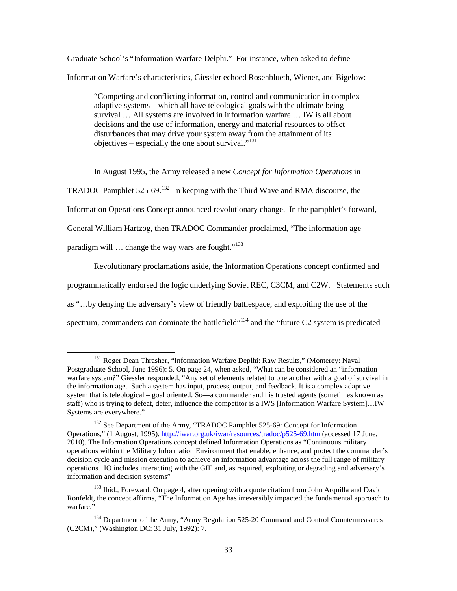Graduate School's "Information Warfare Delphi." For instance, when asked to define Information Warfare's characteristics, Giessler echoed Rosenblueth, Wiener, and Bigelow:

"Competing and conflicting information, control and communication in complex adaptive systems – which all have teleological goals with the ultimate being survival … All systems are involved in information warfare … IW is all about decisions and the use of information, energy and material resources to offset disturbances that may drive your system away from the attainment of its objectives – especially the one about survival."<sup>[131](#page-37-0)</sup>

In August 1995, the Army released a new *Concept for Information Operations* in

TRADOC Pamphlet 525-69.<sup>[132](#page-37-1)</sup> In keeping with the Third Wave and RMA discourse, the

Information Operations Concept announced revolutionary change. In the pamphlet's forward,

General William Hartzog, then TRADOC Commander proclaimed, "The information age

paradigm will ... change the way wars are fought."<sup>[133](#page-37-2)</sup>

l

Revolutionary proclamations aside, the Information Operations concept confirmed and

programmatically endorsed the logic underlying Soviet REC, C3CM, and C2W. Statements such

as "…by denying the adversary's view of friendly battlespace, and exploiting the use of the

spectrum, commanders can dominate the battlefield"<sup>[134](#page-37-3)</sup> and the "future C2 system is predicated

<span id="page-37-0"></span><sup>&</sup>lt;sup>131</sup> Roger Dean Thrasher, "Information Warfare Deplhi: Raw Results," (Monterey: Naval Postgraduate School, June 1996): 5. On page 24, when asked, "What can be considered an "information warfare system?" Giessler responded, "Any set of elements related to one another with a goal of survival in the information age. Such a system has input, process, output, and feedback. It is a complex adaptive system that is teleological – goal oriented. So—a commander and his trusted agents (sometimes known as staff) who is trying to defeat, deter, influence the competitor is a IWS [Information Warfare System]…IW Systems are everywhere."

<span id="page-37-1"></span><sup>&</sup>lt;sup>132</sup> See Department of the Army, "TRADOC Pamphlet 525-69: Concept for Information Operations," (1 August, 1995).<http://iwar.org.uk/iwar/resources/tradoc/p525-69.htm> (accessed 17 June, 2010). The Information Operations concept defined Information Operations as "Continuous military operations within the Military Information Environment that enable, enhance, and protect the commander's decision cycle and mission execution to achieve an information advantage across the full range of military operations. IO includes interacting with the GIE and, as required, exploiting or degrading and adversary's information and decision systems"

<span id="page-37-2"></span><sup>&</sup>lt;sup>133</sup> Ibid., Foreward. On page 4, after opening with a quote citation from John Arquilla and David Ronfeldt, the concept affirms, "The Information Age has irreversibly impacted the fundamental approach to warfare."

<span id="page-37-3"></span><sup>&</sup>lt;sup>134</sup> Department of the Army, "Army Regulation 525-20 Command and Control Countermeasures (C2CM)," (Washington DC: 31 July, 1992): 7.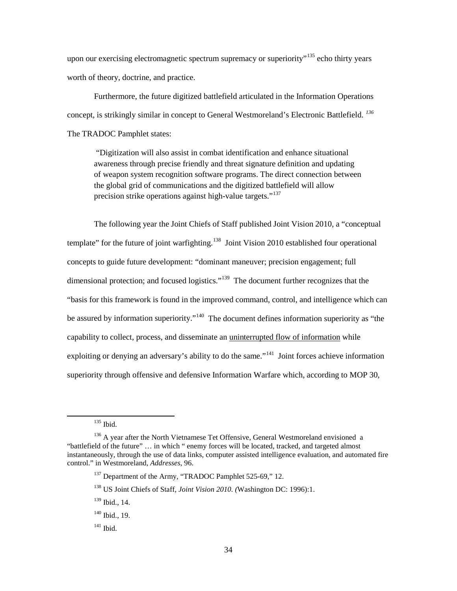upon our exercising electromagnetic spectrum supremacy or superiority"<sup>[135](#page-38-0)</sup> echo thirty years worth of theory, doctrine, and practice.

 Furthermore, the future digitized battlefield articulated in the Information Operations concept, is strikingly similar in concept to General Westmoreland's Electronic Battlefield. *[136](#page-38-1)*  The TRADOC Pamphlet states:

"Digitization will also assist in combat identification and enhance situational awareness through precise friendly and threat signature definition and updating of weapon system recognition software programs. The direct connection between the global grid of communications and the digitized battlefield will allow precision strike operations against high-value targets."<sup>[137](#page-38-2)</sup>

 The following year the Joint Chiefs of Staff published Joint Vision 2010, a "conceptual template" for the future of joint warfighting.<sup>[138](#page-38-3)</sup> Joint Vision 2010 established four operational concepts to guide future development: "dominant maneuver; precision engagement; full dimensional protection; and focused logistics."<sup>139</sup> The document further recognizes that the "basis for this framework is found in the improved command, control, and intelligence which can be assured by information superiority."<sup>[140](#page-38-5)</sup> The document defines information superiority as "the capability to collect, process, and disseminate an uninterrupted flow of information while exploiting or denying an adversary's ability to do the same."<sup>[141](#page-38-6)</sup> Joint forces achieve information superiority through offensive and defensive Information Warfare which, according to MOP 30,

<sup>135</sup> Ibid.

<span id="page-38-4"></span><span id="page-38-3"></span><span id="page-38-2"></span><span id="page-38-1"></span><span id="page-38-0"></span> $136$  A year after the North Vietnamese Tet Offensive, General Westmoreland envisioned a "battlefield of the future" … in which " enemy forces will be located, tracked, and targeted almost instantaneously, through the use of data links, computer assisted intelligence evaluation, and automated fire control." in Westmoreland, *Addresses*, 96.

<sup>&</sup>lt;sup>137</sup> Department of the Army, "TRADOC Pamphlet 525-69," 12.

<sup>138</sup> US Joint Chiefs of Staff, *Joint Vision 2010. (*Washington DC: 1996):1.

<sup>139</sup> Ibid., 14.

<span id="page-38-5"></span> $140$  Ibid., 19.

<span id="page-38-6"></span> $141$  Ibid.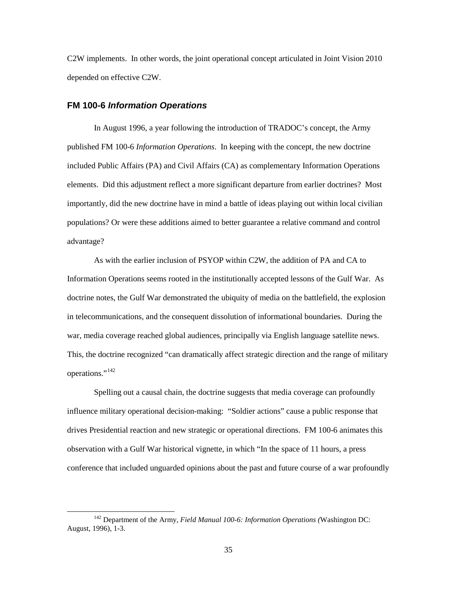C2W implements. In other words, the joint operational concept articulated in Joint Vision 2010 depended on effective C2W.

#### <span id="page-39-0"></span>**FM 100-6** *Information Operations*

ı

 In August 1996, a year following the introduction of TRADOC's concept, the Army published FM 100-6 *Information Operations*. In keeping with the concept, the new doctrine included Public Affairs (PA) and Civil Affairs (CA) as complementary Information Operations elements. Did this adjustment reflect a more significant departure from earlier doctrines? Most importantly, did the new doctrine have in mind a battle of ideas playing out within local civilian populations? Or were these additions aimed to better guarantee a relative command and control advantage?

 As with the earlier inclusion of PSYOP within C2W, the addition of PA and CA to Information Operations seems rooted in the institutionally accepted lessons of the Gulf War. As doctrine notes, the Gulf War demonstrated the ubiquity of media on the battlefield, the explosion in telecommunications, and the consequent dissolution of informational boundaries. During the war, media coverage reached global audiences, principally via English language satellite news. This, the doctrine recognized "can dramatically affect strategic direction and the range of military operations."<sup>[142](#page-39-1)</sup>

Spelling out a causal chain, the doctrine suggests that media coverage can profoundly influence military operational decision-making: "Soldier actions" cause a public response that drives Presidential reaction and new strategic or operational directions. FM 100-6 animates this observation with a Gulf War historical vignette, in which "In the space of 11 hours, a press conference that included unguarded opinions about the past and future course of a war profoundly

<span id="page-39-1"></span><sup>142</sup> Department of the Army, *Field Manual 100-6: Information Operations (*Washington DC: August, 1996), 1-3.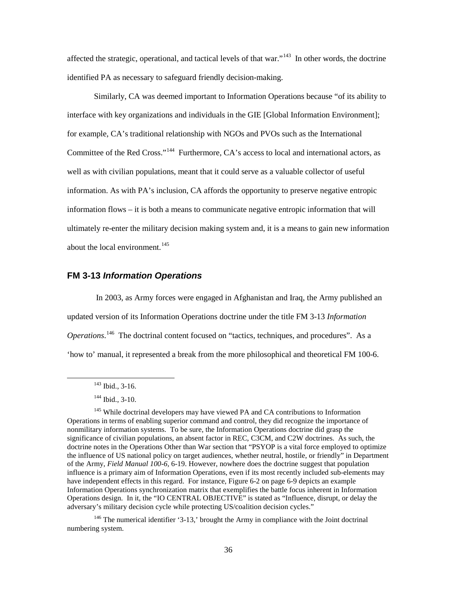affected the strategic, operational, and tactical levels of that war."<sup>[143](#page-40-1)</sup> In other words, the doctrine identified PA as necessary to safeguard friendly decision-making.

Similarly, CA was deemed important to Information Operations because "of its ability to interface with key organizations and individuals in the GIE [Global Information Environment]; for example, CA's traditional relationship with NGOs and PVOs such as the International Committee of the Red Cross."<sup>144</sup> Furthermore, CA's access to local and international actors, as well as with civilian populations, meant that it could serve as a valuable collector of useful information. As with PA's inclusion, CA affords the opportunity to preserve negative entropic information flows – it is both a means to communicate negative entropic information that will ultimately re-enter the military decision making system and, it is a means to gain new information about the local environment.<sup>[145](#page-40-3)</sup>

#### <span id="page-40-0"></span>**FM 3-13** *Information Operations*

 In 2003, as Army forces were engaged in Afghanistan and Iraq, the Army published an updated version of its Information Operations doctrine under the title FM 3-13 *Information*  Operations.<sup>[146](#page-40-4)</sup> The doctrinal content focused on "tactics, techniques, and procedures". As a 'how to' manual, it represented a break from the more philosophical and theoretical FM 100-6.

<span id="page-40-1"></span>ı

<span id="page-40-4"></span><sup>146</sup> The numerical identifier '3-13,' brought the Army in compliance with the Joint doctrinal numbering system.

<sup>143</sup> Ibid., 3-16.

 $144$  Ibid., 3-10.

<span id="page-40-3"></span><span id="page-40-2"></span><sup>&</sup>lt;sup>145</sup> While doctrinal developers may have viewed PA and CA contributions to Information Operations in terms of enabling superior command and control, they did recognize the importance of nonmilitary information systems. To be sure, the Information Operations doctrine did grasp the significance of civilian populations, an absent factor in REC, C3CM, and C2W doctrines. As such, the doctrine notes in the Operations Other than War section that "PSYOP is a vital force employed to optimize the influence of US national policy on target audiences, whether neutral, hostile, or friendly" in Department of the Army, *Field Manual 100-6,* 6-19. However, nowhere does the doctrine suggest that population influence is a primary aim of Information Operations, even if its most recently included sub-elements may have independent effects in this regard. For instance, Figure 6-2 on page 6-9 depicts an example Information Operations synchronization matrix that exemplifies the battle focus inherent in Information Operations design. In it, the "IO CENTRAL OBJECTIVE" is stated as "Influence, disrupt, or delay the adversary's military decision cycle while protecting US/coalition decision cycles."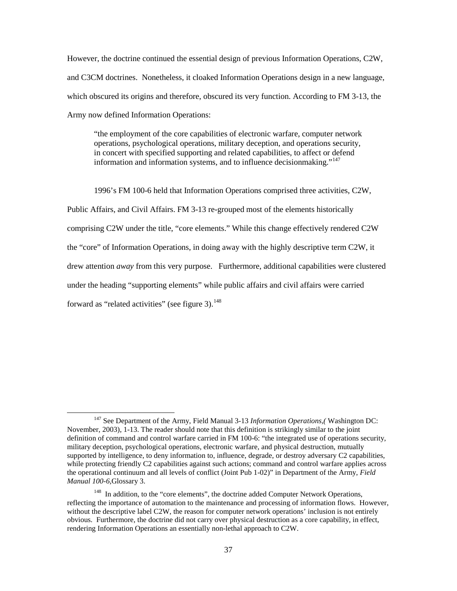However, the doctrine continued the essential design of previous Information Operations, C2W, and C3CM doctrines. Nonetheless, it cloaked Information Operations design in a new language, which obscured its origins and therefore, obscured its very function. According to FM 3-13, the Army now defined Information Operations:

"the employment of the core capabilities of electronic warfare, computer network operations, psychological operations, military deception, and operations security, in concert with specified supporting and related capabilities, to affect or defend information and information systems, and to influence decisionmaking."<sup>[147](#page-41-0)</sup>

 1996's FM 100-6 held that Information Operations comprised three activities, C2W, Public Affairs, and Civil Affairs. FM 3-13 re-grouped most of the elements historically comprising C2W under the title, "core elements." While this change effectively rendered C2W the "core" of Information Operations, in doing away with the highly descriptive term C2W, it drew attention *away* from this very purpose. Furthermore, additional capabilities were clustered under the heading "supporting elements" while public affairs and civil affairs were carried forward as "related activities" (see figure 3). $148$ 

l

<span id="page-41-0"></span><sup>&</sup>lt;sup>147</sup> See Department of the Army, Field Manual 3-13 *Information Operations*,(Washington DC: November, 2003), 1-13. The reader should note that this definition is strikingly similar to the joint definition of command and control warfare carried in FM 100-6: "the integrated use of operations security, military deception, psychological operations, electronic warfare, and physical destruction, mutually supported by intelligence, to deny information to, influence, degrade, or destroy adversary C2 capabilities, while protecting friendly C2 capabilities against such actions; command and control warfare applies across the operational continuum and all levels of conflict (Joint Pub 1-02)" in Department of the Army, *Field Manual 100-6,*Glossary 3.

<span id="page-41-1"></span><sup>&</sup>lt;sup>148</sup> In addition, to the "core elements", the doctrine added Computer Network Operations, reflecting the importance of automation to the maintenance and processing of information flows. However, without the descriptive label C2W, the reason for computer network operations' inclusion is not entirely obvious. Furthermore, the doctrine did not carry over physical destruction as a core capability, in effect, rendering Information Operations an essentially non-lethal approach to C2W.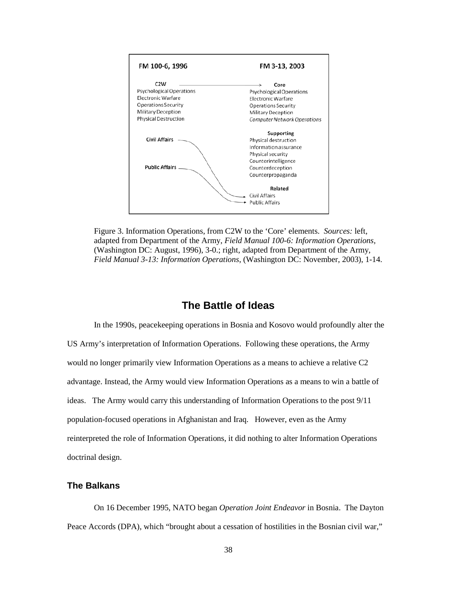

Figure 3. Information Operations, from C2W to the 'Core' elements. *Sources:* left, adapted from Department of the Army, *Field Manual 100-6: Information Operations,*  (Washington DC: August, 1996), 3-0.; right, adapted from Department of the Army, *Field Manual 3-13: Information Operations*, (Washington DC: November, 2003), 1-14.

# **The Battle of Ideas**

<span id="page-42-0"></span> In the 1990s, peacekeeping operations in Bosnia and Kosovo would profoundly alter the US Army's interpretation of Information Operations. Following these operations, the Army would no longer primarily view Information Operations as a means to achieve a relative C2 advantage. Instead, the Army would view Information Operations as a means to win a battle of ideas. The Army would carry this understanding of Information Operations to the post 9/11 population-focused operations in Afghanistan and Iraq. However, even as the Army reinterpreted the role of Information Operations, it did nothing to alter Information Operations doctrinal design.

#### <span id="page-42-1"></span>**The Balkans**

 On 16 December 1995, NATO began *Operation Joint Endeavor* in Bosnia. The Dayton Peace Accords (DPA), which "brought about a cessation of hostilities in the Bosnian civil war,"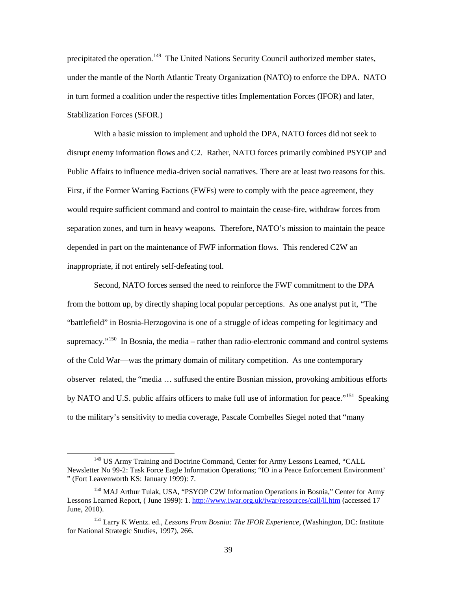precipitated the operation.<sup>[149](#page-43-0)</sup> The United Nations Security Council authorized member states, under the mantle of the North Atlantic Treaty Organization (NATO) to enforce the DPA. NATO in turn formed a coalition under the respective titles Implementation Forces (IFOR) and later, Stabilization Forces (SFOR.)

With a basic mission to implement and uphold the DPA, NATO forces did not seek to disrupt enemy information flows and C2. Rather, NATO forces primarily combined PSYOP and Public Affairs to influence media-driven social narratives. There are at least two reasons for this. First, if the Former Warring Factions (FWFs) were to comply with the peace agreement, they would require sufficient command and control to maintain the cease-fire, withdraw forces from separation zones, and turn in heavy weapons. Therefore, NATO's mission to maintain the peace depended in part on the maintenance of FWF information flows. This rendered C2W an inappropriate, if not entirely self-defeating tool.

 Second, NATO forces sensed the need to reinforce the FWF commitment to the DPA from the bottom up, by directly shaping local popular perceptions. As one analyst put it, "The "battlefield" in Bosnia-Herzogovina is one of a struggle of ideas competing for legitimacy and supremacy."<sup>[150](#page-43-1)</sup> In Bosnia, the media – rather than radio-electronic command and control systems of the Cold War—was the primary domain of military competition. As one contemporary observer related, the "media … suffused the entire Bosnian mission, provoking ambitious efforts by NATO and U.S. public affairs officers to make full use of information for peace."<sup>[151](#page-43-2)</sup> Speaking to the military's sensitivity to media coverage, Pascale Combelles Siegel noted that "many

<span id="page-43-0"></span><sup>&</sup>lt;sup>149</sup> US Army Training and Doctrine Command, Center for Army Lessons Learned, "CALL" Newsletter No 99-2: Task Force Eagle Information Operations; "IO in a Peace Enforcement Environment' " (Fort Leavenworth KS: January 1999): 7.

<span id="page-43-1"></span><sup>&</sup>lt;sup>150</sup> MAJ Arthur Tulak, USA, "PSYOP C2W Information Operations in Bosnia," Center for Army Lessons Learned Report, ( June 1999): 1[. http://www.iwar.org.uk/iwar/resources/call/ll.htm](http://www.iwar.org.uk/iwar/resources/call/ll.htm) (accessed 17 June, 2010).

<span id="page-43-2"></span><sup>151</sup> Larry K Wentz. ed., *Lessons From Bosnia: The IFOR Experience,* (Washington, DC: Institute for National Strategic Studies, 1997), 266.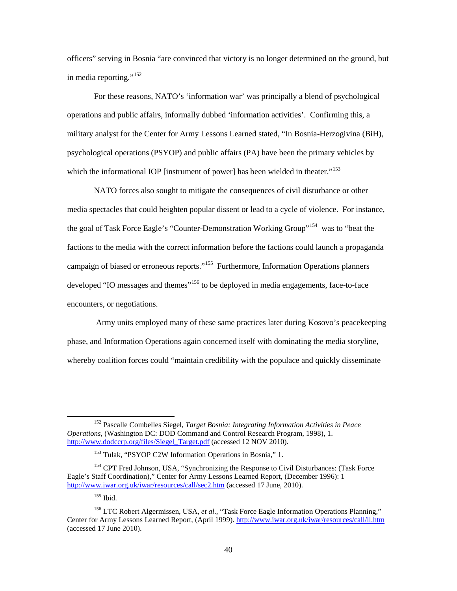officers" serving in Bosnia "are convinced that victory is no longer determined on the ground, but in media reporting."<sup>[152](#page-44-0)</sup>

For these reasons, NATO's 'information war' was principally a blend of psychological operations and public affairs, informally dubbed 'information activities'. Confirming this, a military analyst for the Center for Army Lessons Learned stated, "In Bosnia-Herzogivina (BiH), psychological operations (PSYOP) and public affairs (PA) have been the primary vehicles by which the informational IOP [instrument of power] has been wielded in theater."<sup>[153](#page-44-1)</sup>

NATO forces also sought to mitigate the consequences of civil disturbance or other media spectacles that could heighten popular dissent or lead to a cycle of violence. For instance, the goal of Task Force Eagle's "Counter-Demonstration Working Group"<sup>[154](#page-44-2)</sup> was to "beat the factions to the media with the correct information before the factions could launch a propaganda campaign of biased or erroneous reports."<sup>[155](#page-44-3)</sup> Furthermore, Information Operations planners developed "IO messages and themes"<sup>[156](#page-44-4)</sup> to be deployed in media engagements, face-to-face encounters, or negotiations.

 Army units employed many of these same practices later during Kosovo's peacekeeping phase, and Information Operations again concerned itself with dominating the media storyline, whereby coalition forces could "maintain credibility with the populace and quickly disseminate

<span id="page-44-0"></span><sup>152</sup> Pascalle Combelles Siegel, *Target Bosnia: Integrating Information Activities in Peace Operations*, (Washington DC: DOD Command and Control Research Program, 1998), 1. [http://www.dodccrp.org/files/Siegel\\_Target.pdf](http://www.dodccrp.org/files/Siegel_Target.pdf) (accessed 12 NOV 2010).

<sup>&</sup>lt;sup>153</sup> Tulak, "PSYOP C2W Information Operations in Bosnia," 1.

<span id="page-44-2"></span><span id="page-44-1"></span><sup>&</sup>lt;sup>154</sup> CPT Fred Johnson, USA, "Synchronizing the Response to Civil Disturbances: (Task Force Eagle's Staff Coordination)," Center for Army Lessons Learned Report, (December 1996): 1 <http://www.iwar.org.uk/iwar/resources/call/sec2.htm> (accessed 17 June, 2010).

<sup>155</sup> Ibid.

<span id="page-44-4"></span><span id="page-44-3"></span><sup>156</sup> LTC Robert Algermissen, USA, *et al*., "Task Force Eagle Information Operations Planning," Center for Army Lessons Learned Report, (April 1999). <http://www.iwar.org.uk/iwar/resources/call/ll.htm> (accessed 17 June 2010).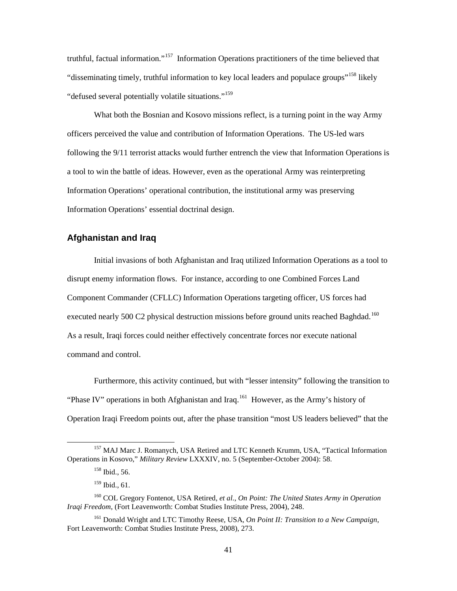truthful, factual information."[157](#page-45-1) Information Operations practitioners of the time believed that "disseminating timely, truthful information to key local leaders and populace groups"<sup>[158](#page-45-2)</sup> likely "defused several potentially volatile situations."<sup>[159](#page-45-3)</sup>

 What both the Bosnian and Kosovo missions reflect, is a turning point in the way Army officers perceived the value and contribution of Information Operations. The US-led wars following the 9/11 terrorist attacks would further entrench the view that Information Operations is a tool to win the battle of ideas. However, even as the operational Army was reinterpreting Information Operations' operational contribution, the institutional army was preserving Information Operations' essential doctrinal design.

#### <span id="page-45-0"></span>**Afghanistan and Iraq**

Initial invasions of both Afghanistan and Iraq utilized Information Operations as a tool to disrupt enemy information flows. For instance, according to one Combined Forces Land Component Commander (CFLLC) Information Operations targeting officer, US forces had executed nearly 500 C2 physical destruction missions before ground units reached Baghdad.<sup>[160](#page-45-4)</sup> As a result, Iraqi forces could neither effectively concentrate forces nor execute national command and control.

 Furthermore, this activity continued, but with "lesser intensity" following the transition to "Phase IV" operations in both Afghanistan and Iraq.<sup>[161](#page-45-5)</sup> However, as the Army's history of Operation Iraqi Freedom points out, after the phase transition "most US leaders believed" that the

<span id="page-45-2"></span><span id="page-45-1"></span><sup>&</sup>lt;sup>157</sup> MAJ Marc J. Romanych, USA Retired and LTC Kenneth Krumm, USA, "Tactical Information Operations in Kosovo," *Military Review* LXXXIV, no. 5 (September-October 2004): 58.

<sup>158</sup> Ibid., 56.

<sup>159</sup> Ibid., 61.

<span id="page-45-4"></span><span id="page-45-3"></span><sup>160</sup> COL Gregory Fontenot, USA Retired, *et al*., *On Point: The United States Army in Operation Iraqi Freedom*, (Fort Leavenworth: Combat Studies Institute Press, 2004), 248.

<span id="page-45-5"></span><sup>161</sup> Donald Wright and LTC Timothy Reese, USA, *On Point II: Transition to a New Campaign*, Fort Leavenworth: Combat Studies Institute Press, 2008), 273.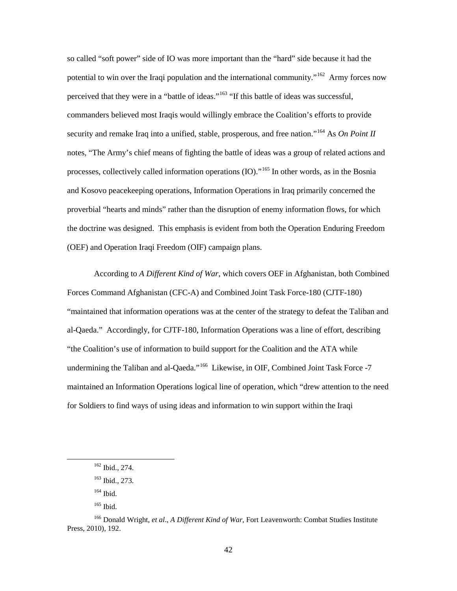so called "soft power" side of IO was more important than the "hard" side because it had the potential to win over the Iraqi population and the international community."<sup>[162](#page-46-0)</sup> Army forces now perceived that they were in a "battle of ideas."<sup>163</sup> "If this battle of ideas was successful, commanders believed most Iraqis would willingly embrace the Coalition's efforts to provide security and remake Iraq into a unified, stable, prosperous, and free nation."<sup>[164](#page-46-2)</sup> As *On Point II* notes, "The Army's chief means of fighting the battle of ideas was a group of related actions and processes, collectively called information operations (IO)."<sup>[165](#page-46-3)</sup> In other words, as in the Bosnia and Kosovo peacekeeping operations, Information Operations in Iraq primarily concerned the proverbial "hearts and minds" rather than the disruption of enemy information flows, for which the doctrine was designed. This emphasis is evident from both the Operation Enduring Freedom (OEF) and Operation Iraqi Freedom (OIF) campaign plans.

 According to *A Different Kind of War*, which covers OEF in Afghanistan, both Combined Forces Command Afghanistan (CFC-A) and Combined Joint Task Force-180 (CJTF-180) "maintained that information operations was at the center of the strategy to defeat the Taliban and al-Qaeda." Accordingly, for CJTF-180, Information Operations was a line of effort, describing "the Coalition's use of information to build support for the Coalition and the ATA while undermining the Taliban and al-Qaeda."<sup>[166](#page-46-4)</sup> Likewise, in OIF, Combined Joint Task Force -7 maintained an Information Operations logical line of operation, which "drew attention to the need for Soldiers to find ways of using ideas and information to win support within the Iraqi

<sup>162</sup> Ibid., 274.

<sup>163</sup> Ibid., 273.

<sup>164</sup> Ibid.

 $165$  Ibid.

<span id="page-46-4"></span><span id="page-46-3"></span><span id="page-46-2"></span><span id="page-46-1"></span><span id="page-46-0"></span><sup>166</sup> Donald Wright, *et al*., *A Different Kind of War*, Fort Leavenworth: Combat Studies Institute Press, 2010), 192.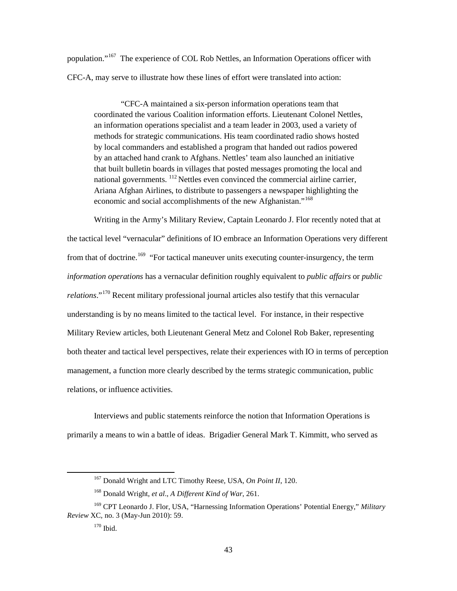population."<sup>[167](#page-47-0)</sup> The experience of COL Rob Nettles, an Information Operations officer with CFC-A, may serve to illustrate how these lines of effort were translated into action:

"CFC-A maintained a six-person information operations team that coordinated the various Coalition information efforts. Lieutenant Colonel Nettles, an information operations specialist and a team leader in 2003, used a variety of methods for strategic communications. His team coordinated radio shows hosted by local commanders and established a program that handed out radios powered by an attached hand crank to Afghans. Nettles' team also launched an initiative that built bulletin boards in villages that posted messages promoting the local and national governments. <sup>112</sup> Nettles even convinced the commercial airline carrier, Ariana Afghan Airlines, to distribute to passengers a newspaper highlighting the economic and social accomplishments of the new Afghanistan."<sup>[168](#page-47-1)</sup>

Writing in the Army's Military Review, Captain Leonardo J. Flor recently noted that at the tactical level "vernacular" definitions of IO embrace an Information Operations very different from that of doctrine.<sup>[169](#page-47-2)</sup> "For tactical maneuver units executing counter-insurgency, the term *information operations* has a vernacular definition roughly equivalent to *public affairs* or *public relations*."[170](#page-47-3) Recent military professional journal articles also testify that this vernacular understanding is by no means limited to the tactical level. For instance, in their respective Military Review articles, both Lieutenant General Metz and Colonel Rob Baker, representing both theater and tactical level perspectives, relate their experiences with IO in terms of perception management, a function more clearly described by the terms strategic communication, public relations, or influence activities.

Interviews and public statements reinforce the notion that Information Operations is primarily a means to win a battle of ideas. Brigadier General Mark T. Kimmitt, who served as

<sup>167</sup> Donald Wright and LTC Timothy Reese, USA, *On Point II*, 120.

<sup>168</sup> Donald Wright, *et al*., *A Different Kind of War*, 261.

<span id="page-47-3"></span><span id="page-47-2"></span><span id="page-47-1"></span><span id="page-47-0"></span><sup>169</sup> CPT Leonardo J. Flor, USA, "Harnessing Information Operations' Potential Energy," *Military Review* XC*,* no. 3 (May-Jun 2010): 59.

 $^{170}$  Ibid.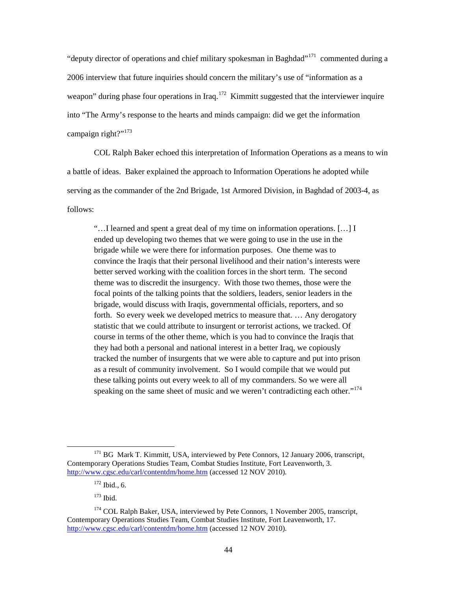"deputy director of operations and chief military spokesman in Baghdad"<sup>171</sup> commented during a 2006 interview that future inquiries should concern the military's use of "information as a weapon" during phase four operations in Iraq.<sup>[172](#page-48-1)</sup> Kimmitt suggested that the interviewer inquire into "The Army's response to the hearts and minds campaign: did we get the information campaign right?"<sup>[173](#page-48-2)</sup>

COL Ralph Baker echoed this interpretation of Information Operations as a means to win a battle of ideas. Baker explained the approach to Information Operations he adopted while serving as the commander of the 2nd Brigade, 1st Armored Division, in Baghdad of 2003-4, as follows:

"…I learned and spent a great deal of my time on information operations. […] I ended up developing two themes that we were going to use in the use in the brigade while we were there for information purposes. One theme was to convince the Iraqis that their personal livelihood and their nation's interests were better served working with the coalition forces in the short term. The second theme was to discredit the insurgency. With those two themes, those were the focal points of the talking points that the soldiers, leaders, senior leaders in the brigade, would discuss with Iraqis, governmental officials, reporters, and so forth. So every week we developed metrics to measure that. … Any derogatory statistic that we could attribute to insurgent or terrorist actions, we tracked. Of course in terms of the other theme, which is you had to convince the Iraqis that they had both a personal and national interest in a better Iraq, we copiously tracked the number of insurgents that we were able to capture and put into prison as a result of community involvement. So I would compile that we would put these talking points out every week to all of my commanders. So we were all speaking on the same sheet of music and we weren't contradicting each other."<sup>174</sup>

<span id="page-48-0"></span><sup>&</sup>lt;sup>171</sup> BG Mark T. Kimmitt, USA, interviewed by Pete Connors, 12 January 2006, transcript, Contemporary Operations Studies Team, Combat Studies Institute, Fort Leavenworth, 3. <http://www.cgsc.edu/carl/contentdm/home.htm> (accessed 12 NOV 2010).

 $172$  Ibid., 6.

<sup>173</sup> Ibid.

<span id="page-48-3"></span><span id="page-48-2"></span><span id="page-48-1"></span><sup>&</sup>lt;sup>174</sup> COL Ralph Baker, USA, interviewed by Pete Connors, 1 November 2005, transcript, Contemporary Operations Studies Team, Combat Studies Institute, Fort Leavenworth, 17. <http://www.cgsc.edu/carl/contentdm/home.htm> (accessed 12 NOV 2010).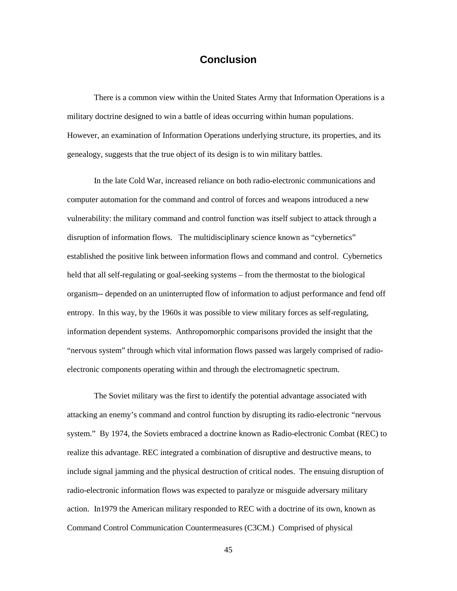# **Conclusion**

<span id="page-49-0"></span>There is a common view within the United States Army that Information Operations is a military doctrine designed to win a battle of ideas occurring within human populations. However, an examination of Information Operations underlying structure, its properties, and its genealogy, suggests that the true object of its design is to win military battles.

 In the late Cold War, increased reliance on both radio-electronic communications and computer automation for the command and control of forces and weapons introduced a new vulnerability: the military command and control function was itself subject to attack through a disruption of information flows. The multidisciplinary science known as "cybernetics" established the positive link between information flows and command and control. Cybernetics held that all self-regulating or goal-seeking systems – from the thermostat to the biological organism-- depended on an uninterrupted flow of information to adjust performance and fend off entropy. In this way, by the 1960s it was possible to view military forces as self-regulating, information dependent systems. Anthropomorphic comparisons provided the insight that the "nervous system" through which vital information flows passed was largely comprised of radioelectronic components operating within and through the electromagnetic spectrum.

The Soviet military was the first to identify the potential advantage associated with attacking an enemy's command and control function by disrupting its radio-electronic "nervous system." By 1974, the Soviets embraced a doctrine known as Radio-electronic Combat (REC) to realize this advantage. REC integrated a combination of disruptive and destructive means, to include signal jamming and the physical destruction of critical nodes. The ensuing disruption of radio-electronic information flows was expected to paralyze or misguide adversary military action. In1979 the American military responded to REC with a doctrine of its own, known as Command Control Communication Countermeasures (C3CM.) Comprised of physical

45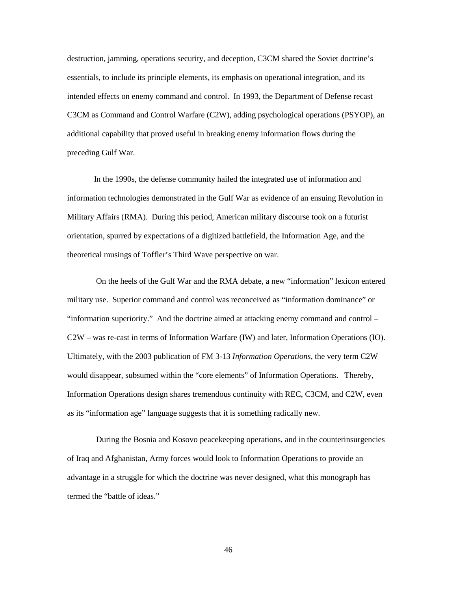destruction, jamming, operations security, and deception, C3CM shared the Soviet doctrine's essentials, to include its principle elements, its emphasis on operational integration, and its intended effects on enemy command and control. In 1993, the Department of Defense recast C3CM as Command and Control Warfare (C2W), adding psychological operations (PSYOP), an additional capability that proved useful in breaking enemy information flows during the preceding Gulf War.

 In the 1990s, the defense community hailed the integrated use of information and information technologies demonstrated in the Gulf War as evidence of an ensuing Revolution in Military Affairs (RMA). During this period, American military discourse took on a futurist orientation, spurred by expectations of a digitized battlefield, the Information Age, and the theoretical musings of Toffler's Third Wave perspective on war.

 On the heels of the Gulf War and the RMA debate, a new "information" lexicon entered military use. Superior command and control was reconceived as "information dominance" or "information superiority." And the doctrine aimed at attacking enemy command and control – C2W – was re-cast in terms of Information Warfare (IW) and later, Information Operations (IO). Ultimately, with the 2003 publication of FM 3-13 *Information Operations*, the very term C2W would disappear, subsumed within the "core elements" of Information Operations. Thereby, Information Operations design shares tremendous continuity with REC, C3CM, and C2W, even as its "information age" language suggests that it is something radically new.

 During the Bosnia and Kosovo peacekeeping operations, and in the counterinsurgencies of Iraq and Afghanistan, Army forces would look to Information Operations to provide an advantage in a struggle for which the doctrine was never designed, what this monograph has termed the "battle of ideas."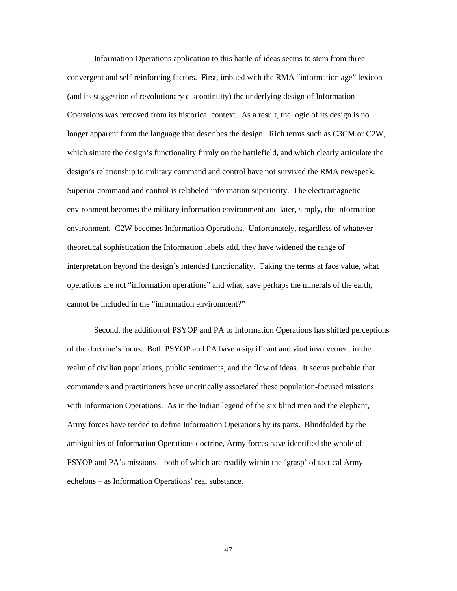Information Operations application to this battle of ideas seems to stem from three convergent and self-reinforcing factors. First, imbued with the RMA "information age" lexicon (and its suggestion of revolutionary discontinuity) the underlying design of Information Operations was removed from its historical context. As a result, the logic of its design is no longer apparent from the language that describes the design. Rich terms such as C3CM or C2W, which situate the design's functionality firmly on the battlefield, and which clearly articulate the design's relationship to military command and control have not survived the RMA newspeak. Superior command and control is relabeled information superiority. The electromagnetic environment becomes the military information environment and later, simply, the information environment. C2W becomes Information Operations. Unfortunately, regardless of whatever theoretical sophistication the Information labels add, they have widened the range of interpretation beyond the design's intended functionality. Taking the terms at face value, what operations are not "information operations" and what, save perhaps the minerals of the earth, cannot be included in the "information environment?"

 Second, the addition of PSYOP and PA to Information Operations has shifted perceptions of the doctrine's focus. Both PSYOP and PA have a significant and vital involvement in the realm of civilian populations, public sentiments, and the flow of ideas. It seems probable that commanders and practitioners have uncritically associated these population-focused missions with Information Operations. As in the Indian legend of the six blind men and the elephant, Army forces have tended to define Information Operations by its parts. Blindfolded by the ambiguities of Information Operations doctrine, Army forces have identified the whole of PSYOP and PA's missions – both of which are readily within the 'grasp' of tactical Army echelons – as Information Operations' real substance.

47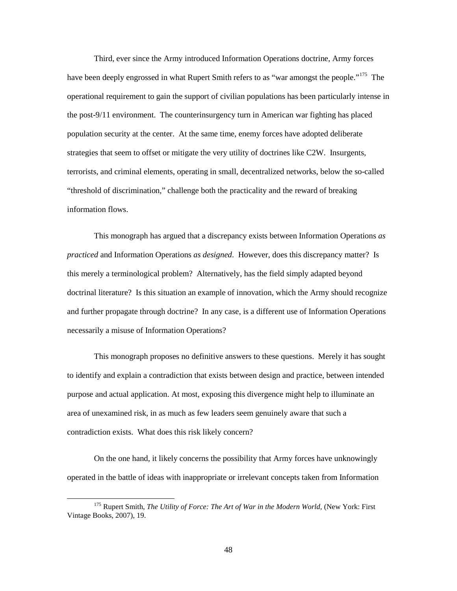Third, ever since the Army introduced Information Operations doctrine, Army forces have been deeply engrossed in what Rupert Smith refers to as "war amongst the people."<sup>[175](#page-52-0)</sup> The operational requirement to gain the support of civilian populations has been particularly intense in the post-9/11 environment. The counterinsurgency turn in American war fighting has placed population security at the center. At the same time, enemy forces have adopted deliberate strategies that seem to offset or mitigate the very utility of doctrines like C2W. Insurgents, terrorists, and criminal elements, operating in small, decentralized networks, below the so-called "threshold of discrimination," challenge both the practicality and the reward of breaking information flows.

 This monograph has argued that a discrepancy exists between Information Operations *as practiced* and Information Operations *as designed*. However, does this discrepancy matter? Is this merely a terminological problem? Alternatively, has the field simply adapted beyond doctrinal literature? Is this situation an example of innovation, which the Army should recognize and further propagate through doctrine? In any case, is a different use of Information Operations necessarily a misuse of Information Operations?

 This monograph proposes no definitive answers to these questions. Merely it has sought to identify and explain a contradiction that exists between design and practice, between intended purpose and actual application. At most, exposing this divergence might help to illuminate an area of unexamined risk, in as much as few leaders seem genuinely aware that such a contradiction exists. What does this risk likely concern?

 On the one hand, it likely concerns the possibility that Army forces have unknowingly operated in the battle of ideas with inappropriate or irrelevant concepts taken from Information

<span id="page-52-0"></span><sup>&</sup>lt;sup>175</sup> Rupert Smith, *The Utility of Force: The Art of War in the Modern World*, (New York: First Vintage Books, 2007), 19.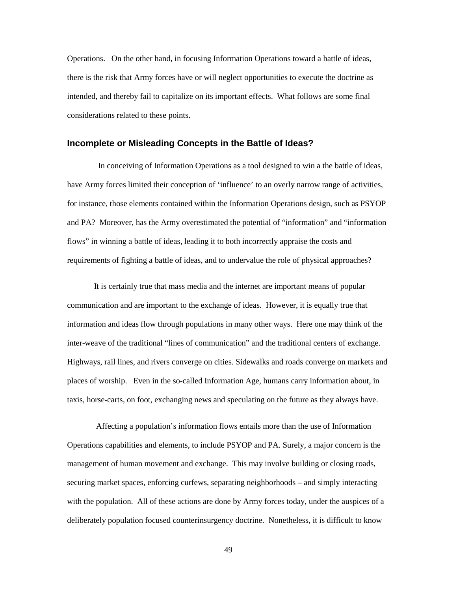Operations. On the other hand, in focusing Information Operations toward a battle of ideas, there is the risk that Army forces have or will neglect opportunities to execute the doctrine as intended, and thereby fail to capitalize on its important effects. What follows are some final considerations related to these points.

#### <span id="page-53-0"></span>**Incomplete or Misleading Concepts in the Battle of Ideas?**

 In conceiving of Information Operations as a tool designed to win a the battle of ideas, have Army forces limited their conception of 'influence' to an overly narrow range of activities, for instance, those elements contained within the Information Operations design, such as PSYOP and PA? Moreover, has the Army overestimated the potential of "information" and "information flows" in winning a battle of ideas, leading it to both incorrectly appraise the costs and requirements of fighting a battle of ideas, and to undervalue the role of physical approaches?

It is certainly true that mass media and the internet are important means of popular communication and are important to the exchange of ideas. However, it is equally true that information and ideas flow through populations in many other ways. Here one may think of the inter-weave of the traditional "lines of communication" and the traditional centers of exchange. Highways, rail lines, and rivers converge on cities. Sidewalks and roads converge on markets and places of worship. Even in the so-called Information Age, humans carry information about, in taxis, horse-carts, on foot, exchanging news and speculating on the future as they always have.

 Affecting a population's information flows entails more than the use of Information Operations capabilities and elements, to include PSYOP and PA. Surely, a major concern is the management of human movement and exchange. This may involve building or closing roads, securing market spaces, enforcing curfews, separating neighborhoods – and simply interacting with the population. All of these actions are done by Army forces today, under the auspices of a deliberately population focused counterinsurgency doctrine. Nonetheless, it is difficult to know

49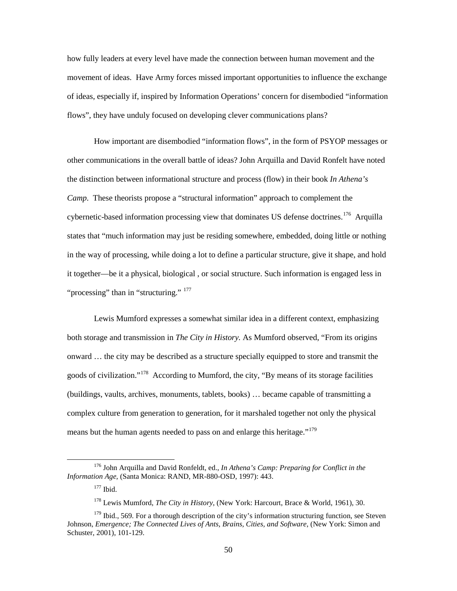how fully leaders at every level have made the connection between human movement and the movement of ideas. Have Army forces missed important opportunities to influence the exchange of ideas, especially if, inspired by Information Operations' concern for disembodied "information flows", they have unduly focused on developing clever communications plans?

How important are disembodied "information flows", in the form of PSYOP messages or other communications in the overall battle of ideas? John Arquilla and David Ronfelt have noted the distinction between informational structure and process (flow) in their book *In Athena's Camp*. These theorists propose a "structural information" approach to complement the cybernetic-based information processing view that dominates US defense doctrines.<sup>[176](#page-54-0)</sup> Arquilla states that "much information may just be residing somewhere, embedded, doing little or nothing in the way of processing, while doing a lot to define a particular structure, give it shape, and hold it together—be it a physical, biological , or social structure. Such information is engaged less in "processing" than in "structuring." <sup>[177](#page-54-1)</sup>

Lewis Mumford expresses a somewhat similar idea in a different context, emphasizing both storage and transmission in *The City in History.* As Mumford observed, "From its origins onward … the city may be described as a structure specially equipped to store and transmit the goods of civilization."<sup>178</sup> According to Mumford, the city, "By means of its storage facilities (buildings, vaults, archives, monuments, tablets, books) … became capable of transmitting a complex culture from generation to generation, for it marshaled together not only the physical means but the human agents needed to pass on and enlarge this heritage."<sup>[179](#page-54-3)</sup>

<span id="page-54-1"></span><span id="page-54-0"></span><sup>176</sup> John Arquilla and David Ronfeldt, ed., *In Athena's Camp: Preparing for Conflict in the Information Age,* (Santa Monica: RAND, MR-880-OSD, 1997): 443.

 $177$  Ibid.

<sup>178</sup> Lewis Mumford, *The City in History*, (New York: Harcourt, Brace & World, 1961), 30.

<span id="page-54-3"></span><span id="page-54-2"></span><sup>&</sup>lt;sup>179</sup> Ibid., 569. For a thorough description of the city's information structuring function, see Steven Johnson, *Emergence; The Connected Lives of Ants, Brains, Cities, and Software*, (New York: Simon and Schuster, 2001), 101-129.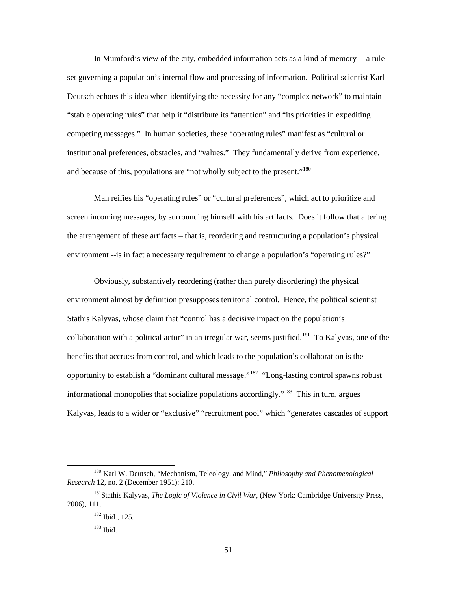In Mumford's view of the city, embedded information acts as a kind of memory -- a ruleset governing a population's internal flow and processing of information. Political scientist Karl Deutsch echoes this idea when identifying the necessity for any "complex network" to maintain "stable operating rules" that help it "distribute its "attention" and "its priorities in expediting competing messages." In human societies, these "operating rules" manifest as "cultural or institutional preferences, obstacles, and "values." They fundamentally derive from experience, and because of this, populations are "not wholly subject to the present."<sup>[180](#page-55-0)</sup>

 Man reifies his "operating rules" or "cultural preferences", which act to prioritize and screen incoming messages, by surrounding himself with his artifacts. Does it follow that altering the arrangement of these artifacts – that is, reordering and restructuring a population's physical environment --is in fact a necessary requirement to change a population's "operating rules?"

 Obviously, substantively reordering (rather than purely disordering) the physical environment almost by definition presupposes territorial control. Hence, the political scientist Stathis Kalyvas, whose claim that "control has a decisive impact on the population's collaboration with a political actor" in an irregular war, seems justified.<sup>[181](#page-55-1)</sup> To Kalyvas, one of the benefits that accrues from control, and which leads to the population's collaboration is the opportunity to establish a "dominant cultural message."[182](#page-55-2) "Long-lasting control spawns robust informational monopolies that socialize populations accordingly."<sup>[183](#page-55-3)</sup> This in turn, argues Kalyvas, leads to a wider or "exclusive" "recruitment pool" which "generates cascades of support

<span id="page-55-0"></span><sup>180</sup> Karl W. Deutsch, "Mechanism, Teleology, and Mind," *Philosophy and Phenomenological Research* 12, no. 2 (December 1951): 210.

<span id="page-55-3"></span><span id="page-55-2"></span><span id="page-55-1"></span><sup>181</sup>Stathis Kalyvas, *The Logic of Violence in Civil War,* (New York: Cambridge University Press, 2006), 111.

<sup>182</sup> Ibid., 125.

<sup>183</sup> Ibid.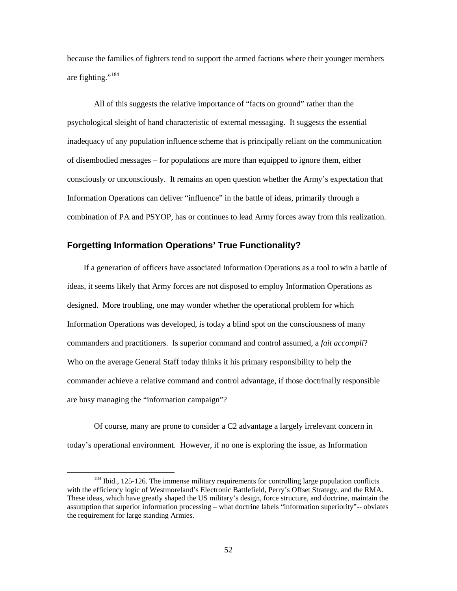because the families of fighters tend to support the armed factions where their younger members are fighting."<sup>[184](#page-56-1)</sup>

All of this suggests the relative importance of "facts on ground" rather than the psychological sleight of hand characteristic of external messaging. It suggests the essential inadequacy of any population influence scheme that is principally reliant on the communication of disembodied messages – for populations are more than equipped to ignore them, either consciously or unconsciously. It remains an open question whether the Army's expectation that Information Operations can deliver "influence" in the battle of ideas, primarily through a combination of PA and PSYOP, has or continues to lead Army forces away from this realization.

#### <span id="page-56-0"></span>**Forgetting Information Operations' True Functionality?**

 If a generation of officers have associated Information Operations as a tool to win a battle of ideas, it seems likely that Army forces are not disposed to employ Information Operations as designed. More troubling, one may wonder whether the operational problem for which Information Operations was developed, is today a blind spot on the consciousness of many commanders and practitioners. Is superior command and control assumed, a *fait accompli*? Who on the average General Staff today thinks it his primary responsibility to help the commander achieve a relative command and control advantage, if those doctrinally responsible are busy managing the "information campaign"?

 Of course, many are prone to consider a C2 advantage a largely irrelevant concern in today's operational environment. However, if no one is exploring the issue, as Information

<span id="page-56-1"></span> $184$  Ibid., 125-126. The immense military requirements for controlling large population conflicts with the efficiency logic of Westmoreland's Electronic Battlefield, Perry's Offset Strategy, and the RMA. These ideas, which have greatly shaped the US military's design, force structure, and doctrine, maintain the assumption that superior information processing – what doctrine labels "information superiority"-- obviates the requirement for large standing Armies.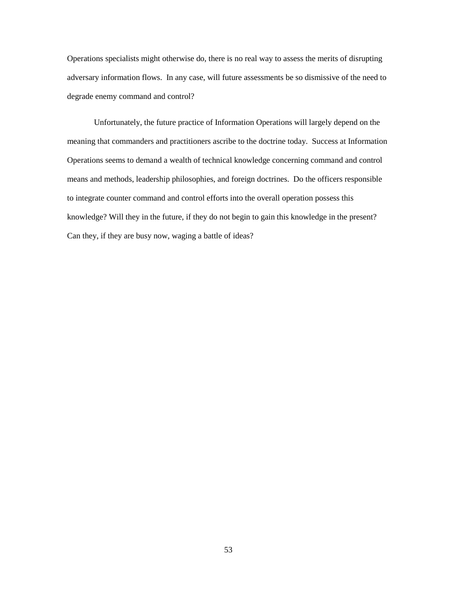Operations specialists might otherwise do, there is no real way to assess the merits of disrupting adversary information flows. In any case, will future assessments be so dismissive of the need to degrade enemy command and control?

 Unfortunately, the future practice of Information Operations will largely depend on the meaning that commanders and practitioners ascribe to the doctrine today. Success at Information Operations seems to demand a wealth of technical knowledge concerning command and control means and methods, leadership philosophies, and foreign doctrines. Do the officers responsible to integrate counter command and control efforts into the overall operation possess this knowledge? Will they in the future, if they do not begin to gain this knowledge in the present? Can they, if they are busy now, waging a battle of ideas?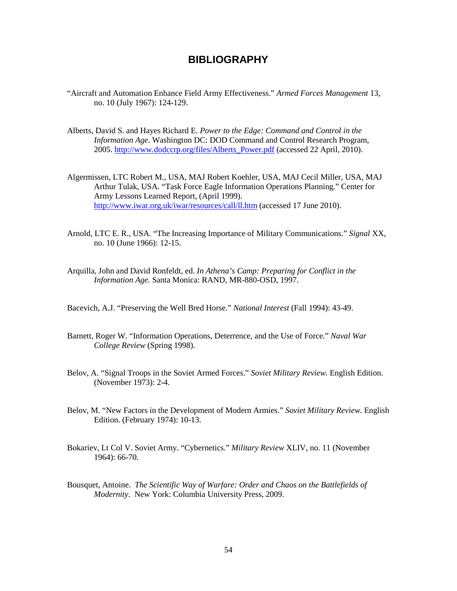## **BIBLIOGRAPHY**

- <span id="page-58-0"></span>"Aircraft and Automation Enhance Field Army Effectiveness." *Armed Forces Management* 13, no. 10 (July 1967): 124-129.
- Alberts, David S. and Hayes Richard E. *Power to the Edge: Command and Control in the Information Age*. Washington DC: DOD Command and Control Research Program, 2005. [http://www.dodccrp.org/files/Alberts\\_Power.pdf](http://www.dodccrp.org/files/Alberts_Power.pdf) (accessed 22 April, 2010).
- Algermissen, LTC Robert M., USA, MAJ Robert Koehler, USA, MAJ Cecil Miller, USA, MAJ Arthur Tulak, USA. "Task Force Eagle Information Operations Planning." Center for Army Lessons Learned Report, (April 1999). <http://www.iwar.org.uk/iwar/resources/call/ll.htm>(accessed 17 June 2010).
- Arnold, LTC E. R., USA. "The Increasing Importance of Military Communications." *Signal* XX, no. 10 (June 1966): 12-15.
- Arquilla, John and David Ronfeldt, ed. *In Athena's Camp: Preparing for Conflict in the Information Age.* Santa Monica: RAND, MR-880-OSD, 1997.
- Bacevich, A.J. "Preserving the Well Bred Horse." *National Interest* (Fall 1994): 43-49.
- Barnett, Roger W. "Information Operations, Deterrence, and the Use of Force." *Naval War College Review* (Spring 1998).
- Belov, A. "Signal Troops in the Soviet Armed Forces." *Soviet Military Review.* English Edition. (November 1973): 2-4.
- Belov, M. "New Factors in the Development of Modern Armies." *Soviet Military Review.* English Edition. (February 1974): 10-13.
- Bokariev, Lt Col V. Soviet Army. "Cybernetics." *Military Review* XLIV, no. 11 (November 1964): 66-70.
- Bousquet, Antoine. *The Scientific Way of Warfare: Order and Chaos on the Battlefields of Modernity*. New York: Columbia University Press, 2009.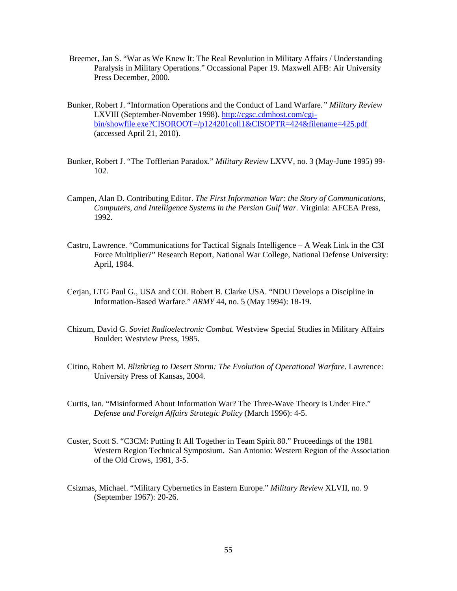- Breemer, Jan S. "War as We Knew It: The Real Revolution in Military Affairs / Understanding Paralysis in Military Operations." Occassional Paper 19. Maxwell AFB: Air University Press December, 2000.
- Bunker, Robert J. "Information Operations and the Conduct of Land Warfare*." Military Review* LXVIII (September-November 1998). [http://cgsc.cdmhost.com/cgi](http://cgsc.cdmhost.com/cgi-bin/showfile.exe?CISOROOT=/p124201coll1&CISOPTR=424&filename=425.pdf)[bin/showfile.exe?CISOROOT=/p124201coll1&CISOPTR=424&filename=425.pdf](http://cgsc.cdmhost.com/cgi-bin/showfile.exe?CISOROOT=/p124201coll1&CISOPTR=424&filename=425.pdf) (accessed April 21, 2010).
- Bunker, Robert J. "The Tofflerian Paradox." *Military Review* LXVV, no. 3 (May-June 1995) 99- 102.
- Campen, Alan D. Contributing Editor. *The First Information War: the Story of Communications, Computers, and Intelligence Systems in the Persian Gulf War.* Virginia: AFCEA Press, 1992.
- Castro, Lawrence. "Communications for Tactical Signals Intelligence A Weak Link in the C3I Force Multiplier?" Research Report, National War College, National Defense University: April, 1984.
- Cerjan, LTG Paul G., USA and COL Robert B. Clarke USA. "NDU Develops a Discipline in Information-Based Warfare." *ARMY* 44, no. 5 (May 1994): 18-19.
- Chizum, David G. *Soviet Radioelectronic Combat.* Westview Special Studies in Military Affairs Boulder: Westview Press, 1985.
- Citino, Robert M. *Bliztkrieg to Desert Storm: The Evolution of Operational Warfare*. Lawrence: University Press of Kansas, 2004.
- Curtis, Ian. "Misinformed About Information War? The Three-Wave Theory is Under Fire." *Defense and Foreign Affairs Strategic Policy* (March 1996): 4-5.
- Custer, Scott S. "C3CM: Putting It All Together in Team Spirit 80." Proceedings of the 1981 Western Region Technical Symposium. San Antonio: Western Region of the Association of the Old Crows, 1981, 3-5.
- Csizmas, Michael. "Military Cybernetics in Eastern Europe." *Military Review* XLVII, no. 9 (September 1967): 20-26.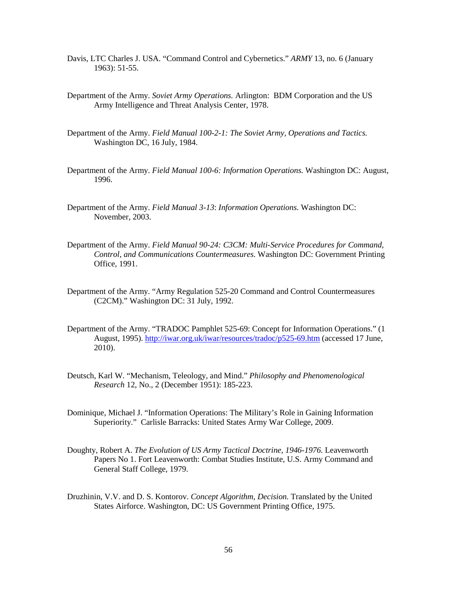- Davis, LTC Charles J. USA. "Command Control and Cybernetics." *ARMY* 13, no. 6 (January 1963): 51-55.
- Department of the Army. *Soviet Army Operations.* Arlington: BDM Corporation and the US Army Intelligence and Threat Analysis Center, 1978.
- Department of the Army. *Field Manual 100-2-1: The Soviet Army, Operations and Tactics.* Washington DC, 16 July, 1984.
- Department of the Army. *Field Manual 100-6: Information Operations.* Washington DC: August, 1996.
- Department of the Army. *Field Manual 3-13*: *Information Operations.* Washington DC: November, 2003.
- Department of the Army. *Field Manual 90-24: C3CM: Multi-Service Procedures for Command, Control, and Communications Countermeasures.* Washington DC: Government Printing Office, 1991.
- Department of the Army. "Army Regulation 525-20 Command and Control Countermeasures (C2CM)." Washington DC: 31 July, 1992.
- Department of the Army. "TRADOC Pamphlet 525-69: Concept for Information Operations." (1 August, 1995).<http://iwar.org.uk/iwar/resources/tradoc/p525-69.htm> (accessed 17 June, 2010).
- Deutsch, Karl W. "Mechanism, Teleology, and Mind." *Philosophy and Phenomenological Research* 12, No., 2 (December 1951): 185-223.
- Dominique, Michael J. "Information Operations: The Military's Role in Gaining Information Superiority." Carlisle Barracks: United States Army War College, 2009.
- Doughty, Robert A. *The Evolution of US Army Tactical Doctrine, 1946-1976*. Leavenworth Papers No 1. Fort Leavenworth: Combat Studies Institute, U.S. Army Command and General Staff College, 1979.
- Druzhinin, V.V. and D. S. Kontorov. *Concept Algorithm, Decision.* Translated by the United States Airforce. Washington, DC: US Government Printing Office, 1975.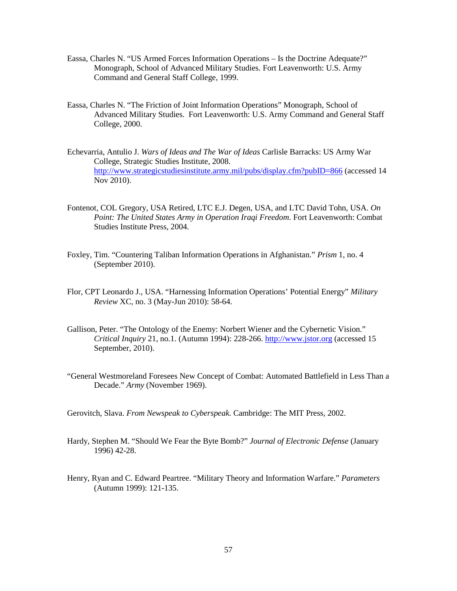- Eassa, Charles N. "US Armed Forces Information Operations Is the Doctrine Adequate?" Monograph, School of Advanced Military Studies. Fort Leavenworth: U.S. Army Command and General Staff College, 1999.
- Eassa, Charles N. "The Friction of Joint Information Operations" Monograph, School of Advanced Military Studies. Fort Leavenworth: U.S. Army Command and General Staff College, 2000.
- Echevarria, Antulio J. *Wars of Ideas and The War of Ideas* Carlisle Barracks: US Army War College, Strategic Studies Institute, 2008. <http://www.strategicstudiesinstitute.army.mil/pubs/display.cfm?pubID=866> (accessed 14 Nov 2010).
- Fontenot, COL Gregory, USA Retired, LTC E.J. Degen, USA, and LTC David Tohn, USA. *On Point: The United States Army in Operation Iraqi Freedom*. Fort Leavenworth: Combat Studies Institute Press, 2004.
- Foxley, Tim. "Countering Taliban Information Operations in Afghanistan." *Prism* 1, no. 4 (September 2010).
- Flor, CPT Leonardo J., USA. "Harnessing Information Operations' Potential Energy" *Military Review* XC*,* no. 3 (May-Jun 2010): 58-64.
- Gallison, Peter. "The Ontology of the Enemy: Norbert Wiener and the Cybernetic Vision." *Critical Inquiry* 21, no.1. (Autumn 1994): 228-266. [http://www.jstor.org](http://www.jstor.org/) (accessed 15 September, 2010).
- "General Westmoreland Foresees New Concept of Combat: Automated Battlefield in Less Than a Decade." *Army* (November 1969).
- Gerovitch, Slava. *From Newspeak to Cyberspeak.* Cambridge: The MIT Press, 2002.
- Hardy, Stephen M. "Should We Fear the Byte Bomb?" *Journal of Electronic Defense* (January 1996) 42-28.
- Henry, Ryan and C. Edward Peartree. "Military Theory and Information Warfare." *Parameters* (Autumn 1999): 121-135.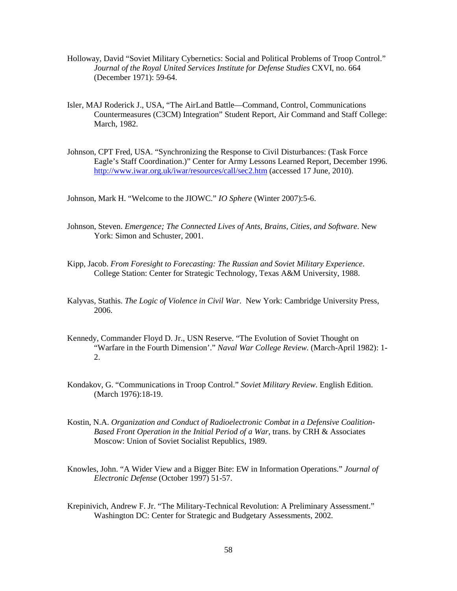- Holloway, David "Soviet Military Cybernetics: Social and Political Problems of Troop Control." *Journal of the Royal United Services Institute for Defense Studies* CXVI, no. 664 (December 1971): 59-64.
- Isler, MAJ Roderick J., USA, "The AirLand Battle—Command, Control, Communications Countermeasures (C3CM) Integration" Student Report, Air Command and Staff College: March, 1982.
- Johnson, CPT Fred, USA. "Synchronizing the Response to Civil Disturbances: (Task Force Eagle's Staff Coordination.)" Center for Army Lessons Learned Report, December 1996. <http://www.iwar.org.uk/iwar/resources/call/sec2.htm>(accessed 17 June, 2010).

Johnson, Mark H. "Welcome to the JIOWC." *IO Sphere* (Winter 2007):5-6.

- Johnson, Steven. *Emergence; The Connected Lives of Ants, Brains, Cities, and Software*. New York: Simon and Schuster, 2001.
- Kipp, Jacob. *From Foresight to Forecasting: The Russian and Soviet Military Experience*. College Station: Center for Strategic Technology, Texas A&M University, 1988.
- Kalyvas, Stathis. *The Logic of Violence in Civil War*. New York: Cambridge University Press, 2006.
- Kennedy, Commander Floyd D. Jr., USN Reserve. "The Evolution of Soviet Thought on "Warfare in the Fourth Dimension'." *Naval War College Review.* (March-April 1982): 1- 2.
- Kondakov, G. "Communications in Troop Control." *Soviet Military Review*. English Edition. (March 1976):18-19.
- Kostin, N.A. *Organization and Conduct of Radioelectronic Combat in a Defensive Coalition-Based Front Operation in the Initial Period of a War*, trans. by CRH & Associates Moscow: Union of Soviet Socialist Republics, 1989.
- Knowles, John. "A Wider View and a Bigger Bite: EW in Information Operations." *Journal of Electronic Defense* (October 1997) 51-57.
- Krepinivich, Andrew F. Jr. "The Military-Technical Revolution: A Preliminary Assessment." Washington DC: Center for Strategic and Budgetary Assessments, 2002.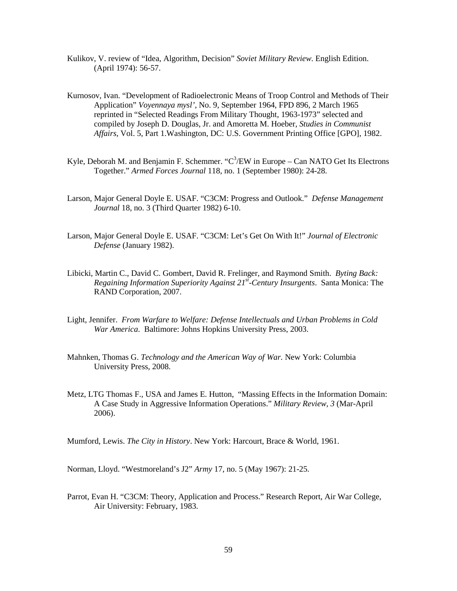- Kulikov, V. review of "Idea, Algorithm, Decision" *Soviet Military Review*. English Edition. (April 1974): 56-57.
- Kurnosov, Ivan. "Development of Radioelectronic Means of Troop Control and Methods of Their Application" *Voyennaya mysl'*, No. 9, September 1964, FPD 896, 2 March 1965 reprinted in "Selected Readings From Military Thought, 1963-1973" selected and compiled by Joseph D. Douglas, Jr. and Amoretta M. Hoeber, *Studies in Communist Affairs*, Vol. 5, Part 1.Washington, DC: U.S. Government Printing Office [GPO], 1982.
- Kyle, Deborah M. and Benjamin F. Schemmer. " $C^3$ /EW in Europe Can NATO Get Its Electrons Together." *Armed Forces Journal* 118*,* no. 1 (September 1980): 24-28.
- Larson, Major General Doyle E. USAF. "C3CM: Progress and Outlook." *Defense Management Journal* 18, no. 3 (Third Quarter 1982) 6-10.
- Larson, Major General Doyle E. USAF. "C3CM: Let's Get On With It!" *Journal of Electronic Defense* (January 1982).
- Libicki, Martin C., David C. Gombert, David R. Frelinger, and Raymond Smith. *Byting Back: Regaining Information Superiority Against 21st-Century Insurgents*. Santa Monica: The RAND Corporation, 2007.
- Light, Jennifer. *From Warfare to Welfare: Defense Intellectuals and Urban Problems in Cold War America*. Baltimore: Johns Hopkins University Press, 2003.
- Mahnken, Thomas G. *Technology and the American Way of War.* New York: Columbia University Press, 2008.
- Metz, LTG Thomas F., USA and James E. Hutton, "Massing Effects in the Information Domain: A Case Study in Aggressive Information Operations." *Military Review, 3* (Mar-April 2006).

Mumford, Lewis. *The City in History*. New York: Harcourt, Brace & World, 1961.

Norman, Lloyd. "Westmoreland's J2" *Army* 17, no. 5 (May 1967): 21-25.

Parrot, Evan H. "C3CM: Theory, Application and Process." Research Report, Air War College, Air University: February, 1983.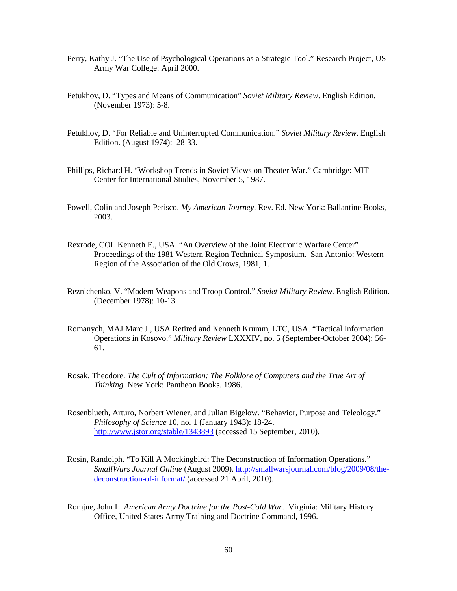- Perry, Kathy J. "The Use of Psychological Operations as a Strategic Tool." Research Project, US Army War College: April 2000.
- Petukhov, D. "Types and Means of Communication" *Soviet Military Review*. English Edition. (November 1973): 5-8.
- Petukhov, D. "For Reliable and Uninterrupted Communication." *Soviet Military Review*. English Edition. (August 1974): 28-33.
- Phillips, Richard H. "Workshop Trends in Soviet Views on Theater War." Cambridge: MIT Center for International Studies, November 5, 1987.
- Powell, Colin and Joseph Perisco. *My American Journey*. Rev. Ed. New York: Ballantine Books, 2003.
- Rexrode, COL Kenneth E., USA. "An Overview of the Joint Electronic Warfare Center" Proceedings of the 1981 Western Region Technical Symposium. San Antonio: Western Region of the Association of the Old Crows, 1981, 1.
- Reznichenko, V. "Modern Weapons and Troop Control." *Soviet Military Review*. English Edition. (December 1978): 10-13.
- Romanych, MAJ Marc J., USA Retired and Kenneth Krumm, LTC, USA. "Tactical Information Operations in Kosovo." *Military Review* LXXXIV, no. 5 (September-October 2004): 56- 61.
- Rosak, Theodore. *The Cult of Information: The Folklore of Computers and the True Art of Thinking*. New York: Pantheon Books, 1986.
- Rosenblueth, Arturo, Norbert Wiener, and Julian Bigelow. "Behavior, Purpose and Teleology." *Philosophy of Science* 10, no. 1 (January 1943): 18-24. <http://www.jstor.org/stable/1343893>(accessed 15 September, 2010).
- Rosin, Randolph. "To Kill A Mockingbird: The Deconstruction of Information Operations." *SmallWars Journal Online* (August 2009). [http://smallwarsjournal.com/blog/2009/08/the](http://smallwarsjournal.com/blog/2009/08/the-deconstruction-of-informat/)[deconstruction-of-informat/](http://smallwarsjournal.com/blog/2009/08/the-deconstruction-of-informat/) (accessed 21 April, 2010).
- Romjue, John L. *American Army Doctrine for the Post-Cold War*. Virginia: Military History Office, United States Army Training and Doctrine Command, 1996.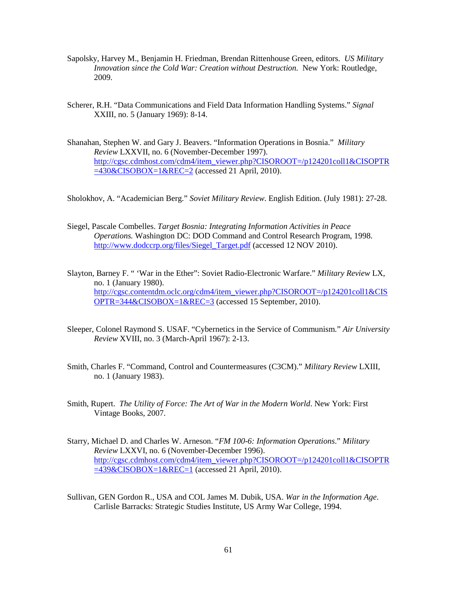- Sapolsky, Harvey M., Benjamin H. Friedman, Brendan Rittenhouse Green, editors. *US Military Innovation since the Cold War: Creation without Destruction.* New York: Routledge, 2009.
- Scherer, R.H. "Data Communications and Field Data Information Handling Systems." *Signal*  XXIII, no. 5 (January 1969): 8-14.
- Shanahan, Stephen W. and Gary J. Beavers. "Information Operations in Bosnia." *Military Review* LXXVII, no. 6 (November-December 1997). [http://cgsc.cdmhost.com/cdm4/item\\_viewer.php?CISOROOT=/p124201coll1&CISOPTR](http://cgsc.cdmhost.com/cdm4/item_viewer.php?CISOROOT=/p124201coll1&CISOPTR=430&CISOBOX=1&REC=2)  $=430\&CISOBOX=1&REC=2$  (accessed 21 April, 2010).

Sholokhov, A. "Academician Berg." *Soviet Military Review*. English Edition. (July 1981): 27-28.

- Siegel, Pascale Combelles. *Target Bosnia: Integrating Information Activities in Peace Operations.* Washington DC: DOD Command and Control Research Program, 1998. [http://www.dodccrp.org/files/Siegel\\_Target.pdf](http://www.dodccrp.org/files/Siegel_Target.pdf) (accessed 12 NOV 2010).
- Slayton, Barney F. " 'War in the Ether": Soviet Radio-Electronic Warfare." *Military Review* LX*,*  no. 1 (January 1980). [http://cgsc.contentdm.oclc.org/cdm4/item\\_viewer.php?CISOROOT=/p124201coll1&CIS](http://cgsc.contentdm.oclc.org/cdm4/item_viewer.php?CISOROOT=/p124201coll1&CISOPTR=344&CISOBOX=1&REC=3) [OPTR=344&CISOBOX=1&REC=3](http://cgsc.contentdm.oclc.org/cdm4/item_viewer.php?CISOROOT=/p124201coll1&CISOPTR=344&CISOBOX=1&REC=3) (accessed 15 September, 2010).
- Sleeper, Colonel Raymond S. USAF. "Cybernetics in the Service of Communism." *Air University Review* XVIII, no. 3 (March-April 1967): 2-13.
- Smith, Charles F. "Command, Control and Countermeasures (C3CM)." *Military Review* LXIII*,*  no. 1 (January 1983).
- Smith, Rupert. *The Utility of Force: The Art of War in the Modern World*. New York: First Vintage Books, 2007.
- Starry, Michael D. and Charles W. Arneson. "*FM 100-6: Information Operations*." *Military Review* LXXVI, no. 6 (November-December 1996). [http://cgsc.cdmhost.com/cdm4/item\\_viewer.php?CISOROOT=/p124201coll1&CISOPTR](http://cgsc.cdmhost.com/cdm4/item_viewer.php?CISOROOT=/p124201coll1&CISOPTR=439&CISOBOX=1&REC=1)  $=439\&CISOBOX=1\&REC=1$  (accessed 21 April, 2010).
- Sullivan, GEN Gordon R., USA and COL James M. Dubik, USA. *War in the Information Age*. Carlisle Barracks: Strategic Studies Institute, US Army War College, 1994.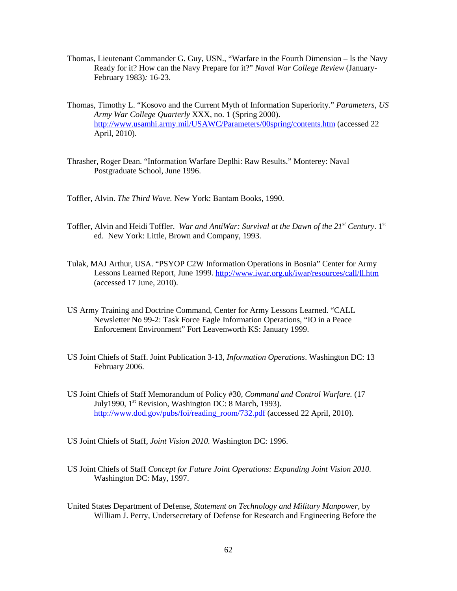- Thomas, Lieutenant Commander G. Guy, USN., "Warfare in the Fourth Dimension Is the Navy Ready for it? How can the Navy Prepare for it?" *Naval War College Review* (January-February 1983)*:* 16-23.
- Thomas, Timothy L. "Kosovo and the Current Myth of Information Superiority." *Parameters*, *US Army War College Quarterly* XXX, no. 1 (Spring 2000). <http://www.usamhi.army.mil/USAWC/Parameters/00spring/contents.htm> (accessed 22 April, 2010).
- Thrasher, Roger Dean. "Information Warfare Deplhi: Raw Results." Monterey: Naval Postgraduate School, June 1996.
- Toffler, Alvin. *The Third Wave.* New York: Bantam Books, 1990.
- Toffler, Alvin and Heidi Toffler. *War and AntiWar: Survival at the Dawn of the 21<sup>st</sup> Century*. 1<sup>st</sup> ed. New York: Little, Brown and Company, 1993.
- Tulak, MAJ Arthur, USA. "PSYOP C2W Information Operations in Bosnia" Center for Army Lessons Learned Report, June 1999.<http://www.iwar.org.uk/iwar/resources/call/ll.htm> (accessed 17 June, 2010).
- US Army Training and Doctrine Command, Center for Army Lessons Learned. "CALL Newsletter No 99-2: Task Force Eagle Information Operations, "IO in a Peace Enforcement Environment" Fort Leavenworth KS: January 1999.
- US Joint Chiefs of Staff. Joint Publication 3-13, *Information Operations*. Washington DC: 13 February 2006.
- US Joint Chiefs of Staff Memorandum of Policy #30*, Command and Control Warfare.* (17 July1990, 1st Revision*,* Washington DC: 8 March, 1993). [http://www.dod.gov/pubs/foi/reading\\_room/732.pdf](http://www.dod.gov/pubs/foi/reading_room/732.pdf) (accessed 22 April, 2010).
- US Joint Chiefs of Staff, *Joint Vision 2010.* Washington DC: 1996.
- US Joint Chiefs of Staff *Concept for Future Joint Operations: Expanding Joint Vision 2010.*  Washington DC: May, 1997.
- United States Department of Defense, *Statement on Technology and Military Manpower,* by William J. Perry, Undersecretary of Defense for Research and Engineering Before the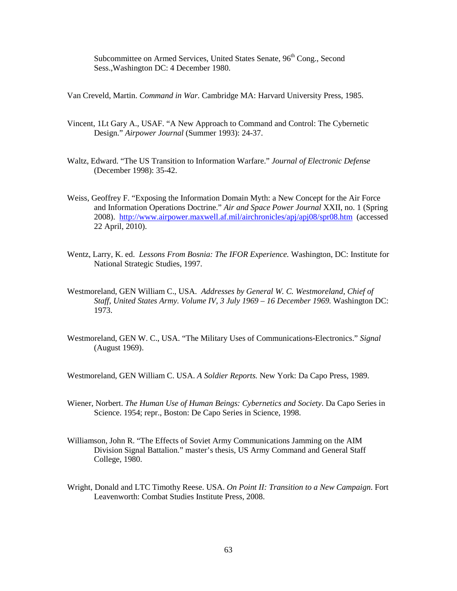Subcommittee on Armed Services, United States Senate, 96<sup>th</sup> Cong., Second Sess.,Washington DC: 4 December 1980.

Van Creveld, Martin. *Command in War.* Cambridge MA: Harvard University Press, 1985.

- Vincent, 1Lt Gary A., USAF. "A New Approach to Command and Control: The Cybernetic Design." *Airpower Journal* (Summer 1993): 24-37.
- Waltz, Edward. "The US Transition to Information Warfare." *Journal of Electronic Defense* (December 1998): 35-42.
- Weiss, Geoffrey F. "Exposing the Information Domain Myth: a New Concept for the Air Force and Information Operations Doctrine." *Air and Space Power Journal* XXII, no. 1 (Spring 2008). <http://www.airpower.maxwell.af.mil/airchronicles/apj/apj08/spr08.htm>(accessed 22 April, 2010).
- Wentz, Larry, K. ed. *Lessons From Bosnia: The IFOR Experience.* Washington, DC: Institute for National Strategic Studies, 1997.
- Westmoreland, GEN William C., USA. *Addresses by General W. C. Westmoreland, Chief of Staff, United States Army. Volume IV, 3 July 1969 – 16 December 1969.* Washington DC: 1973.
- Westmoreland, GEN W. C., USA. "The Military Uses of Communications-Electronics." *Signal* (August 1969).

Westmoreland, GEN William C. USA. *A Soldier Reports.* New York: Da Capo Press, 1989.

- Wiener, Norbert. *The Human Use of Human Beings: Cybernetics and Society*. Da Capo Series in Science. 1954; repr., Boston: De Capo Series in Science, 1998.
- Williamson, John R. "The Effects of Soviet Army Communications Jamming on the AIM Division Signal Battalion." master's thesis, US Army Command and General Staff College, 1980.
- Wright, Donald and LTC Timothy Reese. USA. *On Point II: Transition to a New Campaign*. Fort Leavenworth: Combat Studies Institute Press, 2008.